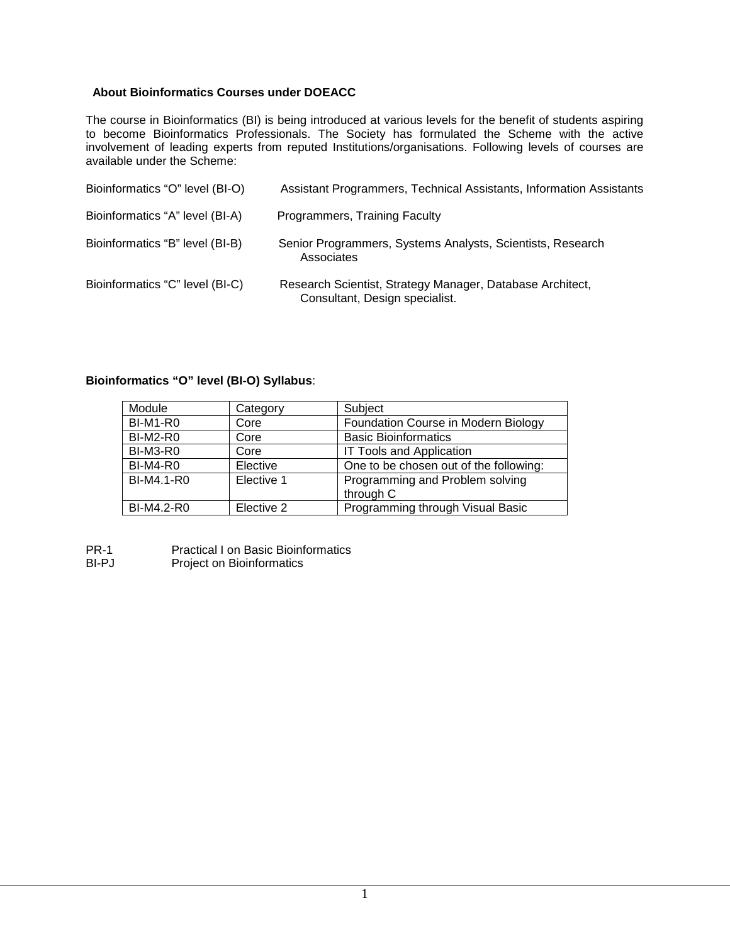#### **About Bioinformatics Courses under DOEACC**

The course in Bioinformatics (BI) is being introduced at various levels for the benefit of students aspiring to become Bioinformatics Professionals. The Society has formulated the Scheme with the active involvement of leading experts from reputed Institutions/organisations. Following levels of courses are available under the Scheme:

| Bioinformatics "O" level (BI-O) | Assistant Programmers, Technical Assistants, Information Assistants                         |
|---------------------------------|---------------------------------------------------------------------------------------------|
| Bioinformatics "A" level (BI-A) | Programmers, Training Faculty                                                               |
| Bioinformatics "B" level (BI-B) | Senior Programmers, Systems Analysts, Scientists, Research<br>Associates                    |
| Bioinformatics "C" level (BI-C) | Research Scientist, Strategy Manager, Database Architect,<br>Consultant, Design specialist. |

#### **Bioinformatics "O" level (BI-O) Syllabus**:

| Module            | Category   | Subject                                      |
|-------------------|------------|----------------------------------------------|
| <b>BI-M1-R0</b>   | Core       | Foundation Course in Modern Biology          |
| <b>BI-M2-R0</b>   | Core       | <b>Basic Bioinformatics</b>                  |
| <b>BI-M3-R0</b>   | Core       | <b>IT Tools and Application</b>              |
| <b>BI-M4-R0</b>   | Elective   | One to be chosen out of the following:       |
| <b>BI-M4.1-R0</b> | Elective 1 | Programming and Problem solving<br>through C |
| BI-M4.2-R0        | Elective 2 | Programming through Visual Basic             |

PR-1 Practical I on Basic Bioinformatics<br>BI-PJ Project on Bioinformatics

Project on Bioinformatics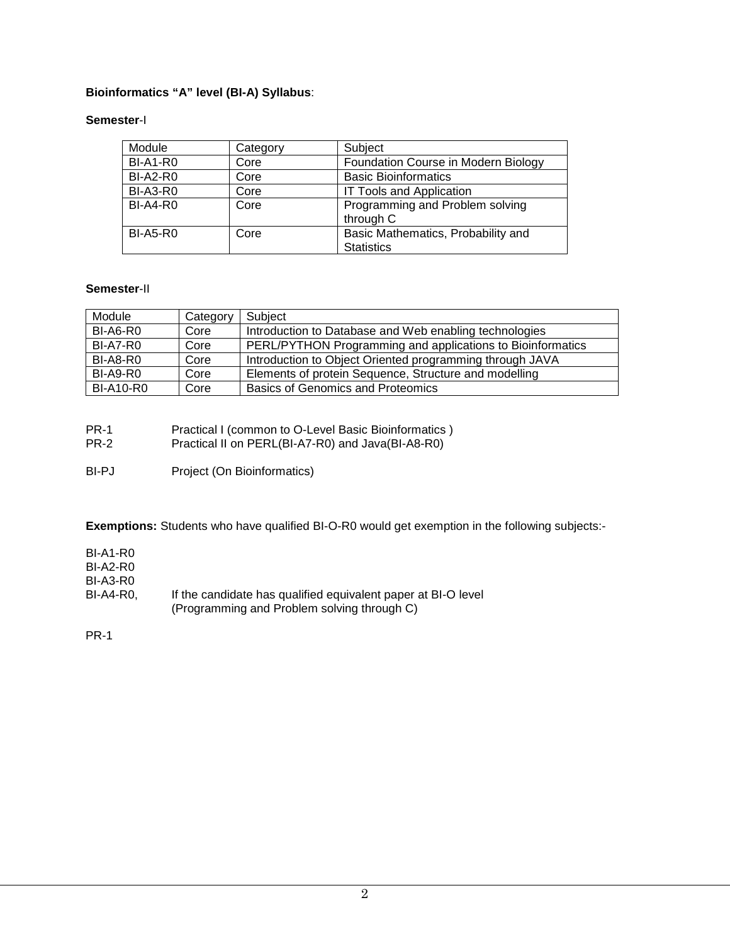#### **Bioinformatics "A" level (BI-A) Syllabus**:

#### **Semester**-I

| Module          | Category | Subject                                                 |
|-----------------|----------|---------------------------------------------------------|
| BI-A1-R0        | Core     | Foundation Course in Modern Biology                     |
| <b>BI-A2-R0</b> | Core     | <b>Basic Bioinformatics</b>                             |
| <b>BI-A3-R0</b> | Core     | <b>IT Tools and Application</b>                         |
| <b>BI-A4-R0</b> | Core     | Programming and Problem solving<br>through C            |
| <b>BI-A5-R0</b> | Core     | Basic Mathematics, Probability and<br><b>Statistics</b> |

#### **Semester**-II

| Module           | Category | Subject                                                    |
|------------------|----------|------------------------------------------------------------|
| <b>BI-A6-R0</b>  | Core     | Introduction to Database and Web enabling technologies     |
| <b>BI-A7-R0</b>  | Core     | PERL/PYTHON Programming and applications to Bioinformatics |
| <b>BI-A8-R0</b>  | Core     | Introduction to Object Oriented programming through JAVA   |
| <b>BI-A9-R0</b>  | Core     | Elements of protein Sequence, Structure and modelling      |
| <b>BI-A10-R0</b> | Core     | <b>Basics of Genomics and Proteomics</b>                   |

- PR-1 Practical I (common to O-Level Basic Bioinformatics )<br>PR-2 Practical II on PERL(BI-A7-R0) and Java(BI-A8-R0)
	- Practical II on PERL(BI-A7-R0) and Java(BI-A8-R0)
- BI-PJ Project (On Bioinformatics)

**Exemptions:** Students who have qualified BI-O-R0 would get exemption in the following subjects:-

BI-A1-R0

BI-A2-R0

BI-A3-R0

BI-A4-R0, If the candidate has qualified equivalent paper at BI-O level (Programming and Problem solving through C)

PR-1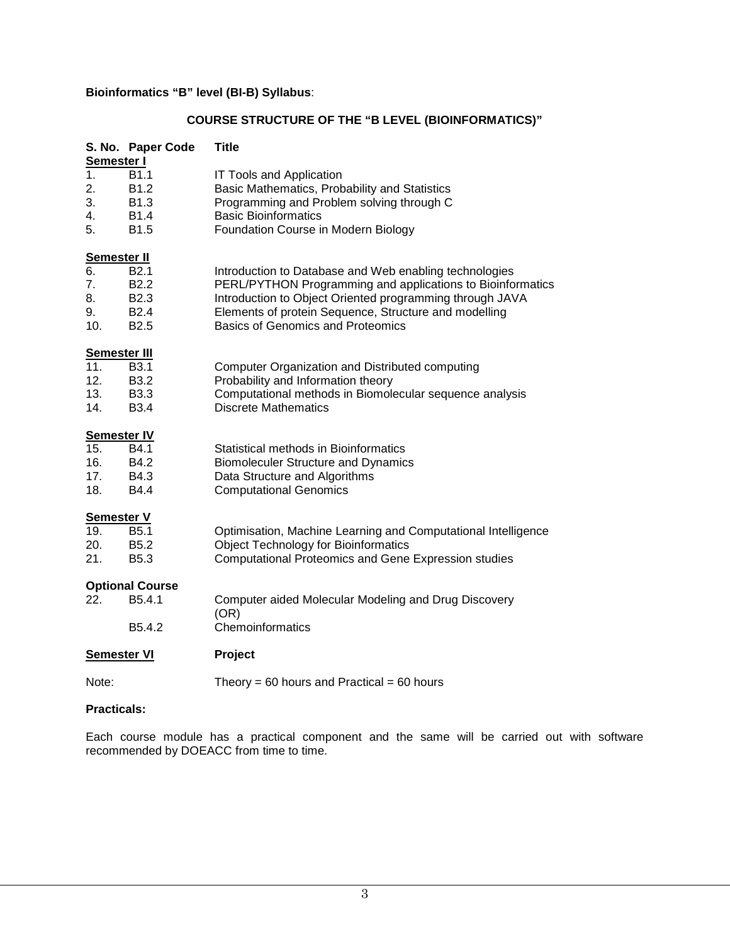#### **Bioinformatics "B" level (BI-B) Syllabus**:

### **COURSE STRUCTURE OF THE "B LEVEL (BIOINFORMATICS)"**

| Semester I                  | S. No. Paper Code                                                                                | <b>Title</b>                                                                                                                                                                                                                                                                          |
|-----------------------------|--------------------------------------------------------------------------------------------------|---------------------------------------------------------------------------------------------------------------------------------------------------------------------------------------------------------------------------------------------------------------------------------------|
| 1.<br>2.<br>3.<br>4.<br>5.  | B <sub>1.1</sub><br>B <sub>1.2</sub><br>B <sub>1.3</sub><br><b>B1.4</b><br>B1.5                  | IT Tools and Application<br>Basic Mathematics, Probability and Statistics<br>Programming and Problem solving through C<br><b>Basic Bioinformatics</b><br>Foundation Course in Modern Biology                                                                                          |
| <b>Semester II</b>          |                                                                                                  |                                                                                                                                                                                                                                                                                       |
| 6.<br>7.<br>8.<br>9.<br>10. | B <sub>2.1</sub><br>B <sub>2.2</sub><br>B <sub>2.3</sub><br>B <sub>2.4</sub><br>B <sub>2.5</sub> | Introduction to Database and Web enabling technologies<br>PERL/PYTHON Programming and applications to Bioinformatics<br>Introduction to Object Oriented programming through JAVA<br>Elements of protein Sequence, Structure and modelling<br><b>Basics of Genomics and Proteomics</b> |
| <b>Semester III</b>         |                                                                                                  |                                                                                                                                                                                                                                                                                       |
| 11.<br>12.<br>13.<br>14.    | <b>B3.1</b><br><b>B3.2</b><br><b>B3.3</b><br><b>B3.4</b>                                         | Computer Organization and Distributed computing<br>Probability and Information theory<br>Computational methods in Biomolecular sequence analysis<br><b>Discrete Mathematics</b>                                                                                                       |
| <b>Semester IV</b>          |                                                                                                  |                                                                                                                                                                                                                                                                                       |
| 15.<br>16.<br>17.<br>18.    | B4.1<br>B4.2<br>B4.3<br><b>B4.4</b>                                                              | Statistical methods in Bioinformatics<br><b>Biomoleculer Structure and Dynamics</b><br>Data Structure and Algorithms<br><b>Computational Genomics</b>                                                                                                                                 |
| <b>Semester V</b>           |                                                                                                  |                                                                                                                                                                                                                                                                                       |
| 19.<br>20.<br>21.           | B <sub>5.1</sub><br>B <sub>5.2</sub><br>B <sub>5.3</sub>                                         | Optimisation, Machine Learning and Computational Intelligence<br><b>Object Technology for Bioinformatics</b><br><b>Computational Proteomics and Gene Expression studies</b>                                                                                                           |
|                             | <b>Optional Course</b>                                                                           |                                                                                                                                                                                                                                                                                       |
| 22.                         | B5.4.1<br>B5.4.2                                                                                 | Computer aided Molecular Modeling and Drug Discovery<br>(OR)<br>Chemoinformatics                                                                                                                                                                                                      |
|                             |                                                                                                  |                                                                                                                                                                                                                                                                                       |
| <b>Semester VI</b>          |                                                                                                  | Project                                                                                                                                                                                                                                                                               |
| Note:                       |                                                                                                  | Theory = 60 hours and Practical = 60 hours                                                                                                                                                                                                                                            |

#### **Practicals:**

Each course module has a practical component and the same will be carried out with software recommended by DOEACC from time to time.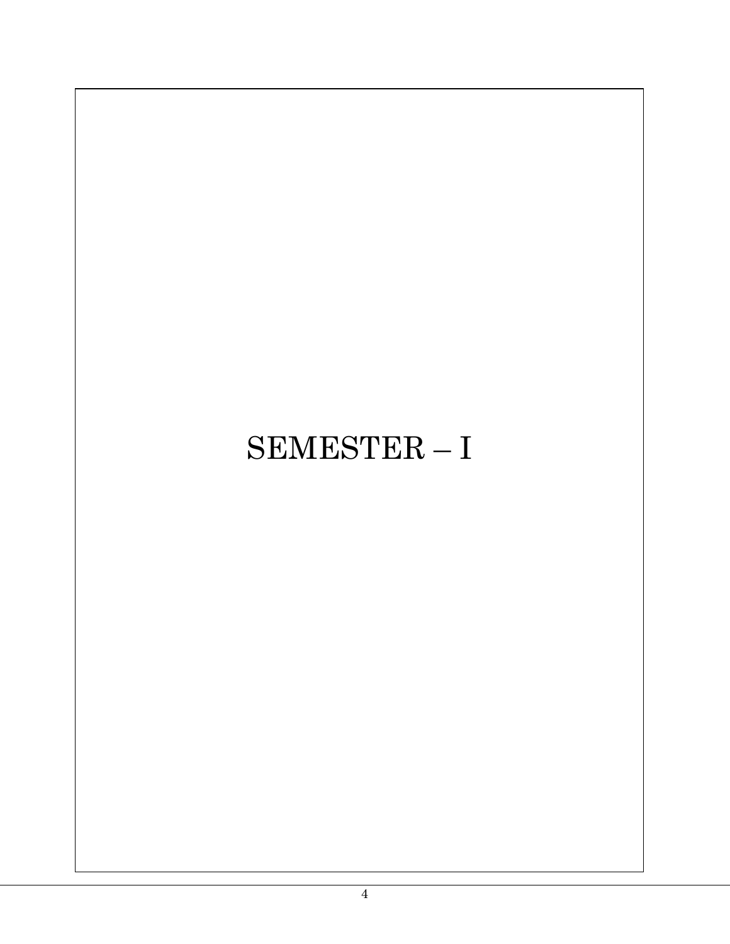# SEMESTER – I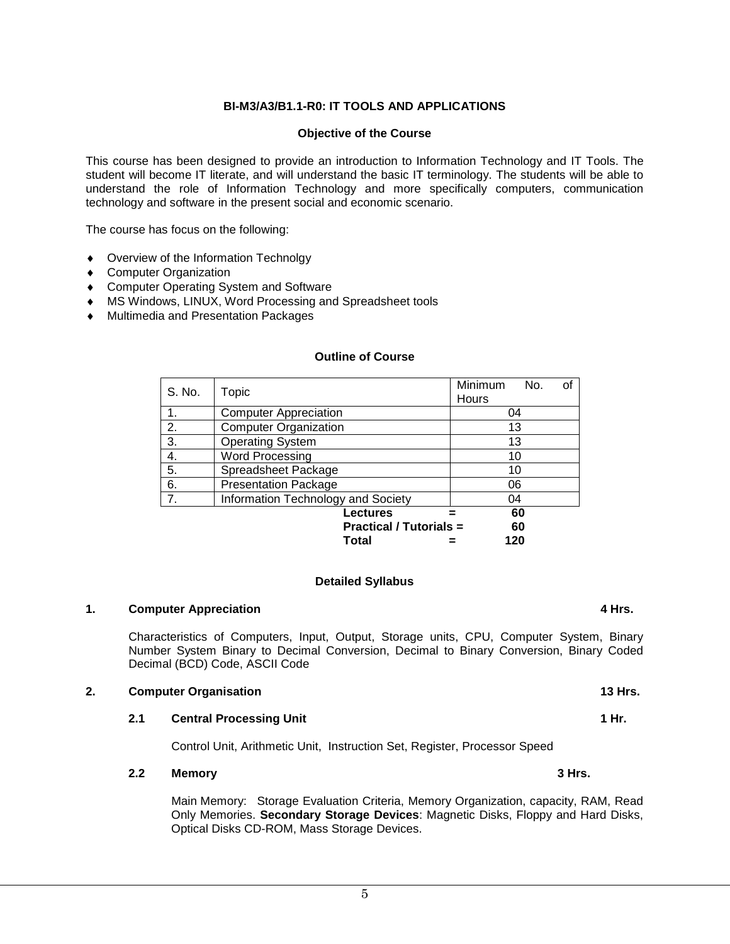#### **BI-M3/A3/B1.1-R0: IT TOOLS AND APPLICATIONS**

#### **Objective of the Course**

This course has been designed to provide an introduction to Information Technology and IT Tools. The student will become IT literate, and will understand the basic IT terminology. The students will be able to understand the role of Information Technology and more specifically computers, communication technology and software in the present social and economic scenario.

The course has focus on the following:

- ♦ Overview of the Information Technolgy
- ♦ Computer Organization
- ♦ Computer Operating System and Software
- ♦ MS Windows, LINUX, Word Processing and Spreadsheet tools
- ♦ Multimedia and Presentation Packages

| S. No.         | Topic                              | Minimum<br>Hours | No. | οf |
|----------------|------------------------------------|------------------|-----|----|
| $\mathbf{1}$ . | <b>Computer Appreciation</b>       | 04               |     |    |
| 2.             | <b>Computer Organization</b>       | 13               |     |    |
| 3.             | <b>Operating System</b>            | 13               |     |    |
| 4.             | <b>Word Processing</b>             | 10               |     |    |
| 5.             | Spreadsheet Package                | 10               |     |    |
| 6.             | <b>Presentation Package</b>        | 06               |     |    |
| 7.             | Information Technology and Society | 04               |     |    |
|                | <b>Lectures</b>                    |                  | 60  |    |
|                | <b>Practical / Tutorials =</b>     |                  | 60  |    |
|                | Total                              | 120              |     |    |

#### **Outline of Course**

#### **Detailed Syllabus**

#### **1. Computer Appreciation 1. Computer Appreciation**

Characteristics of Computers, Input, Output, Storage units, CPU, Computer System, Binary Number System Binary to Decimal Conversion, Decimal to Binary Conversion, Binary Coded Decimal (BCD) Code, ASCII Code

#### **2. Computer Organisation** 13 Hrs.

#### **2.1 Central Processing Unit 1 Hr. <b>1 Hr. 1 Hr. 1 Hr. 1**

Control Unit, Arithmetic Unit, Instruction Set, Register, Processor Speed

#### **2.2 Memory 3 Hrs.**

Main Memory: Storage Evaluation Criteria, Memory Organization, capacity, RAM, Read Only Memories. **Secondary Storage Devices**: Magnetic Disks, Floppy and Hard Disks, Optical Disks CD-ROM, Mass Storage Devices.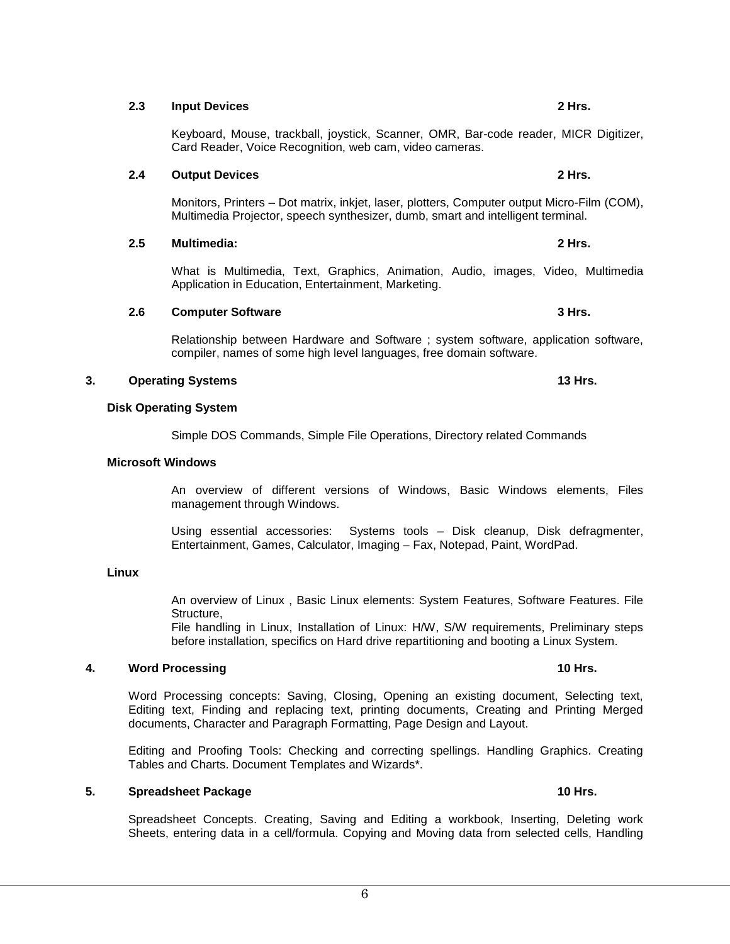#### **2.3 Input Devices 2 Hrs.**

Keyboard, Mouse, trackball, joystick, Scanner, OMR, Bar-code reader, MICR Digitizer, Card Reader, Voice Recognition, web cam, video cameras.

#### **2.4 Output Devices 2 Hrs.**

Monitors, Printers – Dot matrix, inkjet, laser, plotters, Computer output Micro-Film (COM), Multimedia Projector, speech synthesizer, dumb, smart and intelligent terminal.

#### **2.5 Multimedia: 2 Hrs.**

What is Multimedia, Text, Graphics, Animation, Audio, images, Video, Multimedia Application in Education, Entertainment, Marketing.

#### **2.6 Computer Software 3 Hrs. 3 Hrs. 3 Hrs.**

Relationship between Hardware and Software ; system software, application software, compiler, names of some high level languages, free domain software.

#### **3. Operating Systems 13 Hrs.**

#### **Disk Operating System**

Simple DOS Commands, Simple File Operations, Directory related Commands

#### **Microsoft Windows**

An overview of different versions of Windows, Basic Windows elements, Files management through Windows.

Using essential accessories: Systems tools – Disk cleanup, Disk defragmenter, Entertainment, Games, Calculator, Imaging – Fax, Notepad, Paint, WordPad.

#### **Linux**

An overview of Linux , Basic Linux elements: System Features, Software Features. File Structure,

File handling in Linux, Installation of Linux: H/W, S/W requirements, Preliminary steps before installation, specifics on Hard drive repartitioning and booting a Linux System.

#### **4. Word Processing 10 Hrs.**

Word Processing concepts: Saving, Closing, Opening an existing document, Selecting text, Editing text, Finding and replacing text, printing documents, Creating and Printing Merged documents, Character and Paragraph Formatting, Page Design and Layout.

Editing and Proofing Tools: Checking and correcting spellings. Handling Graphics. Creating Tables and Charts. Document Templates and Wizards\*.

#### **5. Spreadsheet Package 10 Hrs.**

Spreadsheet Concepts. Creating, Saving and Editing a workbook, Inserting, Deleting work Sheets, entering data in a cell/formula. Copying and Moving data from selected cells, Handling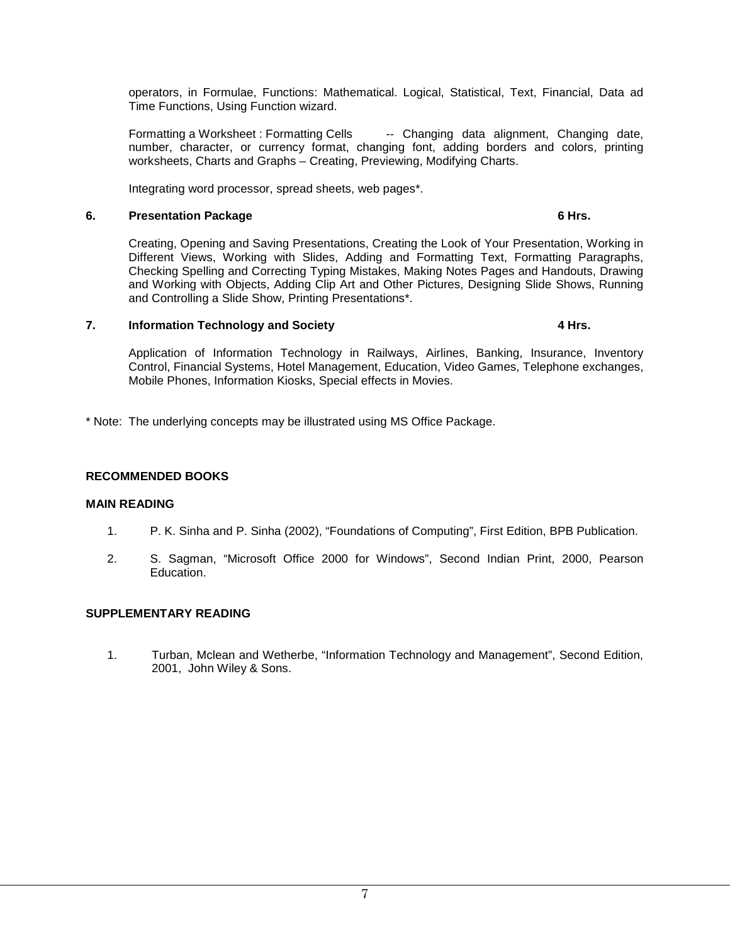operators, in Formulae, Functions: Mathematical. Logical, Statistical, Text, Financial, Data ad Time Functions, Using Function wizard.

Formatting a Worksheet : Formatting Cells - Changing data alignment, Changing date, number, character, or currency format, changing font, adding borders and colors, printing worksheets, Charts and Graphs – Creating, Previewing, Modifying Charts.

Integrating word processor, spread sheets, web pages\*.

#### **6. Presentation Package 6 Hrs.**

Creating, Opening and Saving Presentations, Creating the Look of Your Presentation, Working in Different Views, Working with Slides, Adding and Formatting Text, Formatting Paragraphs, Checking Spelling and Correcting Typing Mistakes, Making Notes Pages and Handouts, Drawing and Working with Objects, Adding Clip Art and Other Pictures, Designing Slide Shows, Running and Controlling a Slide Show, Printing Presentations\*.

#### **7. Information Technology and Society 4 Hrs.**

Application of Information Technology in Railways, Airlines, Banking, Insurance, Inventory Control, Financial Systems, Hotel Management, Education, Video Games, Telephone exchanges, Mobile Phones, Information Kiosks, Special effects in Movies.

\* Note: The underlying concepts may be illustrated using MS Office Package.

#### **RECOMMENDED BOOKS**

#### **MAIN READING**

- 1. P. K. Sinha and P. Sinha (2002), "Foundations of Computing", First Edition, BPB Publication.
- 2. S. Sagman, "Microsoft Office 2000 for Windows", Second Indian Print, 2000, Pearson Education.

#### **SUPPLEMENTARY READING**

1. Turban, Mclean and Wetherbe, "Information Technology and Management", Second Edition, 2001, John Wiley & Sons.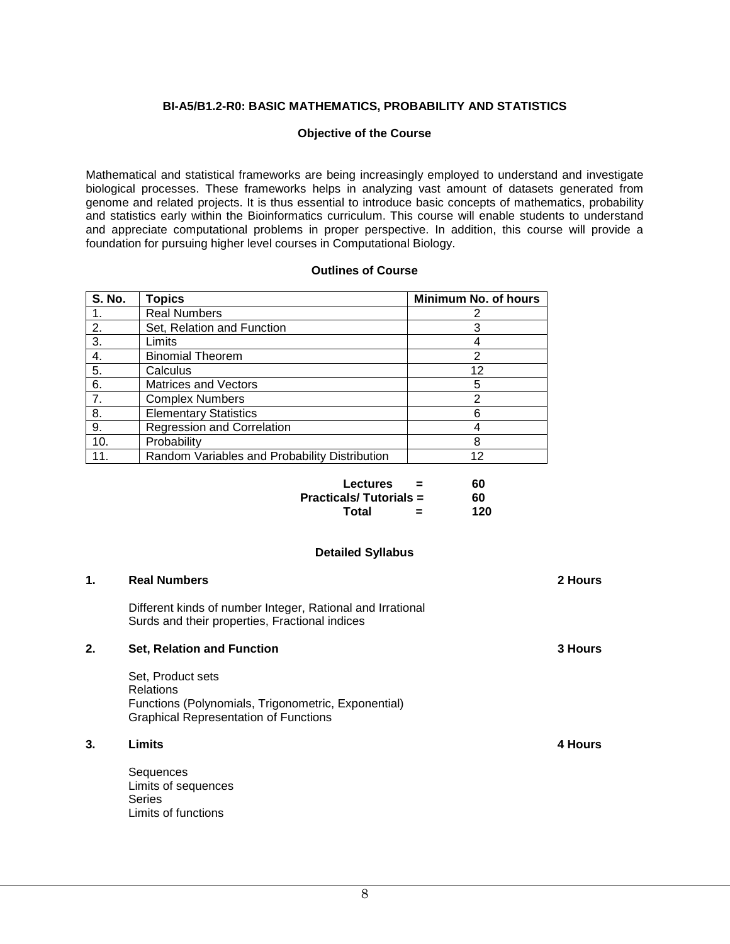#### **BI-A5/B1.2-R0: BASIC MATHEMATICS, PROBABILITY AND STATISTICS**

#### **Objective of the Course**

Mathematical and statistical frameworks are being increasingly employed to understand and investigate biological processes. These frameworks helps in analyzing vast amount of datasets generated from genome and related projects. It is thus essential to introduce basic concepts of mathematics, probability and statistics early within the Bioinformatics curriculum. This course will enable students to understand and appreciate computational problems in proper perspective. In addition, this course will provide a foundation for pursuing higher level courses in Computational Biology.

#### **Outlines of Course**

| <b>S. No.</b> | <b>Topics</b>                                 | Minimum No. of hours |
|---------------|-----------------------------------------------|----------------------|
|               | <b>Real Numbers</b>                           |                      |
| 2.            | Set, Relation and Function                    |                      |
| 3.            | Limits                                        |                      |
| 4.            | <b>Binomial Theorem</b>                       | 2                    |
| 5.            | Calculus                                      | 12                   |
| 6.            | <b>Matrices and Vectors</b>                   | 5                    |
| 7.            | <b>Complex Numbers</b>                        | າ                    |
| 8.            | <b>Elementary Statistics</b>                  | 6                    |
| 9.            | <b>Regression and Correlation</b>             |                      |
| 10.           | Probability                                   | 8                    |
|               | Random Variables and Probability Distribution | 12                   |

| <b>Lectures</b><br>=          | 60  |
|-------------------------------|-----|
| <b>Practicals/Tutorials =</b> | 60  |
| Total<br>=                    | 120 |

#### **Detailed Syllabus**

| 1. | <b>Real Numbers</b>                                                                                                                          | 2 Hours        |
|----|----------------------------------------------------------------------------------------------------------------------------------------------|----------------|
|    | Different kinds of number Integer, Rational and Irrational<br>Surds and their properties, Fractional indices                                 |                |
| 2. | <b>Set, Relation and Function</b>                                                                                                            | <b>3 Hours</b> |
|    | Set, Product sets<br><b>Relations</b><br>Functions (Polynomials, Trigonometric, Exponential)<br><b>Graphical Representation of Functions</b> |                |
| 3. | Limits                                                                                                                                       | 4 Hours        |
|    | Sequences<br>Limits of sequences<br>Series<br>Limits of functions                                                                            |                |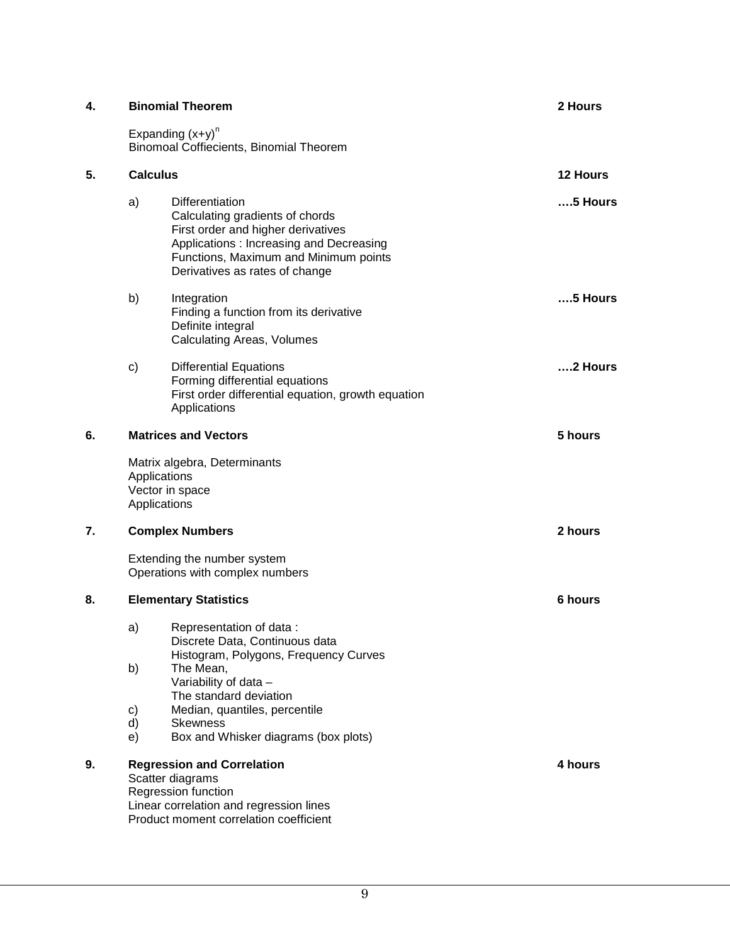| 4. |                              | <b>Binomial Theorem</b>                                                                                                                                                                                        | 2 Hours       |  |  |  |
|----|------------------------------|----------------------------------------------------------------------------------------------------------------------------------------------------------------------------------------------------------------|---------------|--|--|--|
|    |                              | Expanding $(x+y)^n$<br>Binomoal Coffiecients, Binomial Theorem                                                                                                                                                 |               |  |  |  |
| 5. |                              | <b>Calculus</b>                                                                                                                                                                                                |               |  |  |  |
|    | a)                           | Differentiation<br>Calculating gradients of chords<br>First order and higher derivatives<br>Applications: Increasing and Decreasing<br>Functions, Maximum and Minimum points<br>Derivatives as rates of change | $5$ Hours     |  |  |  |
|    | b)                           | Integration<br>Finding a function from its derivative<br>Definite integral<br><b>Calculating Areas, Volumes</b>                                                                                                | $5$ Hours     |  |  |  |
|    | c)                           | <b>Differential Equations</b><br>Forming differential equations<br>First order differential equation, growth equation<br>Applications                                                                          | $\dots$ Hours |  |  |  |
| 6. |                              | <b>Matrices and Vectors</b>                                                                                                                                                                                    | 5 hours       |  |  |  |
|    |                              | Matrix algebra, Determinants<br>Applications<br>Vector in space<br>Applications                                                                                                                                |               |  |  |  |
| 7. |                              | <b>Complex Numbers</b>                                                                                                                                                                                         | 2 hours       |  |  |  |
|    |                              | Extending the number system<br>Operations with complex numbers                                                                                                                                                 |               |  |  |  |
| 8. | <b>Elementary Statistics</b> |                                                                                                                                                                                                                |               |  |  |  |
|    | a)                           | Representation of data:<br>Discrete Data, Continuous data<br>Histogram, Polygons, Frequency Curves                                                                                                             |               |  |  |  |
|    | b)                           | The Mean,<br>Variability of data -<br>The standard deviation                                                                                                                                                   |               |  |  |  |
|    | c)<br>d)                     | Median, quantiles, percentile<br><b>Skewness</b>                                                                                                                                                               |               |  |  |  |
|    | e)                           | Box and Whisker diagrams (box plots)                                                                                                                                                                           |               |  |  |  |
| 9. |                              | <b>Regression and Correlation</b><br>Scatter diagrams<br>Regression function<br>Linear correlation and regression lines<br>Product moment correlation coefficient                                              | 4 hours       |  |  |  |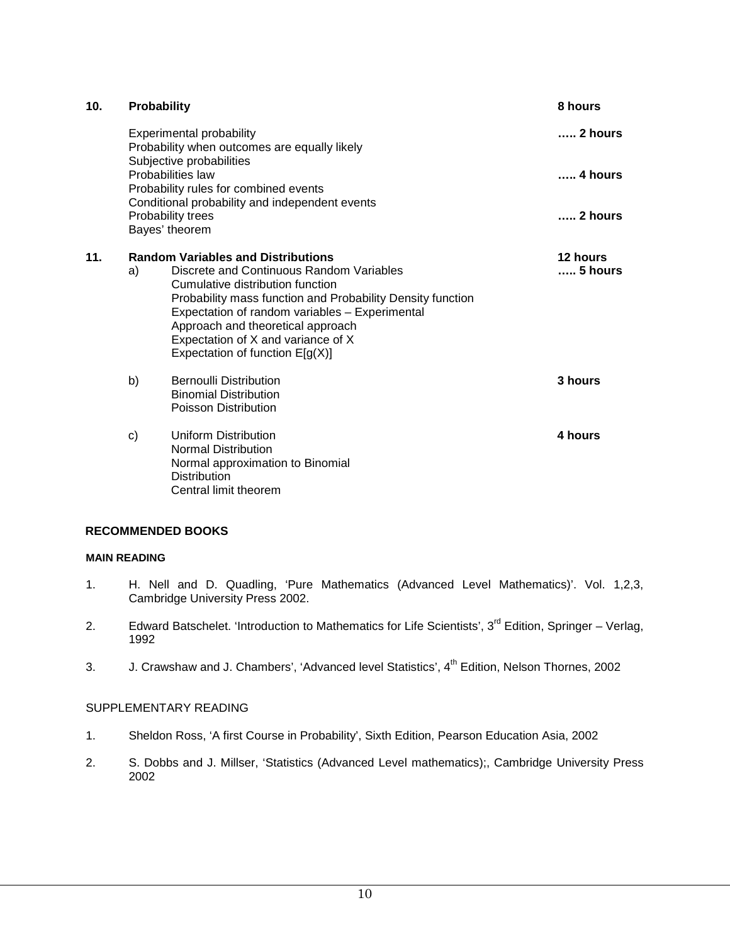| 10 <sub>1</sub> | Probability                                                                            |                                                                                                                                                                                                                                                                                                                                                           | 8 hours             |
|-----------------|----------------------------------------------------------------------------------------|-----------------------------------------------------------------------------------------------------------------------------------------------------------------------------------------------------------------------------------------------------------------------------------------------------------------------------------------------------------|---------------------|
|                 |                                                                                        | <b>Experimental probability</b><br>Probability when outcomes are equally likely                                                                                                                                                                                                                                                                           | $\ldots$ 2 hours    |
|                 | Subjective probabilities<br>Probabilities law<br>Probability rules for combined events |                                                                                                                                                                                                                                                                                                                                                           | 4 hours             |
|                 |                                                                                        | Conditional probability and independent events<br>Probability trees<br>Bayes' theorem                                                                                                                                                                                                                                                                     | $\ldots$ 2 hours    |
| 11.             | a)                                                                                     | <b>Random Variables and Distributions</b><br>Discrete and Continuous Random Variables<br>Cumulative distribution function<br>Probability mass function and Probability Density function<br>Expectation of random variables - Experimental<br>Approach and theoretical approach<br>Expectation of X and variance of X<br>Expectation of function $E[g(X)]$ | 12 hours<br>5 hours |
|                 | b)                                                                                     | Bernoulli Distribution<br><b>Binomial Distribution</b><br>Poisson Distribution                                                                                                                                                                                                                                                                            | 3 hours             |
|                 | C)                                                                                     | Uniform Distribution<br><b>Normal Distribution</b><br>Normal approximation to Binomial<br><b>Distribution</b><br>Central limit theorem                                                                                                                                                                                                                    | 4 hours             |

#### **RECOMMENDED BOOKS**

#### **MAIN READING**

- 1. H. Nell and D. Quadling, 'Pure Mathematics (Advanced Level Mathematics)'. Vol. 1,2,3, Cambridge University Press 2002.
- 2. Edward Batschelet. 'Introduction to Mathematics for Life Scientists', 3<sup>rd</sup> Edition, Springer Verlag, 1992
- 3. J. Crawshaw and J. Chambers', 'Advanced level Statistics', 4<sup>th</sup> Edition, Nelson Thornes, 2002

#### SUPPLEMENTARY READING

- 1. Sheldon Ross, 'A first Course in Probability', Sixth Edition, Pearson Education Asia, 2002
- 2. S. Dobbs and J. Millser, 'Statistics (Advanced Level mathematics);, Cambridge University Press 2002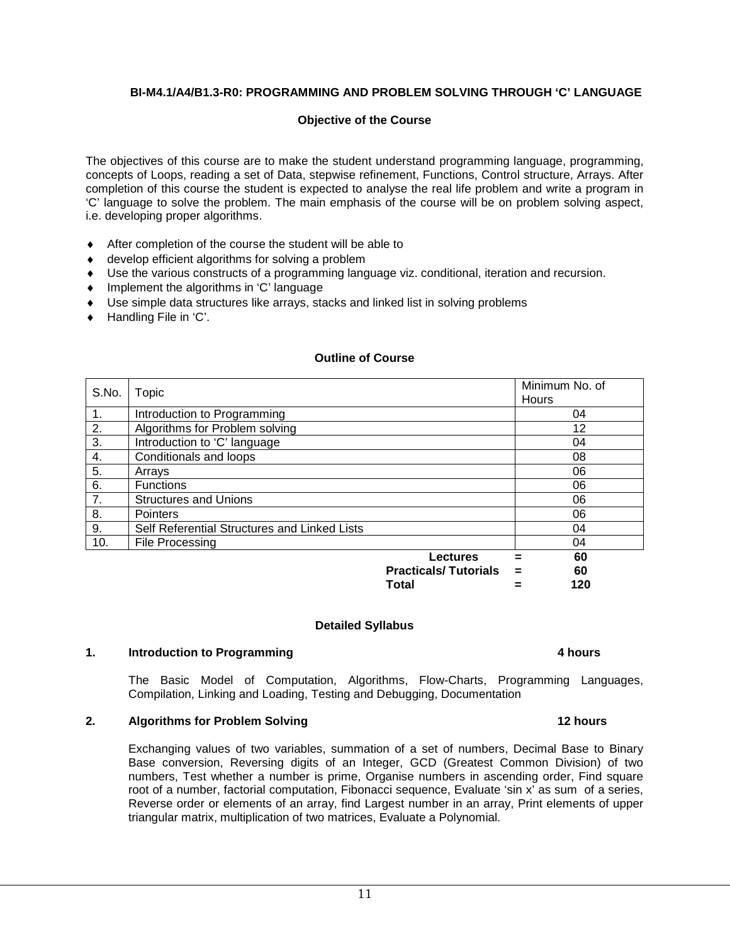#### **BI-M4.1/A4/B1.3-R0: PROGRAMMING AND PROBLEM SOLVING THROUGH 'C' LANGUAGE**

#### **Objective of the Course**

The objectives of this course are to make the student understand programming language, programming, concepts of Loops, reading a set of Data, stepwise refinement, Functions, Control structure, Arrays. After completion of this course the student is expected to analyse the real life problem and write a program in 'C' language to solve the problem. The main emphasis of the course will be on problem solving aspect, i.e. developing proper algorithms.

- ♦ After completion of the course the student will be able to
- ♦ develop efficient algorithms for solving a problem
- ♦ Use the various constructs of a programming language viz. conditional, iteration and recursion.
- ♦ Implement the algorithms in 'C' language
- ♦ Use simple data structures like arrays, stacks and linked list in solving problems
- ♦ Handling File in 'C'.

| S.No.            | Topic                                        |                             | Minimum No. of<br><b>Hours</b> |
|------------------|----------------------------------------------|-----------------------------|--------------------------------|
| $\mathbf{1}$ .   | Introduction to Programming                  |                             | 04                             |
| 2.               | Algorithms for Problem solving               |                             | 12                             |
| $\overline{3}$ . | Introduction to 'C' language                 |                             | 04                             |
| 4.               | Conditionals and loops                       |                             | 08                             |
| 5.               | Arrays                                       |                             | 06                             |
| 6.               | <b>Functions</b>                             |                             | 06                             |
| 7.               | <b>Structures and Unions</b>                 |                             | 06                             |
| 8.               | <b>Pointers</b>                              |                             | 06                             |
| 9.               | Self Referential Structures and Linked Lists |                             | 04                             |
| 10.              | File Processing                              |                             | 04                             |
|                  |                                              | Lectures                    | 60<br>=                        |
|                  |                                              | <b>Practicals/Tutorials</b> | 60<br>=                        |

#### **Outline of Course**

#### **Detailed Syllabus**

#### **1. Introduction to Programming 4 hours 3 and 4 hours 3 and 4 hours 3 and 4 hours**

The Basic Model of Computation, Algorithms, Flow-Charts, Programming Languages, Compilation, Linking and Loading, Testing and Debugging, Documentation

**Total = 120**

#### **2. Algorithms for Problem Solving 12 hours 12 hours 12 hours**

Exchanging values of two variables, summation of a set of numbers, Decimal Base to Binary Base conversion, Reversing digits of an Integer, GCD (Greatest Common Division) of two numbers, Test whether a number is prime, Organise numbers in ascending order, Find square root of a number, factorial computation, Fibonacci sequence, Evaluate 'sin x' as sum of a series, Reverse order or elements of an array, find Largest number in an array, Print elements of upper triangular matrix, multiplication of two matrices, Evaluate a Polynomial.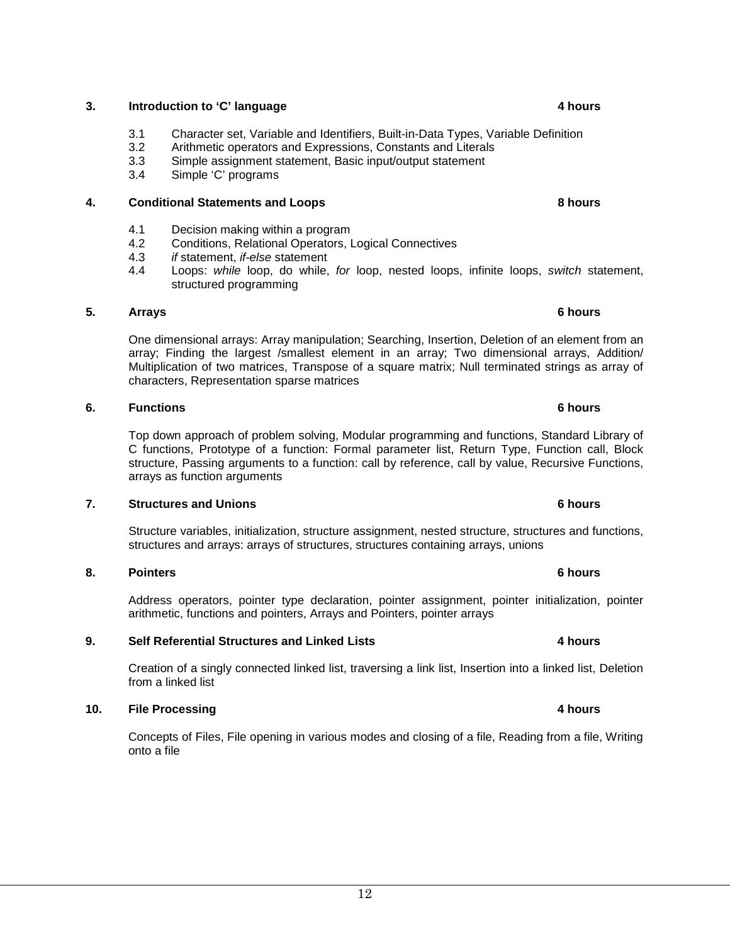#### **3. Introduction to 'C' language 4 hours 3. According to the 4 hours and 4 hours 4 hours 3. According to 4 hours 3.**

- 3.1 Character set, Variable and Identifiers, Built-in-Data Types, Variable Definition
- 3.2 Arithmetic operators and Expressions, Constants and Literals
- 3.3 Simple assignment statement, Basic input/output statement 3.4 Simple 'C' programs
- Simple 'C' programs

#### **4. Conditional Statements and Loops 8 hours 8 hours**

- 4.1 Decision making within a program<br>4.2 Conditions. Relational Operators. I
- 4.2 Conditions, Relational Operators, Logical Connectives<br>4.3 *if* statement. *if-else* statement
- *if* statement, *if-else* statement
- 4.4 Loops: *while* loop, do while, *for* loop, nested loops, infinite loops, *switch* statement, structured programming

#### **5. Arrays 6 hours**

One dimensional arrays: Array manipulation; Searching, Insertion, Deletion of an element from an array; Finding the largest /smallest element in an array; Two dimensional arrays, Addition/ Multiplication of two matrices, Transpose of a square matrix; Null terminated strings as array of characters, Representation sparse matrices

#### **6. Functions 6 hours**

Top down approach of problem solving, Modular programming and functions, Standard Library of C functions, Prototype of a function: Formal parameter list, Return Type, Function call, Block structure, Passing arguments to a function: call by reference, call by value, Recursive Functions, arrays as function arguments

#### **7. Structures and Unions 6 hours <b>6 hours 6 hours**

Structure variables, initialization, structure assignment, nested structure, structures and functions, structures and arrays: arrays of structures, structures containing arrays, unions

#### **8. Pointers 6 hours**

Address operators, pointer type declaration, pointer assignment, pointer initialization, pointer arithmetic, functions and pointers, Arrays and Pointers, pointer arrays

#### **9. Self Referential Structures and Linked Lists 4 hours**

Creation of a singly connected linked list, traversing a link list, Insertion into a linked list, Deletion from a linked list

#### **10. File Processing 4 hours**

Concepts of Files, File opening in various modes and closing of a file, Reading from a file, Writing onto a file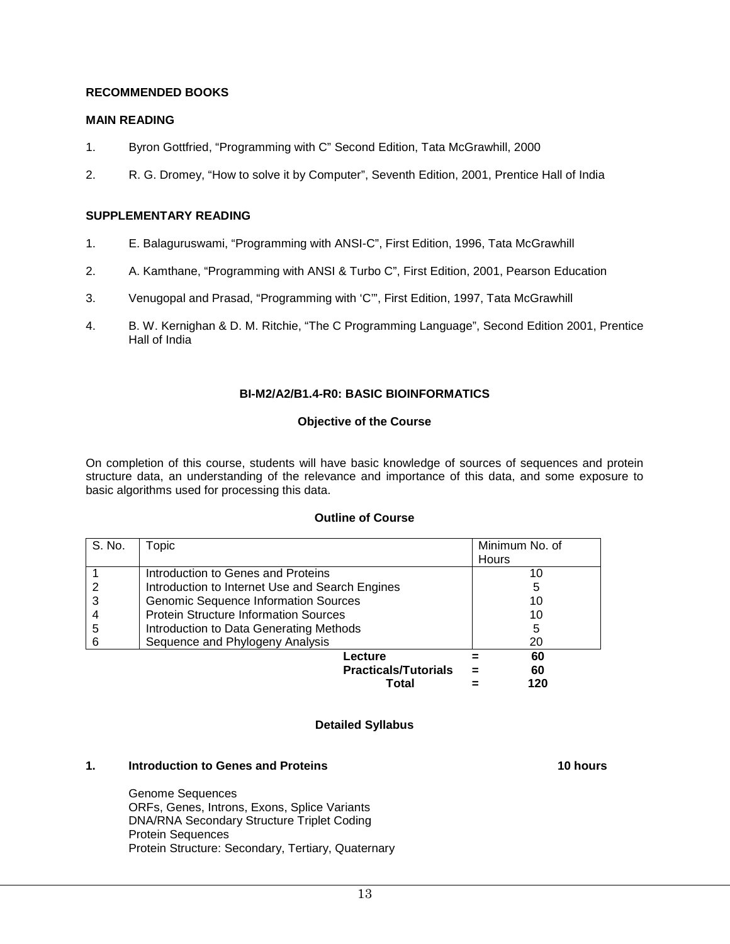#### **RECOMMENDED BOOKS**

#### **MAIN READING**

- 1. Byron Gottfried, "Programming with C" Second Edition, Tata McGrawhill, 2000
- 2. R. G. Dromey, "How to solve it by Computer", Seventh Edition, 2001, Prentice Hall of India

#### **SUPPLEMENTARY READING**

- 1. E. Balaguruswami, "Programming with ANSI-C", First Edition, 1996, Tata McGrawhill
- 2. A. Kamthane, "Programming with ANSI & Turbo C", First Edition, 2001, Pearson Education
- 3. Venugopal and Prasad, "Programming with 'C'", First Edition, 1997, Tata McGrawhill
- 4. B. W. Kernighan & D. M. Ritchie, "The C Programming Language", Second Edition 2001, Prentice Hall of India

#### **BI-M2/A2/B1.4-R0: BASIC BIOINFORMATICS**

#### **Objective of the Course**

On completion of this course, students will have basic knowledge of sources of sequences and protein structure data, an understanding of the relevance and importance of this data, and some exposure to basic algorithms used for processing this data.

#### **Outline of Course**

| S. No. | Topic                                           | Minimum No. of |  |
|--------|-------------------------------------------------|----------------|--|
|        |                                                 | <b>Hours</b>   |  |
|        | Introduction to Genes and Proteins              | 10             |  |
|        | Introduction to Internet Use and Search Engines | 5              |  |
|        | <b>Genomic Sequence Information Sources</b>     | 10             |  |
|        | <b>Protein Structure Information Sources</b>    | 10             |  |
| 5      | Introduction to Data Generating Methods         | 5              |  |
| 6      | Sequence and Phylogeny Analysis                 | 20             |  |
|        | Lecture                                         | 60             |  |
|        | <b>Practicals/Tutorials</b>                     | 60             |  |
|        | Total                                           | 120            |  |

#### **Detailed Syllabus**

#### **1. Introduction to Genes and Proteins 10 hours** 10 hours

Genome Sequences ORFs, Genes, Introns, Exons, Splice Variants DNA/RNA Secondary Structure Triplet Coding Protein Sequences Protein Structure: Secondary, Tertiary, Quaternary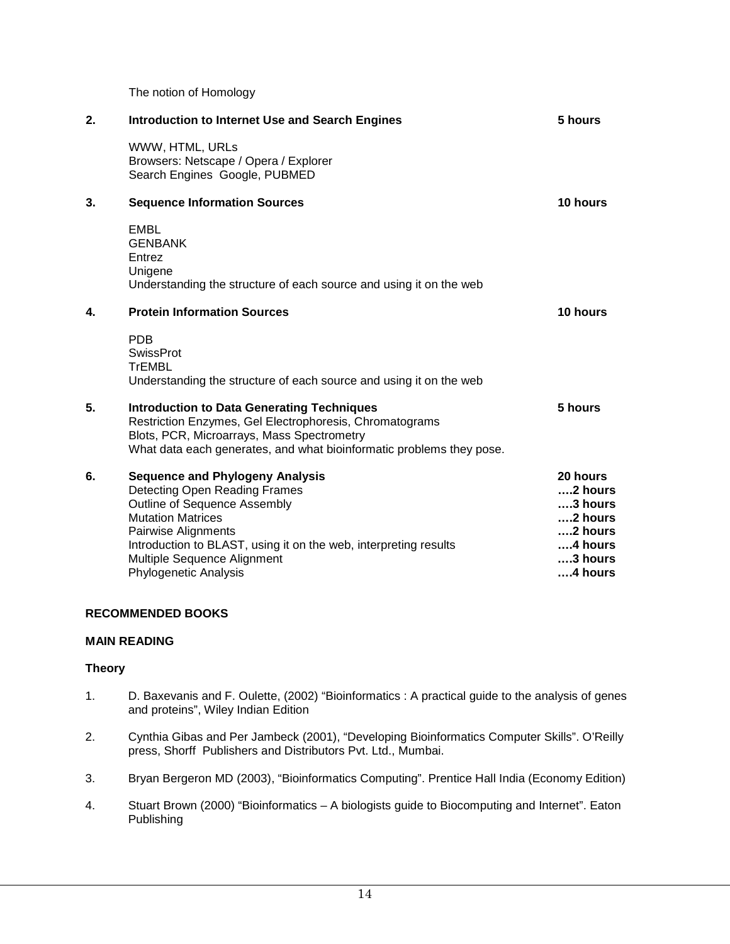The notion of Homology

| 2. | <b>Introduction to Internet Use and Search Engines</b>                                                                                                                                                                                                                                 | 5 hours                                                                                               |
|----|----------------------------------------------------------------------------------------------------------------------------------------------------------------------------------------------------------------------------------------------------------------------------------------|-------------------------------------------------------------------------------------------------------|
|    | WWW, HTML, URLs<br>Browsers: Netscape / Opera / Explorer<br>Search Engines Google, PUBMED                                                                                                                                                                                              |                                                                                                       |
| 3. | <b>Sequence Information Sources</b>                                                                                                                                                                                                                                                    | 10 hours                                                                                              |
|    | EMBL<br><b>GENBANK</b><br>Entrez<br>Unigene<br>Understanding the structure of each source and using it on the web                                                                                                                                                                      |                                                                                                       |
| 4. | <b>Protein Information Sources</b>                                                                                                                                                                                                                                                     | 10 hours                                                                                              |
|    | <b>PDB</b><br><b>SwissProt</b><br><b>TrEMBL</b><br>Understanding the structure of each source and using it on the web                                                                                                                                                                  |                                                                                                       |
| 5. | <b>Introduction to Data Generating Techniques</b><br>Restriction Enzymes, Gel Electrophoresis, Chromatograms<br>Blots, PCR, Microarrays, Mass Spectrometry<br>What data each generates, and what bioinformatic problems they pose.                                                     | 5 hours                                                                                               |
| 6. | <b>Sequence and Phylogeny Analysis</b><br>Detecting Open Reading Frames<br>Outline of Sequence Assembly<br><b>Mutation Matrices</b><br>Pairwise Alignments<br>Introduction to BLAST, using it on the web, interpreting results<br>Multiple Sequence Alignment<br>Phylogenetic Analysis | 20 hours<br>$2$ hours<br>$3$ hours<br>$2$ hours<br>2 hours<br>$4$ hours<br>$\dots$ 3 hours<br>4 hours |

#### **RECOMMENDED BOOKS**

#### **MAIN READING**

#### **Theory**

- 1. D. Baxevanis and F. Oulette, (2002) "Bioinformatics : A practical guide to the analysis of genes and proteins", Wiley Indian Edition
- 2. Cynthia Gibas and Per Jambeck (2001), "Developing Bioinformatics Computer Skills". O'Reilly press, Shorff Publishers and Distributors Pvt. Ltd., Mumbai.
- 3. Bryan Bergeron MD (2003), "Bioinformatics Computing". Prentice Hall India (Economy Edition)
- 4. Stuart Brown (2000) "Bioinformatics A biologists guide to Biocomputing and Internet". Eaton Publishing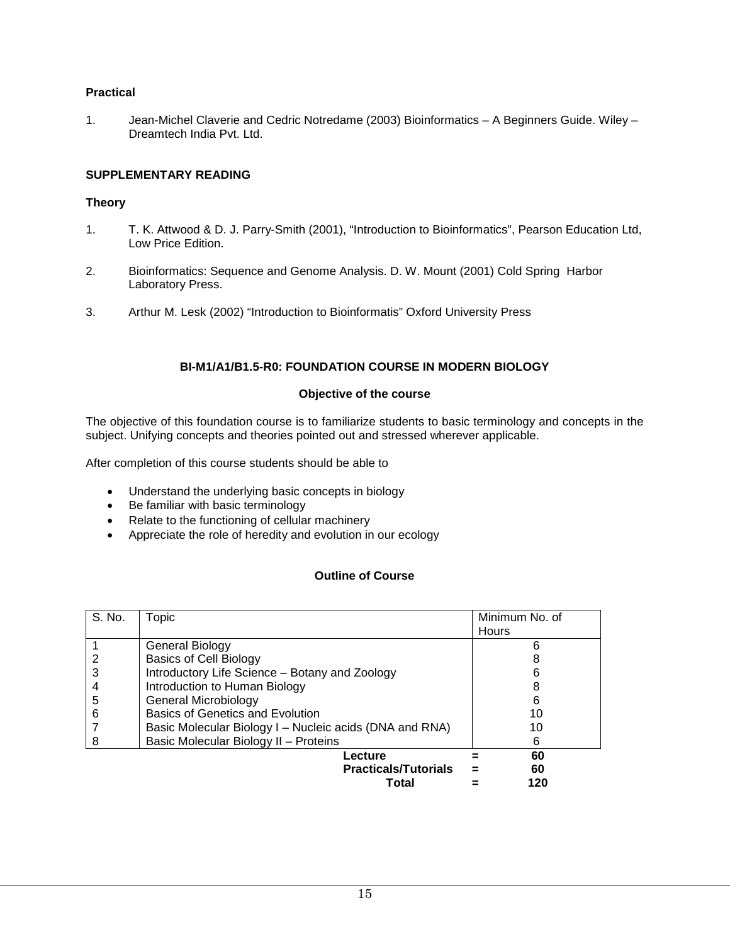#### **Practical**

1. Jean-Michel Claverie and Cedric Notredame (2003) Bioinformatics – A Beginners Guide. Wiley – Dreamtech India Pvt. Ltd.

#### **SUPPLEMENTARY READING**

#### **Theory**

- 1. T. K. Attwood & D. J. Parry-Smith (2001), "Introduction to Bioinformatics", Pearson Education Ltd, Low Price Edition.
- 2. Bioinformatics: Sequence and Genome Analysis. D. W. Mount (2001) Cold Spring Harbor Laboratory Press.
- 3. Arthur M. Lesk (2002) "Introduction to Bioinformatis" Oxford University Press

#### **BI-M1/A1/B1.5-R0: FOUNDATION COURSE IN MODERN BIOLOGY**

#### **Objective of the course**

The objective of this foundation course is to familiarize students to basic terminology and concepts in the subject. Unifying concepts and theories pointed out and stressed wherever applicable.

After completion of this course students should be able to

- Understand the underlying basic concepts in biology
- Be familiar with basic terminology
- Relate to the functioning of cellular machinery
- Appreciate the role of heredity and evolution in our ecology

#### **Outline of Course**

| S. No. | Topic                                                   | Minimum No. of |
|--------|---------------------------------------------------------|----------------|
|        |                                                         | Hours          |
|        | General Biology                                         |                |
|        | <b>Basics of Cell Biology</b>                           |                |
| 3      | Introductory Life Science - Botany and Zoology          |                |
|        | Introduction to Human Biology                           |                |
| 5      | General Microbiology                                    | 6              |
| 6      | Basics of Genetics and Evolution                        | 10             |
|        | Basic Molecular Biology I - Nucleic acids (DNA and RNA) |                |
| 8      | Basic Molecular Biology II - Proteins                   | 6              |
|        | Lecture                                                 | 60             |
|        | <b>Practicals/Tutorials</b>                             | 60             |
|        | Total                                                   | 120            |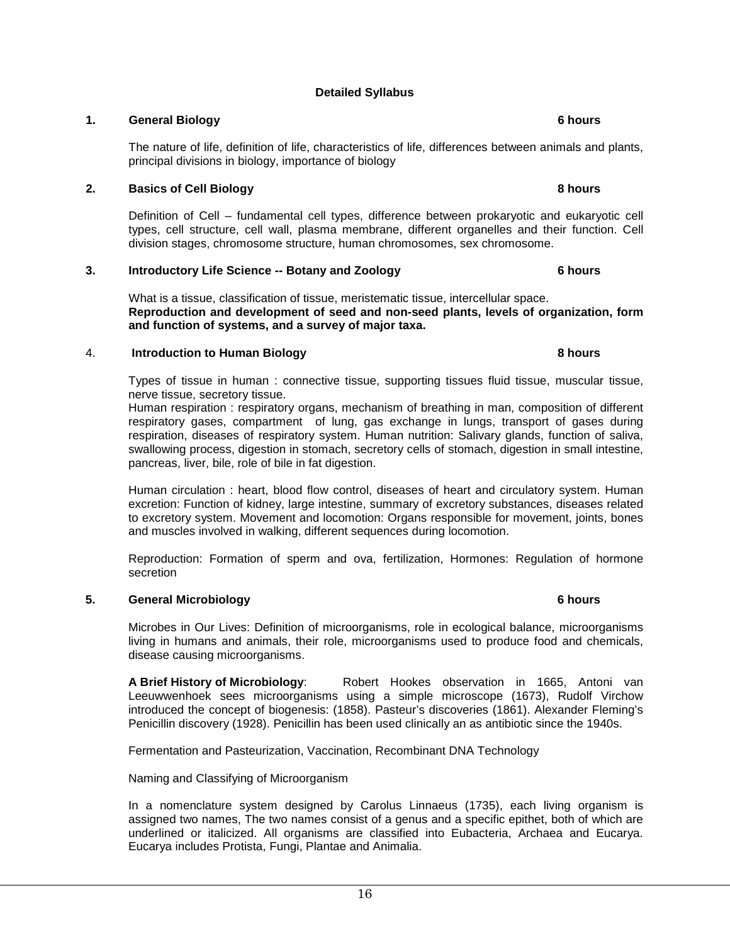### **Detailed Syllabus**

#### **1. General Biology 6 hours**

The nature of life, definition of life, characteristics of life, differences between animals and plants, principal divisions in biology, importance of biology

#### **2. Basics of Cell Biology 8 hours**

Definition of Cell – fundamental cell types, difference between prokaryotic and eukaryotic cell types, cell structure, cell wall, plasma membrane, different organelles and their function. Cell division stages, chromosome structure, human chromosomes, sex chromosome.

#### **3. Introductory Life Science -- Botany and Zoology 6 hours**

What is a tissue, classification of tissue, meristematic tissue, intercellular space. **Reproduction and development of seed and non-seed plants, levels of organization, form and function of systems, and a survey of major taxa.**

#### 4. **Introduction to Human Biology <b>8 hours** 8 hours

Types of tissue in human : connective tissue, supporting tissues fluid tissue, muscular tissue, nerve tissue, secretory tissue.

Human respiration : respiratory organs, mechanism of breathing in man, composition of different respiratory gases, compartment of lung, gas exchange in lungs, transport of gases during respiration, diseases of respiratory system. Human nutrition: Salivary glands, function of saliva, swallowing process, digestion in stomach, secretory cells of stomach, digestion in small intestine, pancreas, liver, bile, role of bile in fat digestion.

Human circulation : heart, blood flow control, diseases of heart and circulatory system. Human excretion: Function of kidney, large intestine, summary of excretory substances, diseases related to excretory system. Movement and locomotion: Organs responsible for movement, joints, bones and muscles involved in walking, different sequences during locomotion.

Reproduction: Formation of sperm and ova, fertilization, Hormones: Regulation of hormone secretion

#### **5. General Microbiology 6 hours**

Microbes in Our Lives: Definition of microorganisms, role in ecological balance, microorganisms living in humans and animals, their role, microorganisms used to produce food and chemicals, disease causing microorganisms.

**A Brief History of Microbiology**: Robert Hookes observation in 1665, Antoni van Leeuwwenhoek sees microorganisms using a simple microscope (1673), Rudolf Virchow introduced the concept of biogenesis: (1858). Pasteur's discoveries (1861). Alexander Fleming's Penicillin discovery (1928). Penicillin has been used clinically an as antibiotic since the 1940s.

Fermentation and Pasteurization, Vaccination, Recombinant DNA Technology

Naming and Classifying of Microorganism

In a nomenclature system designed by Carolus Linnaeus (1735), each living organism is assigned two names, The two names consist of a genus and a specific epithet, both of which are underlined or italicized. All organisms are classified into Eubacteria, Archaea and Eucarya. Eucarya includes Protista, Fungi, Plantae and Animalia.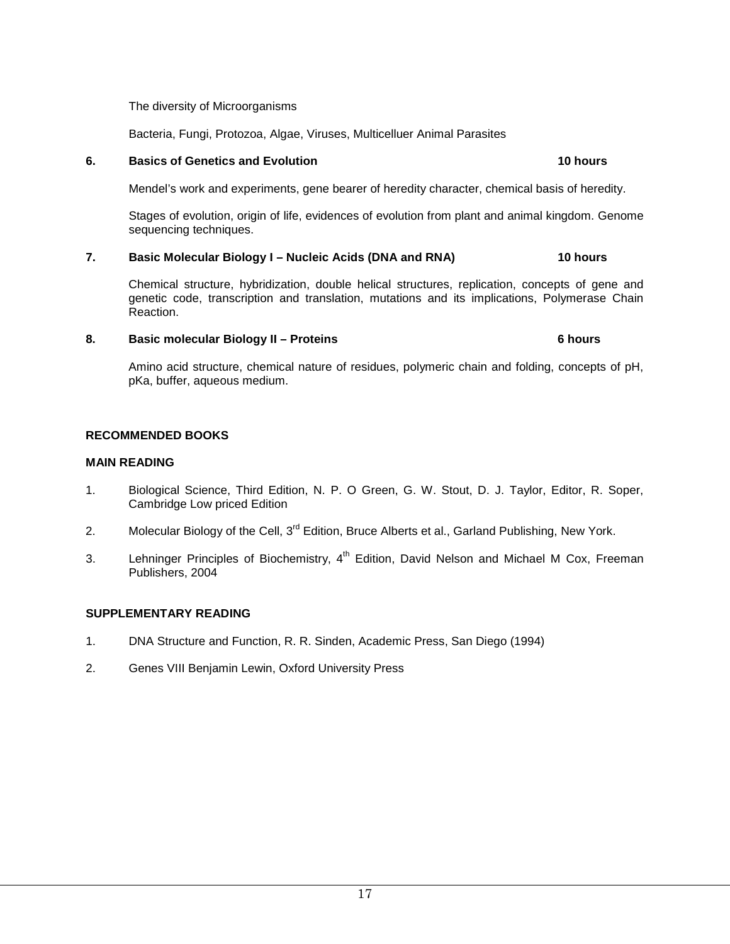The diversity of Microorganisms

Bacteria, Fungi, Protozoa, Algae, Viruses, Multicelluer Animal Parasites

#### **6. Basics of Genetics and Evolution 10 hours**

Mendel's work and experiments, gene bearer of heredity character, chemical basis of heredity.

Stages of evolution, origin of life, evidences of evolution from plant and animal kingdom. Genome sequencing techniques.

#### **7. Basic Molecular Biology I – Nucleic Acids (DNA and RNA) 10 hours**

Chemical structure, hybridization, double helical structures, replication, concepts of gene and genetic code, transcription and translation, mutations and its implications, Polymerase Chain Reaction.

#### **8. Basic molecular Biology II – Proteins 6 hours**

Amino acid structure, chemical nature of residues, polymeric chain and folding, concepts of pH, pKa, buffer, aqueous medium.

#### **RECOMMENDED BOOKS**

#### **MAIN READING**

- 1. Biological Science, Third Edition, N. P. O Green, G. W. Stout, D. J. Taylor, Editor, R. Soper, Cambridge Low priced Edition
- 2. Molecular Biology of the Cell, 3<sup>rd</sup> Edition, Bruce Alberts et al., Garland Publishing, New York.
- 3. Lehninger Principles of Biochemistry,  $4<sup>th</sup>$  Edition, David Nelson and Michael M Cox, Freeman Publishers, 2004

#### **SUPPLEMENTARY READING**

- 1. DNA Structure and Function, R. R. Sinden, Academic Press, San Diego (1994)
- 2. Genes VIII Benjamin Lewin, Oxford University Press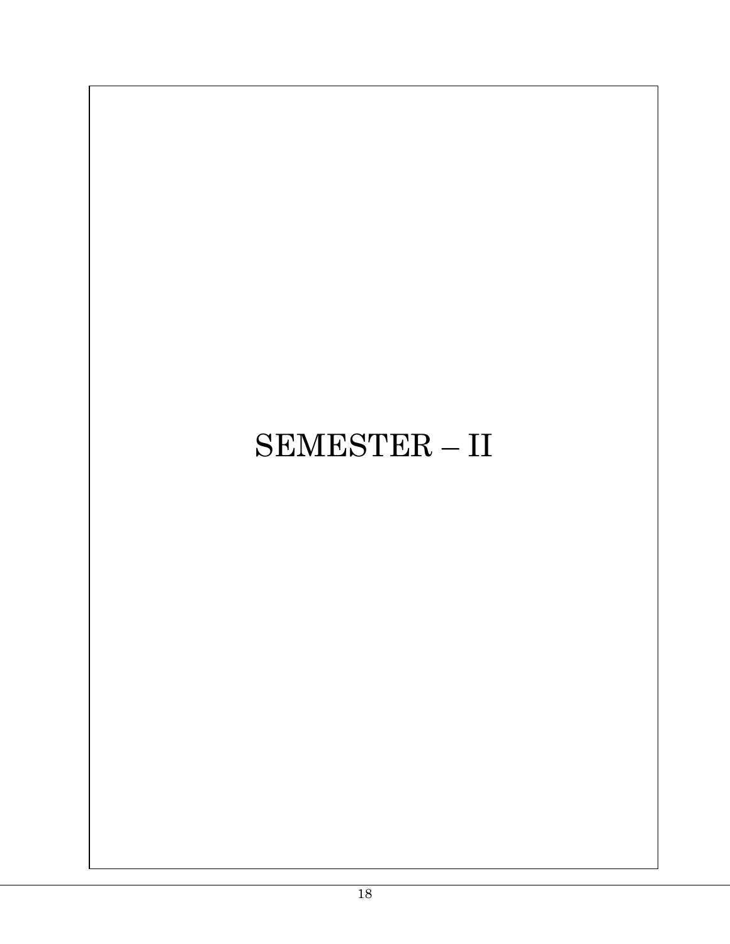# SEMESTER – II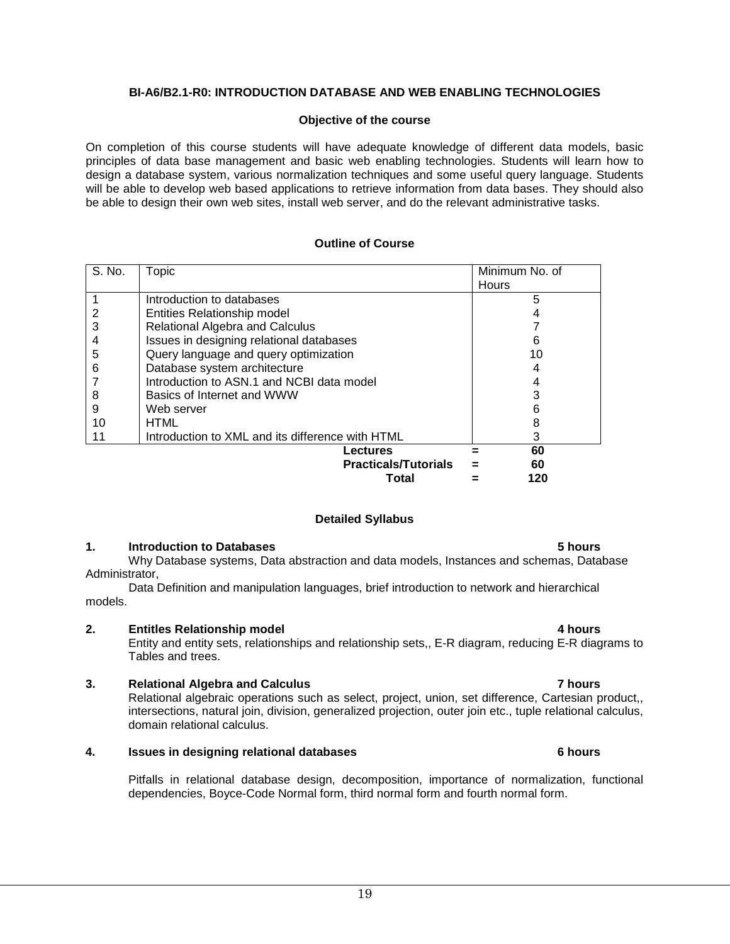#### **BI-A6/B2.1-R0: INTRODUCTION DATABASE AND WEB ENABLING TECHNOLOGIES**

#### **Objective of the course**

On completion of this course students will have adequate knowledge of different data models, basic principles of data base management and basic web enabling technologies. Students will learn how to design a database system, various normalization techniques and some useful query language. Students will be able to develop web based applications to retrieve information from data bases. They should also be able to design their own web sites, install web server, and do the relevant administrative tasks.

#### **Outline of Course**

| S. No. | Topic                                            | Minimum No. of |
|--------|--------------------------------------------------|----------------|
|        |                                                  | <b>Hours</b>   |
|        | Introduction to databases                        | 5              |
| 2      | Entities Relationship model                      |                |
| 3      | Relational Algebra and Calculus                  |                |
| 4      | Issues in designing relational databases         | 6              |
| 5      | Query language and query optimization            | 10             |
| 6      | Database system architecture                     |                |
|        | Introduction to ASN.1 and NCBI data model        |                |
| 8      | Basics of Internet and WWW                       |                |
| 9      | Web server                                       |                |
| 10     | HTML                                             |                |
| 11     | Introduction to XML and its difference with HTML | 3              |
|        | Lectures                                         | 60             |
|        | <b>Practicals/Tutorials</b>                      | 60             |
|        | Total                                            | 120            |

#### **Detailed Syllabus**

#### **1. Introduction to Databases 5 hours**

Why Database systems, Data abstraction and data models, Instances and schemas, Database Administrator,

Data Definition and manipulation languages, brief introduction to network and hierarchical models.

#### **2. Entitles Relationship model 4 hours**

Entity and entity sets, relationships and relationship sets,, E-R diagram, reducing E-R diagrams to Tables and trees.

#### **3. Relational Algebra and Calculus 7 hours**

Relational algebraic operations such as select, project, union, set difference, Cartesian product,, intersections, natural join, division, generalized projection, outer join etc., tuple relational calculus, domain relational calculus.

#### **4. Issues in designing relational databases 6 hours**

Pitfalls in relational database design, decomposition, importance of normalization, functional dependencies, Boyce-Code Normal form, third normal form and fourth normal form.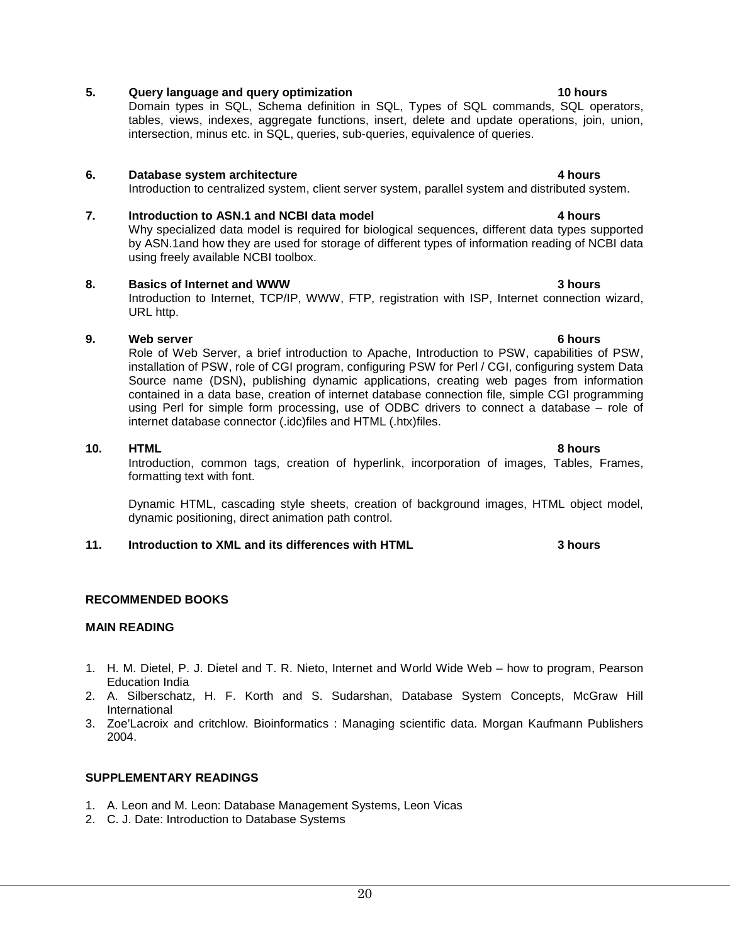### **5. Query language and query optimization 10 hours 10 hours**

Domain types in SQL, Schema definition in SQL, Types of SQL commands, SQL operators, tables, views, indexes, aggregate functions, insert, delete and update operations, join, union, intersection, minus etc. in SQL, queries, sub-queries, equivalence of queries.

#### **6. Database system architecture 1.1 <b>A 1.1 1.1 1.1 1.1 1.1 1.1 1.1 1.1 1.1 1.1 1.1 1.1 1.1 1.1 1.1 1.1 1.1 1.1 1.1 1.1 1.1 1.1 1.1 1.1 1.1 1.1 1.1 1.1 1.1 1.**

Introduction to centralized system, client server system, parallel system and distributed system.

### **7. Introduction to ASN.1 and NCBI data model 4 hours**

Why specialized data model is required for biological sequences, different data types supported by ASN.1and how they are used for storage of different types of information reading of NCBI data using freely available NCBI toolbox.

#### **8. Basics of Internet and WWW 3 hours**

Introduction to Internet, TCP/IP, WWW, FTP, registration with ISP, Internet connection wizard, URL http.

#### **9. Web server 6 hours**

Role of Web Server, a brief introduction to Apache, Introduction to PSW, capabilities of PSW, installation of PSW, role of CGI program, configuring PSW for Perl / CGI, configuring system Data Source name (DSN), publishing dynamic applications, creating web pages from information contained in a data base, creation of internet database connection file, simple CGI programming using Perl for simple form processing, use of ODBC drivers to connect a database – role of internet database connector (.idc)files and HTML (.htx)files.

**10. HTML 8 hours**  Introduction, common tags, creation of hyperlink, incorporation of images, Tables, Frames, formatting text with font.

Dynamic HTML, cascading style sheets, creation of background images, HTML object model, dynamic positioning, direct animation path control.

#### **11. Introduction to XML and its differences with HTML 3 hours**

#### **RECOMMENDED BOOKS**

#### **MAIN READING**

- 1. H. M. Dietel, P. J. Dietel and T. R. Nieto, Internet and World Wide Web how to program, Pearson Education India
- 2. A. Silberschatz, H. F. Korth and S. Sudarshan, Database System Concepts, McGraw Hill International
- 3. Zoe'Lacroix and critchlow. Bioinformatics : Managing scientific data. Morgan Kaufmann Publishers 2004.

#### **SUPPLEMENTARY READINGS**

- 1. A. Leon and M. Leon: Database Management Systems, Leon Vicas
- 2. C. J. Date: Introduction to Database Systems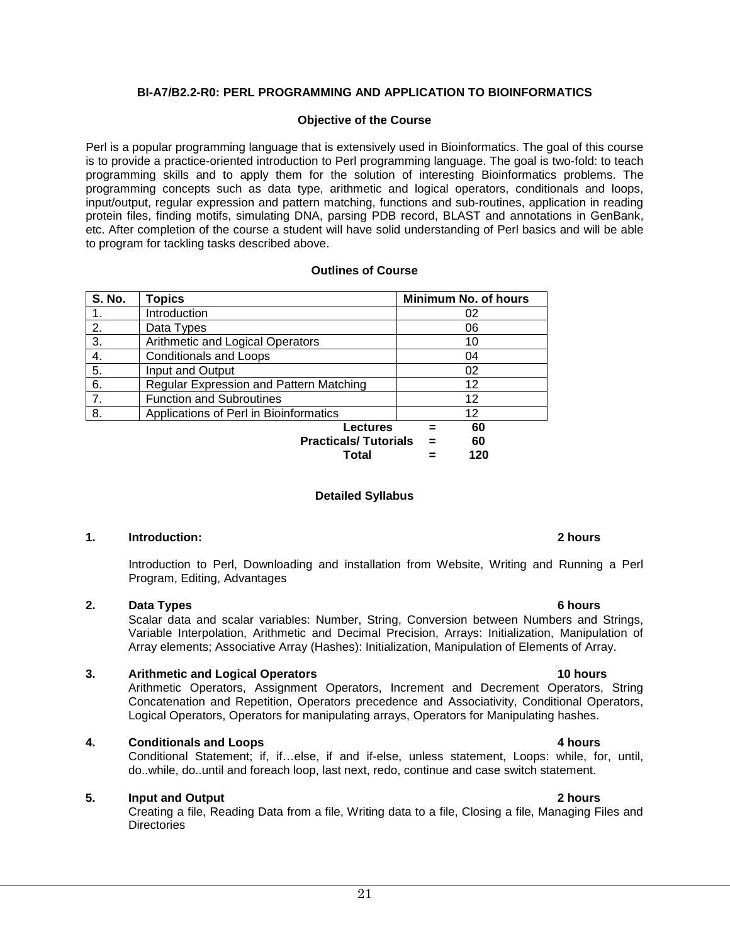#### **BI-A7/B2.2-R0: PERL PROGRAMMING AND APPLICATION TO BIOINFORMATICS**

#### **Objective of the Course**

Perl is a popular programming language that is extensively used in Bioinformatics. The goal of this course is to provide a practice-oriented introduction to Perl programming language. The goal is two-fold: to teach programming skills and to apply them for the solution of interesting Bioinformatics problems. The programming concepts such as data type, arithmetic and logical operators, conditionals and loops, input/output, regular expression and pattern matching, functions and sub-routines, application in reading protein files, finding motifs, simulating DNA, parsing PDB record, BLAST and annotations in GenBank, etc. After completion of the course a student will have solid understanding of Perl basics and will be able to program for tackling tasks described above.

#### **Outlines of Course**

| <b>S. No.</b> | <b>Topics</b>                           | <b>Minimum No. of hours</b> |
|---------------|-----------------------------------------|-----------------------------|
|               | Introduction                            | 02                          |
| 2.            | Data Types                              | 06                          |
| 3.            | Arithmetic and Logical Operators        | 10                          |
| 4.            | <b>Conditionals and Loops</b>           | 04                          |
| 5.            | Input and Output                        | 02                          |
| 6.            | Regular Expression and Pattern Matching | 12                          |
| 7.            | <b>Function and Subroutines</b>         | 12                          |
| 8.            | Applications of Perl in Bioinformatics  | 12                          |
|               | Lectures                                | 60                          |
|               | <b>Practicals/Tutorials</b>             | 60<br>$=$                   |
|               | Total                                   | 120                         |

#### **Detailed Syllabus**

#### **1. Introduction: 2 hours**

Introduction to Perl, Downloading and installation from Website, Writing and Running a Perl Program, Editing, Advantages

#### **2. Data Types 6 hours**

Scalar data and scalar variables: Number, String, Conversion between Numbers and Strings, Variable Interpolation, Arithmetic and Decimal Precision, Arrays: Initialization, Manipulation of Array elements; Associative Array (Hashes): Initialization, Manipulation of Elements of Array.

#### **3. Arithmetic and Logical Operators 10 hours 10 hours**

Arithmetic Operators, Assignment Operators, Increment and Decrement Operators, String Concatenation and Repetition, Operators precedence and Associativity, Conditional Operators, Logical Operators, Operators for manipulating arrays, Operators for Manipulating hashes.

#### **4. Conditionals and Loops 4 hours <b>4 hours 4 hours**

Conditional Statement; if, if…else, if and if-else, unless statement, Loops: while, for, until, do..while, do..until and foreach loop, last next, redo, continue and case switch statement.

#### **5. Input and Output 2 hours**

Creating a file, Reading Data from a file, Writing data to a file, Closing a file, Managing Files and **Directories**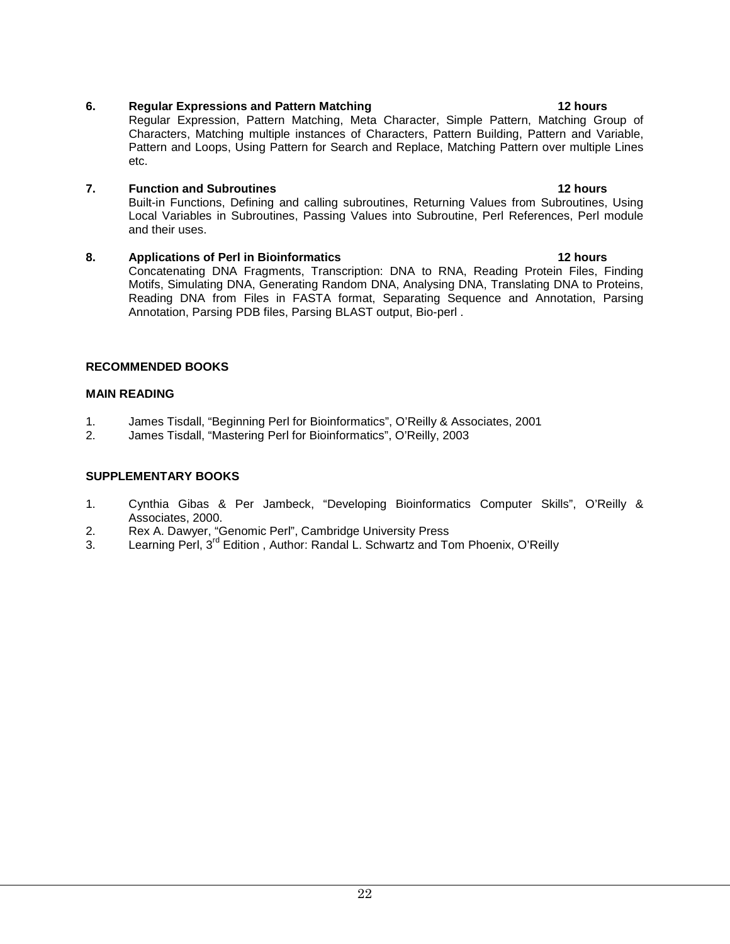### **6. Regular Expressions and Pattern Matching 12 hours**

Regular Expression, Pattern Matching, Meta Character, Simple Pattern, Matching Group of Characters, Matching multiple instances of Characters, Pattern Building, Pattern and Variable, Pattern and Loops, Using Pattern for Search and Replace, Matching Pattern over multiple Lines etc.

#### **7. Function and Subroutines 12 hours 12 hours**

Built-in Functions, Defining and calling subroutines, Returning Values from Subroutines, Using Local Variables in Subroutines, Passing Values into Subroutine, Perl References, Perl module and their uses.

#### **8. Applications of Perl in Bioinformatics 12 hours 12 hours**

Concatenating DNA Fragments, Transcription: DNA to RNA, Reading Protein Files, Finding Motifs, Simulating DNA, Generating Random DNA, Analysing DNA, Translating DNA to Proteins, Reading DNA from Files in FASTA format, Separating Sequence and Annotation, Parsing Annotation, Parsing PDB files, Parsing BLAST output, Bio-perl .

### **RECOMMENDED BOOKS**

### **MAIN READING**

- 1. James Tisdall, "Beginning Perl for Bioinformatics", O'Reilly & Associates, 2001
- 2. James Tisdall, "Mastering Perl for Bioinformatics", O'Reilly, 2003

### **SUPPLEMENTARY BOOKS**

- 1. Cynthia Gibas & Per Jambeck, "Developing Bioinformatics Computer Skills", O'Reilly & Associates, 2000.
- 2. Rex A. Dawyer, "Genomic Perl", Cambridge University Press<br>3. Learning Perl.  $3^{\text{rd}}$  Edition . Author: Randal L. Schwartz and To
- Learning Perl, 3<sup>rd</sup> Edition, Author: Randal L. Schwartz and Tom Phoenix, O'Reilly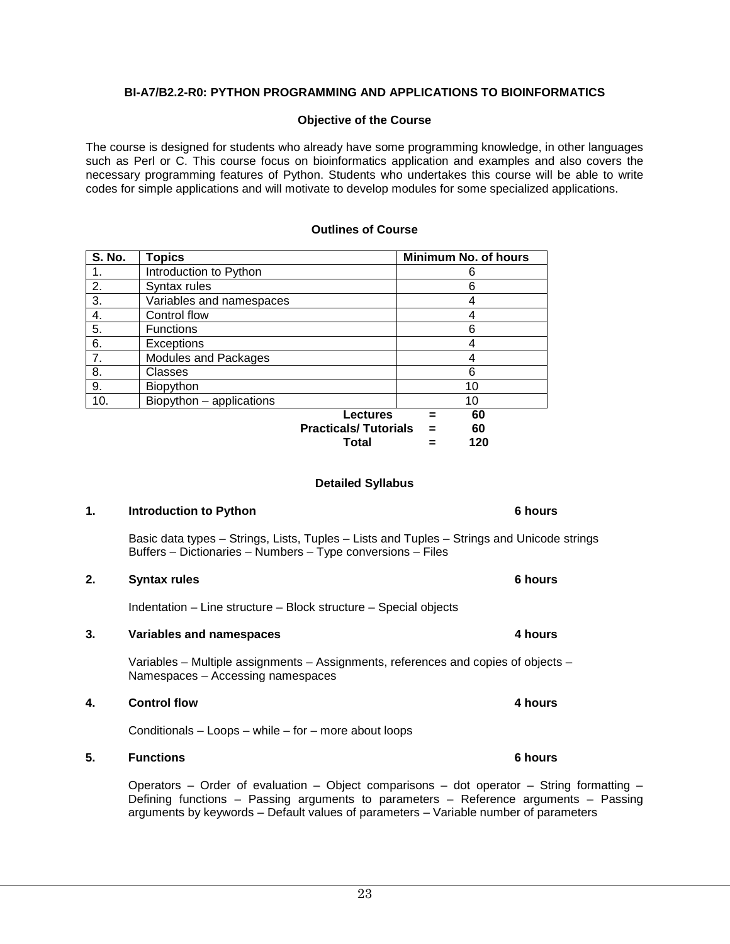### **BI-A7/B2.2-R0: PYTHON PROGRAMMING AND APPLICATIONS TO BIOINFORMATICS**

#### **Objective of the Course**

The course is designed for students who already have some programming knowledge, in other languages such as Perl or C. This course focus on bioinformatics application and examples and also covers the necessary programming features of Python. Students who undertakes this course will be able to write codes for simple applications and will motivate to develop modules for some specialized applications.

#### **Outlines of Course**

| <b>S. No.</b> | <b>Topics</b>                                  | <b>Minimum No. of hours</b> |
|---------------|------------------------------------------------|-----------------------------|
|               | Introduction to Python                         | 6                           |
| 2.            | Syntax rules                                   | 6                           |
| 3.            | Variables and namespaces                       | 4                           |
| 4.            | Control flow                                   | 4                           |
| 5.            | <b>Functions</b>                               | 6                           |
| 6.            | <b>Exceptions</b>                              | 4                           |
| 7.            | Modules and Packages                           | 4                           |
| 8.            | Classes                                        | 6                           |
| 9.            | Biopython                                      | 10                          |
| 10.           | Biopython - applications                       | 10                          |
|               | <b>Lectures</b><br><b>Practicals/Tutorials</b> | 60<br>60                    |

**Total = 120**

#### **Detailed Syllabus**

#### **1. Introduction to Python 6 hours 6 hours**

Basic data types – Strings, Lists, Tuples – Lists and Tuples – Strings and Unicode strings Buffers – Dictionaries – Numbers – Type conversions – Files

#### **2. Syntax rules 6 hours**

Indentation – Line structure – Block structure – Special objects

#### **3. Variables and namespaces 4 hours**

Variables – Multiple assignments – Assignments, references and copies of objects – Namespaces – Accessing namespaces

#### **4. Control flow 4 hours**

Conditionals – Loops – while – for – more about loops

#### **5. Functions 6 hours**

Operators – Order of evaluation – Object comparisons – dot operator – String formatting – Defining functions – Passing arguments to parameters – Reference arguments – Passing arguments by keywords – Default values of parameters – Variable number of parameters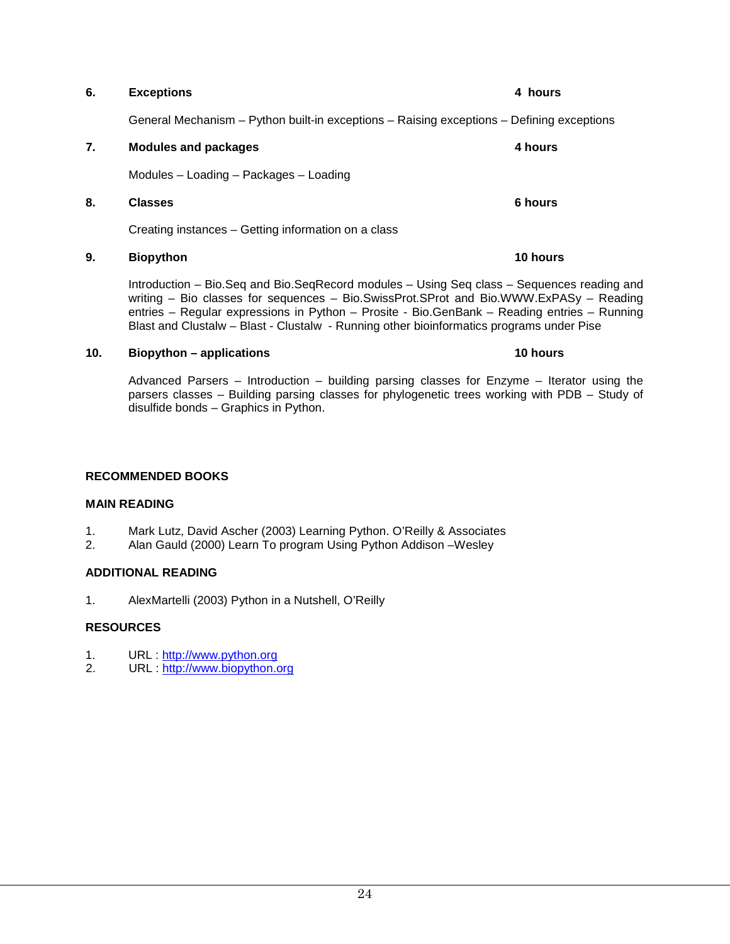## **7. Modules and packages 4 hours**  Modules – Loading – Packages – Loading **8. Classes 6 hours**  Creating instances – Getting information on a class **9. Biopython 10 hours**

Introduction – Bio.Seq and Bio.SeqRecord modules – Using Seq class – Sequences reading and writing – Bio classes for sequences – Bio.SwissProt.SProt and Bio.WWW.ExPASy – Reading entries – Regular expressions in Python – Prosite - Bio.GenBank – Reading entries – Running Blast and Clustalw – Blast - Clustalw - Running other bioinformatics programs under Pise

#### **10. Biopython – applications 10 hours**

Advanced Parsers – Introduction – building parsing classes for Enzyme – Iterator using the parsers classes – Building parsing classes for phylogenetic trees working with PDB – Study of disulfide bonds – Graphics in Python.

### **RECOMMENDED BOOKS**

#### **MAIN READING**

- 1. Mark Lutz, David Ascher (2003) Learning Python. O'Reilly & Associates<br>2. Alan Gauld (2000) Learn To program Using Python Addison Wesley
- 2. Alan Gauld (2000) Learn To program Using Python Addison –Wesley

### **ADDITIONAL READING**

1. AlexMartelli (2003) Python in a Nutshell, O'Reilly

#### **RESOURCES**

- 1. URL : [http://www.python.org](http://www.python.org/)<br>2 URL : http://www.biopython.org
- URL : [http://www.biopython.org](http://www.biopython.org/)

#### **6. Exceptions 4 hours**

General Mechanism – Python built-in exceptions – Raising exceptions – Defining exceptions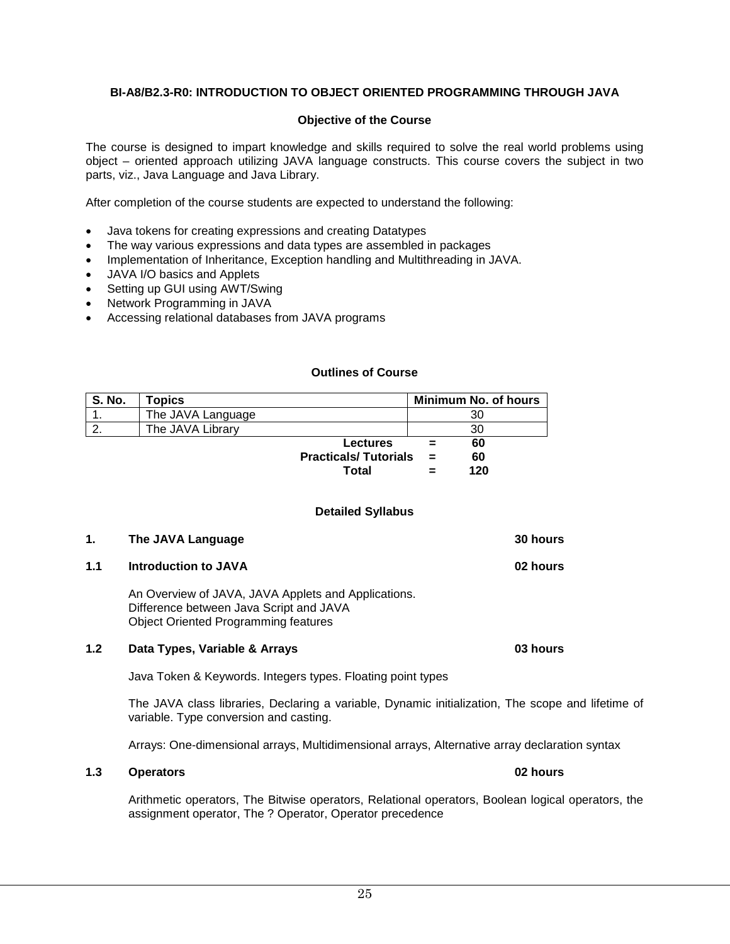#### **BI-A8/B2.3-R0: INTRODUCTION TO OBJECT ORIENTED PROGRAMMING THROUGH JAVA**

#### **Objective of the Course**

The course is designed to impart knowledge and skills required to solve the real world problems using object – oriented approach utilizing JAVA language constructs. This course covers the subject in two parts, viz., Java Language and Java Library.

After completion of the course students are expected to understand the following:

- Java tokens for creating expressions and creating Datatypes
- The way various expressions and data types are assembled in packages
- Implementation of Inheritance, Exception handling and Multithreading in JAVA.
- JAVA I/O basics and Applets
- Setting up GUI using AWT/Swing
- Network Programming in JAVA
- Accessing relational databases from JAVA programs

#### **Outlines of Course**

| S. No. | Topics            |                             |     | <b>Minimum No. of hours</b> |
|--------|-------------------|-----------------------------|-----|-----------------------------|
|        | The JAVA Language |                             |     | 30                          |
|        | The JAVA Library  |                             |     | 30                          |
|        |                   | <b>Lectures</b>             |     | 60                          |
|        |                   | <b>Practicals/Tutorials</b> | $=$ | 60                          |
|        |                   | Total                       |     | 120                         |

#### **Detailed Syllabus**

| 1.  | The JAVA Language                                                                                                                             | <b>30 hours</b> |
|-----|-----------------------------------------------------------------------------------------------------------------------------------------------|-----------------|
| 1.1 | <b>Introduction to JAVA</b>                                                                                                                   | 02 hours        |
|     | An Overview of JAVA, JAVA Applets and Applications.<br>Difference between Java Script and JAVA<br><b>Object Oriented Programming features</b> |                 |

#### **1.2 Data Types, Variable & Arrays 03 hours**

Java Token & Keywords. Integers types. Floating point types

The JAVA class libraries, Declaring a variable, Dynamic initialization, The scope and lifetime of variable. Type conversion and casting.

Arrays: One-dimensional arrays, Multidimensional arrays, Alternative array declaration syntax

#### **1.3 Operators 02 hours**

Arithmetic operators, The Bitwise operators, Relational operators, Boolean logical operators, the assignment operator, The ? Operator, Operator precedence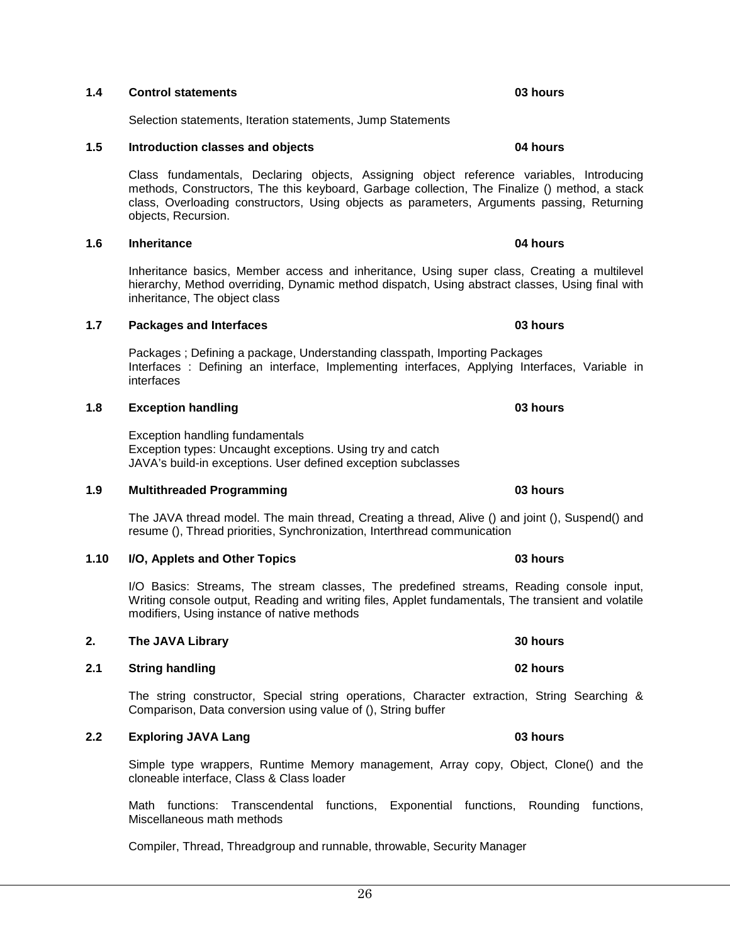#### **1.4 Control statements 03 hours**

Selection statements, Iteration statements, Jump Statements

#### **1.5 Introduction classes and objects 04 hours**

Class fundamentals, Declaring objects, Assigning object reference variables, Introducing methods, Constructors, The this keyboard, Garbage collection, The Finalize () method, a stack class, Overloading constructors, Using objects as parameters, Arguments passing, Returning objects, Recursion.

**1.6 Inheritance 04 hours** 

Inheritance basics, Member access and inheritance, Using super class, Creating a multilevel hierarchy, Method overriding, Dynamic method dispatch, Using abstract classes, Using final with inheritance, The object class

Packages ; Defining a package, Understanding classpath, Importing Packages Interfaces : Defining an interface, Implementing interfaces, Applying Interfaces, Variable in interfaces

**1.8 Exception handling 1.8 CONSERVING CONSERVING CONSERVING CONSERVING CONSERVING CONSERVING CONSERVING CONSERVING CONSERVING CONSERVING CONSERVING CONSERVING CONSERVING CONSERVING CONSERVING CONSERVING CONSERVING CON** 

Exception handling fundamentals Exception types: Uncaught exceptions. Using try and catch JAVA's build-in exceptions. User defined exception subclasses

**1.7 Packages and Interfaces 03 hours 03 hours** 

#### The JAVA thread model. The main thread, Creating a thread, Alive () and joint (), Suspend() and resume (), Thread priorities, Synchronization, Interthread communication

**1.10 I/O, Applets and Other Topics 03 hours** 

I/O Basics: Streams, The stream classes, The predefined streams, Reading console input, Writing console output, Reading and writing files, Applet fundamentals, The transient and volatile modifiers, Using instance of native methods

**2. The JAVA Library 30 hours 30 hours 30 hours** 

#### **2.1 String handling 02 hours**

The string constructor, Special string operations, Character extraction, String Searching & Comparison, Data conversion using value of (), String buffer

#### **2.2 Exploring JAVA Lang 2.2 CONSERVING 2.2 CONSERVING 2.2 03 hours 03 hours**

Simple type wrappers, Runtime Memory management, Array copy, Object, Clone() and the cloneable interface, Class & Class loader

Math functions: Transcendental functions, Exponential functions, Rounding functions, Miscellaneous math methods

Compiler, Thread, Threadgroup and runnable, throwable, Security Manager

**1.9 Multithreaded Programming 1.9 1.9 03 hours 03 hours**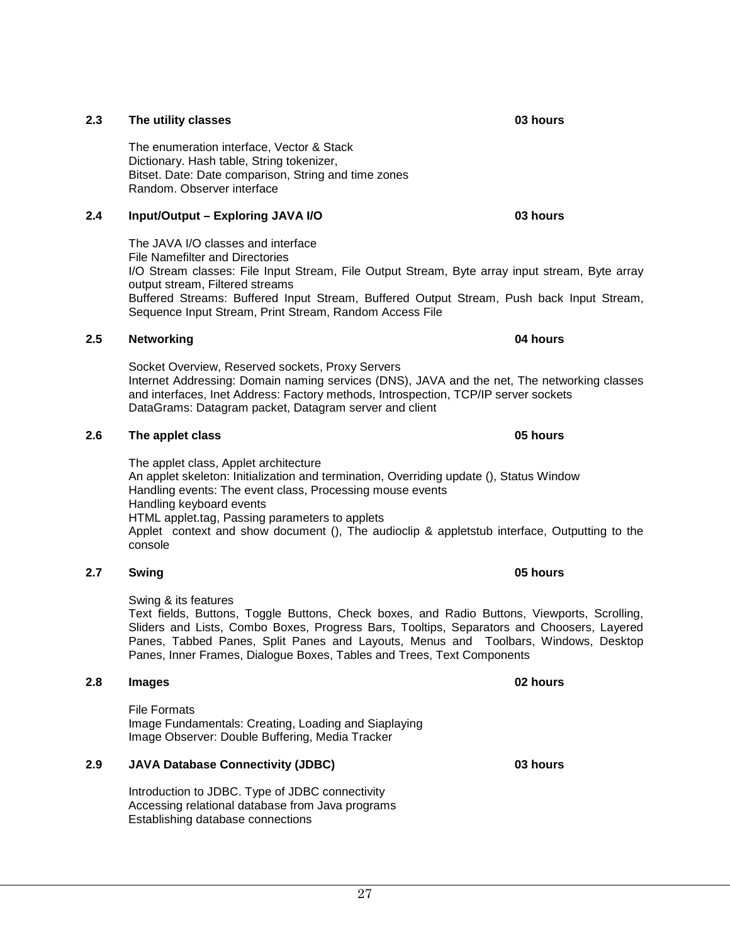### **2.3 The utility classes 03 hours**

The enumeration interface, Vector & Stack Dictionary. Hash table, String tokenizer, Bitset. Date: Date comparison, String and time zones Random. Observer interface

#### **2.4 Input/Output – Exploring JAVA I/O 03 hours**

The JAVA I/O classes and interface File Namefilter and Directories I/O Stream classes: File Input Stream, File Output Stream, Byte array input stream, Byte array output stream, Filtered streams Buffered Streams: Buffered Input Stream, Buffered Output Stream, Push back Input Stream, Sequence Input Stream, Print Stream, Random Access File

#### **2.5 Networking 04 hours**

Socket Overview, Reserved sockets, Proxy Servers Internet Addressing: Domain naming services (DNS), JAVA and the net, The networking classes and interfaces, Inet Address: Factory methods, Introspection, TCP/IP server sockets DataGrams: Datagram packet, Datagram server and client

#### **2.6 The applet class 05 hours**

The applet class, Applet architecture An applet skeleton: Initialization and termination, Overriding update (), Status Window Handling events: The event class, Processing mouse events Handling keyboard events HTML applet.tag, Passing parameters to applets Applet context and show document (), The audioclip & appletstub interface, Outputting to the console

#### **2.7 Swing 05 hours**

Swing & its features

Text fields, Buttons, Toggle Buttons, Check boxes, and Radio Buttons, Viewports, Scrolling, Sliders and Lists, Combo Boxes, Progress Bars, Tooltips, Separators and Choosers, Layered Panes, Tabbed Panes, Split Panes and Layouts, Menus and Toolbars, Windows, Desktop Panes, Inner Frames, Dialogue Boxes, Tables and Trees, Text Components

#### **2.8 Images 02 hours**

File Formats Image Fundamentals: Creating, Loading and Siaplaying Image Observer: Double Buffering, Media Tracker

#### **2.9 JAVA Database Connectivity (JDBC) 03 hours**

Introduction to JDBC. Type of JDBC connectivity Accessing relational database from Java programs Establishing database connections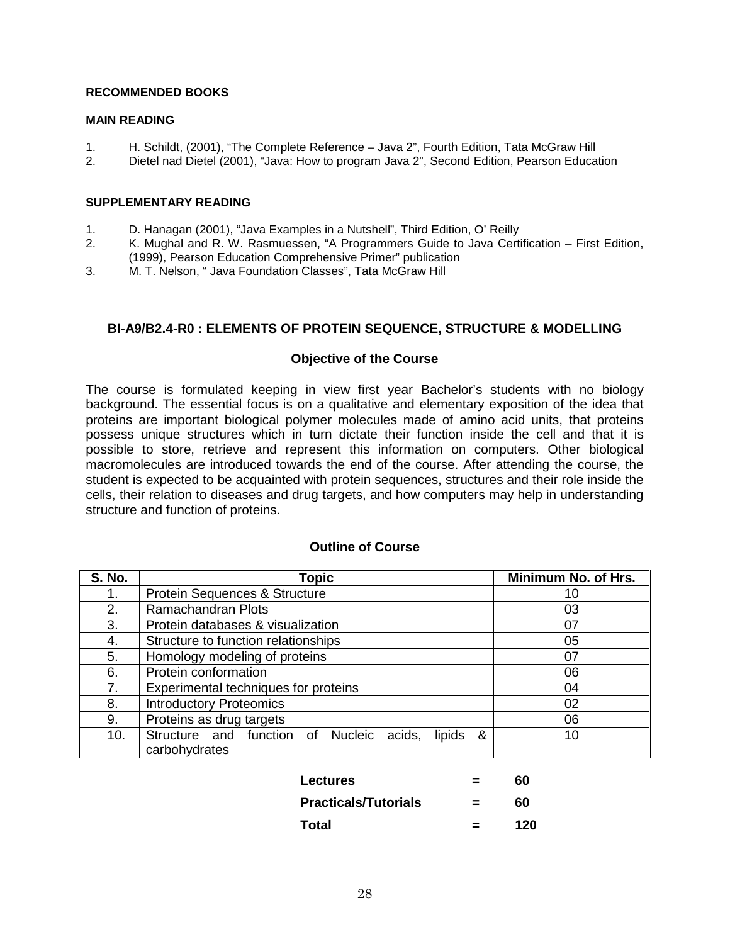#### **RECOMMENDED BOOKS**

#### **MAIN READING**

- 1. H. Schildt, (2001), "The Complete Reference Java 2", Fourth Edition, Tata McGraw Hill
- 2. Dietel nad Dietel (2001), "Java: How to program Java 2", Second Edition, Pearson Education

#### **SUPPLEMENTARY READING**

- 1. D. Hanagan (2001), "Java Examples in a Nutshell", Third Edition, O' Reilly
- 2. K. Mughal and R. W. Rasmuessen, "A Programmers Guide to Java Certification First Edition, (1999), Pearson Education Comprehensive Primer" publication
- 3. M. T. Nelson, " Java Foundation Classes", Tata McGraw Hill

### **BI-A9/B2.4-R0 : ELEMENTS OF PROTEIN SEQUENCE, STRUCTURE & MODELLING**

#### **Objective of the Course**

The course is formulated keeping in view first year Bachelor's students with no biology background. The essential focus is on a qualitative and elementary exposition of the idea that proteins are important biological polymer molecules made of amino acid units, that proteins possess unique structures which in turn dictate their function inside the cell and that it is possible to store, retrieve and represent this information on computers. Other biological macromolecules are introduced towards the end of the course. After attending the course, the student is expected to be acquainted with protein sequences, structures and their role inside the cells, their relation to diseases and drug targets, and how computers may help in understanding structure and function of proteins.

| <b>S. No.</b> | <b>Topic</b>                                             | Minimum No. of Hrs. |
|---------------|----------------------------------------------------------|---------------------|
|               | Protein Sequences & Structure                            | 10                  |
| 2.            | Ramachandran Plots                                       | 03                  |
| 3.            | Protein databases & visualization                        | 07                  |
| 4.            | Structure to function relationships                      | 05                  |
| 5.            | Homology modeling of proteins                            | 07                  |
| 6.            | Protein conformation                                     | 06                  |
| 7.            | Experimental techniques for proteins                     | 04                  |
| 8.            | <b>Introductory Proteomics</b>                           | 02                  |
| 9.            | Proteins as drug targets                                 | 06                  |
| 10.           | Structure and function of Nucleic acids,<br>lipids<br>୍ୟ | 10                  |
|               | carbohydrates                                            |                     |
|               |                                                          |                     |
|               | Lectures                                                 | 60                  |
|               | <b>Practicals/Tutorials</b>                              | 60                  |

### **Outline of Course**

**Total = 120**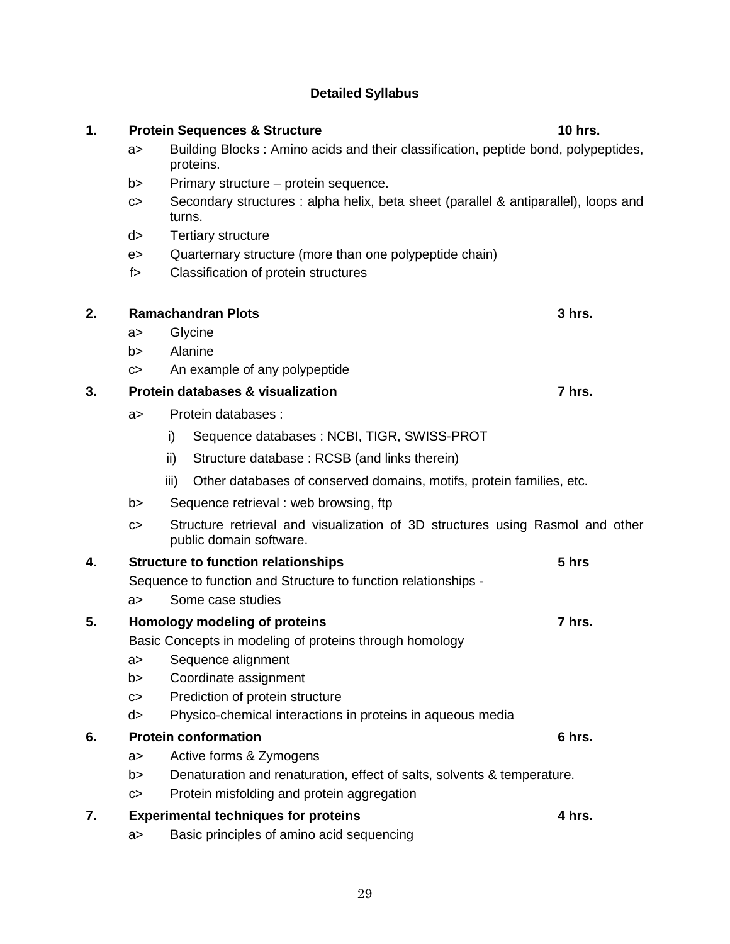**2. Ramachandran Plots 3 hrs.**

e> Quarternary structure (more than one polypeptide chain)

|    | a > |      | Glycine                                                                                                  |        |
|----|-----|------|----------------------------------------------------------------------------------------------------------|--------|
|    | b>  |      | Alanine                                                                                                  |        |
|    | c > |      | An example of any polypeptide                                                                            |        |
| 3. |     |      | <b>Protein databases &amp; visualization</b>                                                             | 7 hrs. |
|    | a > |      | Protein databases :                                                                                      |        |
|    |     | i)   | Sequence databases: NCBI, TIGR, SWISS-PROT                                                               |        |
|    |     | ii)  | Structure database: RCSB (and links therein)                                                             |        |
|    |     | iii) | Other databases of conserved domains, motifs, protein families, etc.                                     |        |
|    | b > |      | Sequence retrieval: web browsing, ftp                                                                    |        |
|    | C   |      | Structure retrieval and visualization of 3D structures using Rasmol and other<br>public domain software. |        |
| 4. |     |      | <b>Structure to function relationships</b>                                                               | 5 hrs  |
|    |     |      | Sequence to function and Structure to function relationships -                                           |        |
|    | a > |      | Some case studies                                                                                        |        |
| 5. |     |      | Homology modeling of proteins                                                                            | 7 hrs. |
|    |     |      | Basic Concepts in modeling of proteins through homology                                                  |        |
|    | a > |      | Sequence alignment                                                                                       |        |
|    | b > |      | Coordinate assignment                                                                                    |        |
|    | c > |      | Prediction of protein structure                                                                          |        |
|    | d>  |      | Physico-chemical interactions in proteins in aqueous media                                               |        |
| 6. |     |      | <b>Protein conformation</b>                                                                              | 6 hrs. |
|    | a > |      | Active forms & Zymogens                                                                                  |        |
|    | b>  |      | Denaturation and renaturation, effect of salts, solvents & temperature.                                  |        |
|    | C>  |      | Protein misfolding and protein aggregation                                                               |        |
| 7. |     |      | <b>Experimental techniques for proteins</b>                                                              | 4 hrs. |

### 29

a> Basic principles of amino acid sequencing

### **1. Protein Sequences & Structure 10 hrs.**

### **Detailed Syllabus**

proteins.

turns. d> Tertiary structure

b> Primary structure – protein sequence.

f> Classification of protein structures

a> Building Blocks : Amino acids and their classification, peptide bond, polypeptides,

c> Secondary structures : alpha helix, beta sheet (parallel & antiparallel), loops and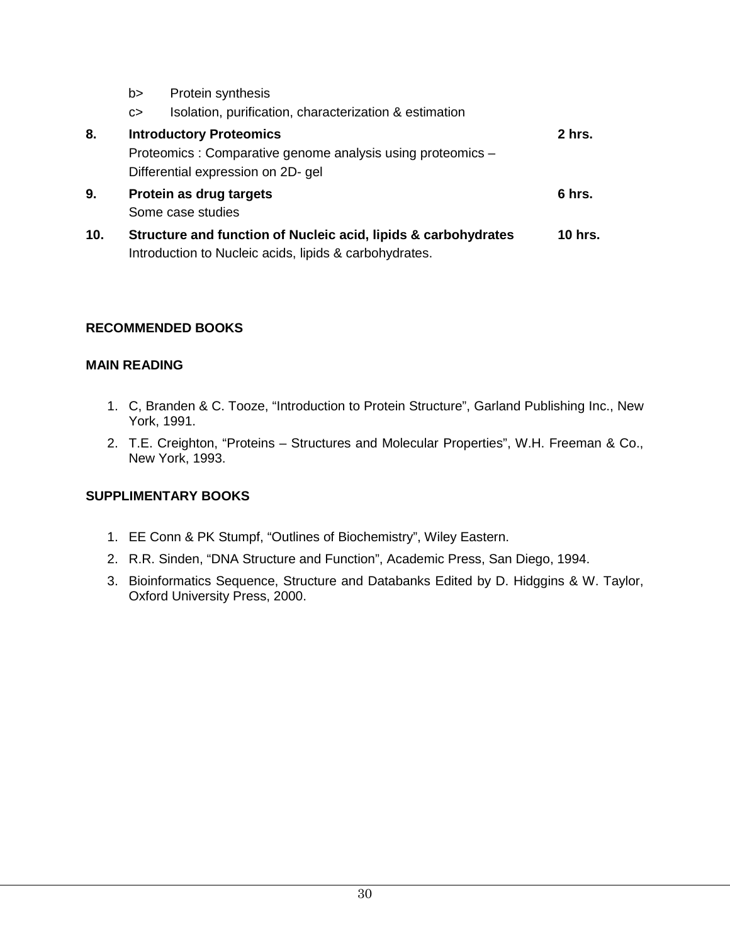|     | b> | Protein synthesis                                              |                |
|-----|----|----------------------------------------------------------------|----------------|
|     | c  | Isolation, purification, characterization & estimation         |                |
| 8.  |    | <b>Introductory Proteomics</b>                                 | $2$ hrs.       |
|     |    | Proteomics: Comparative genome analysis using proteomics -     |                |
|     |    | Differential expression on 2D- gel                             |                |
| 9.  |    | Protein as drug targets                                        | 6 hrs.         |
|     |    | Some case studies                                              |                |
| 10. |    | Structure and function of Nucleic acid, lipids & carbohydrates | <b>10 hrs.</b> |
|     |    | Introduction to Nucleic acids, lipids & carbohydrates.         |                |

### **RECOMMENDED BOOKS**

### **MAIN READING**

- 1. C, Branden & C. Tooze, "Introduction to Protein Structure", Garland Publishing Inc., New York, 1991.
- 2. T.E. Creighton, "Proteins Structures and Molecular Properties", W.H. Freeman & Co., New York, 1993.

### **SUPPLIMENTARY BOOKS**

- 1. EE Conn & PK Stumpf, "Outlines of Biochemistry", Wiley Eastern.
- 2. R.R. Sinden, "DNA Structure and Function", Academic Press, San Diego, 1994.
- 3. Bioinformatics Sequence, Structure and Databanks Edited by D. Hidggins & W. Taylor, Oxford University Press, 2000.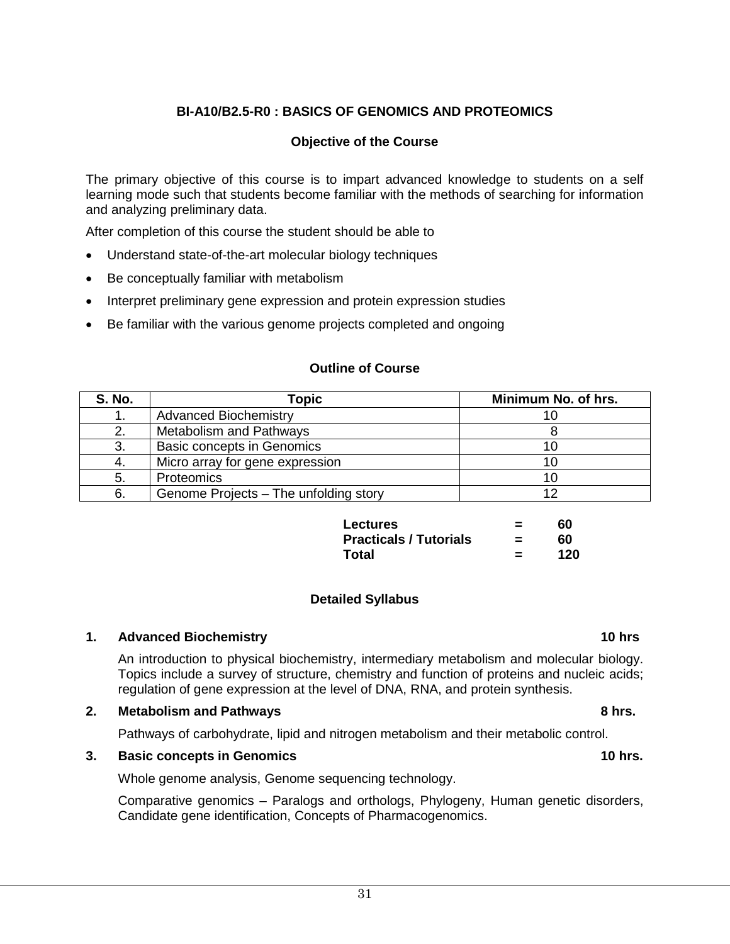### **BI-A10/B2.5-R0 : BASICS OF GENOMICS AND PROTEOMICS**

#### **Objective of the Course**

The primary objective of this course is to impart advanced knowledge to students on a self learning mode such that students become familiar with the methods of searching for information and analyzing preliminary data.

After completion of this course the student should be able to

- Understand state-of-the-art molecular biology techniques
- Be conceptually familiar with metabolism
- Interpret preliminary gene expression and protein expression studies
- Be familiar with the various genome projects completed and ongoing

#### **Outline of Course**

| <b>S. No.</b> | Topic                                 | Minimum No. of hrs. |
|---------------|---------------------------------------|---------------------|
|               | <b>Advanced Biochemistry</b>          |                     |
|               | <b>Metabolism and Pathways</b>        |                     |
| 3.            | <b>Basic concepts in Genomics</b>     |                     |
| -4.           | Micro array for gene expression       |                     |
| 5.            | Proteomics                            |                     |
| 6.            | Genome Projects – The unfolding story | 1 ຕ                 |

| <b>Lectures</b>               | =        | 60  |
|-------------------------------|----------|-----|
| <b>Practicals / Tutorials</b> | $\equiv$ | 60  |
| Total                         | $\equiv$ | 120 |

#### **Detailed Syllabus**

### **1. Advanced Biochemistry 10 hrs**

An introduction to physical biochemistry, intermediary metabolism and molecular biology. Topics include a survey of structure, chemistry and function of proteins and nucleic acids; regulation of gene expression at the level of DNA, RNA, and protein synthesis.

#### **2. Metabolism and Pathways 8 hrs.**

Pathways of carbohydrate, lipid and nitrogen metabolism and their metabolic control.

#### **3. Basic concepts in Genomics 10 hrs.**

Whole genome analysis, Genome sequencing technology.

Comparative genomics – Paralogs and orthologs, Phylogeny, Human genetic disorders, Candidate gene identification, Concepts of Pharmacogenomics.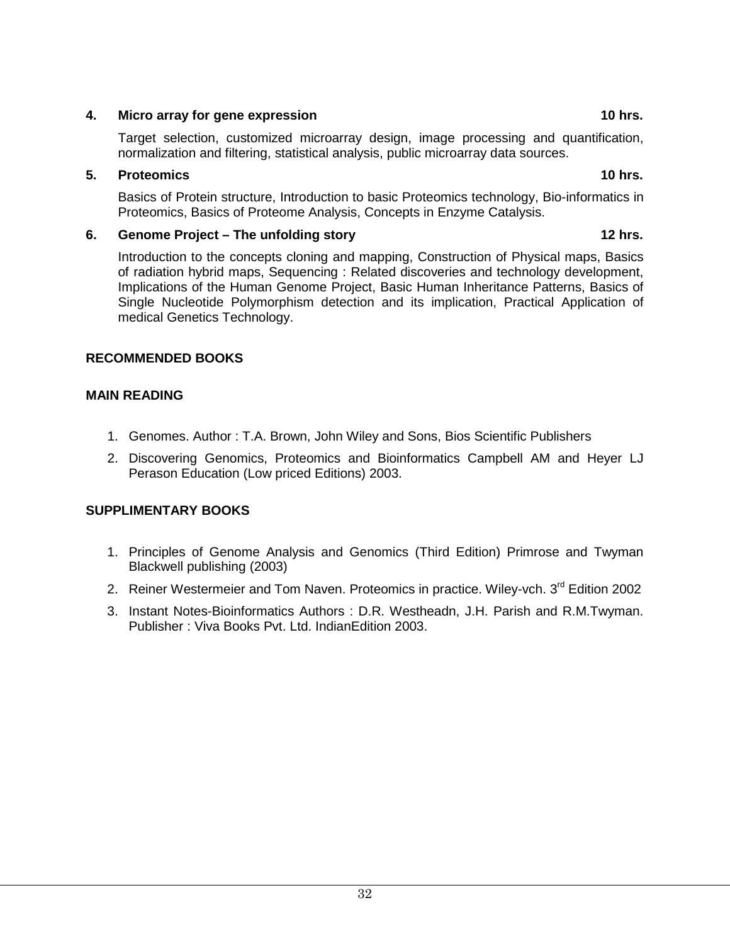### **4. Micro array for gene expression 10 hrs.**

Target selection, customized microarray design, image processing and quantification, normalization and filtering, statistical analysis, public microarray data sources.

### **5. Proteomics 10 hrs.**

Basics of Protein structure, Introduction to basic Proteomics technology, Bio-informatics in Proteomics, Basics of Proteome Analysis, Concepts in Enzyme Catalysis.

### **6. Genome Project – The unfolding story 12 hrs.**

Introduction to the concepts cloning and mapping, Construction of Physical maps, Basics of radiation hybrid maps, Sequencing : Related discoveries and technology development, Implications of the Human Genome Project, Basic Human Inheritance Patterns, Basics of Single Nucleotide Polymorphism detection and its implication, Practical Application of medical Genetics Technology.

### **RECOMMENDED BOOKS**

### **MAIN READING**

- 1. Genomes. Author : T.A. Brown, John Wiley and Sons, Bios Scientific Publishers
- 2. Discovering Genomics, Proteomics and Bioinformatics Campbell AM and Heyer LJ Perason Education (Low priced Editions) 2003.

### **SUPPLIMENTARY BOOKS**

- 1. Principles of Genome Analysis and Genomics (Third Edition) Primrose and Twyman Blackwell publishing (2003)
- 2. Reiner Westermeier and Tom Naven. Proteomics in practice. Wiley-vch. 3rd Edition 2002
- 3. Instant Notes-Bioinformatics Authors : D.R. Westheadn, J.H. Parish and R.M.Twyman. Publisher : Viva Books Pvt. Ltd. IndianEdition 2003.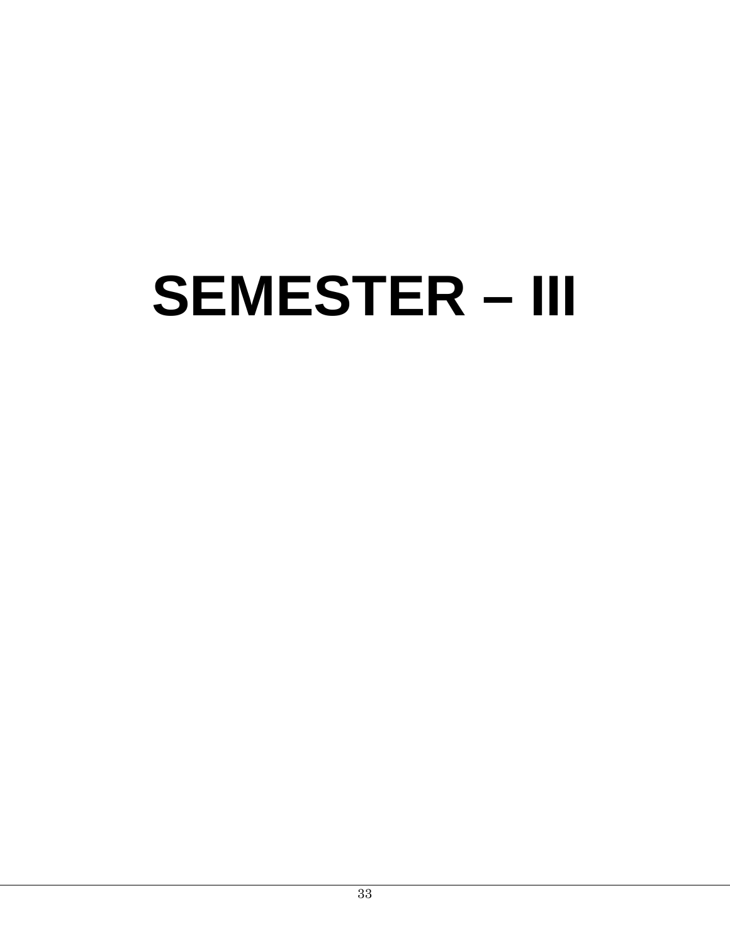# **SEMESTER – III**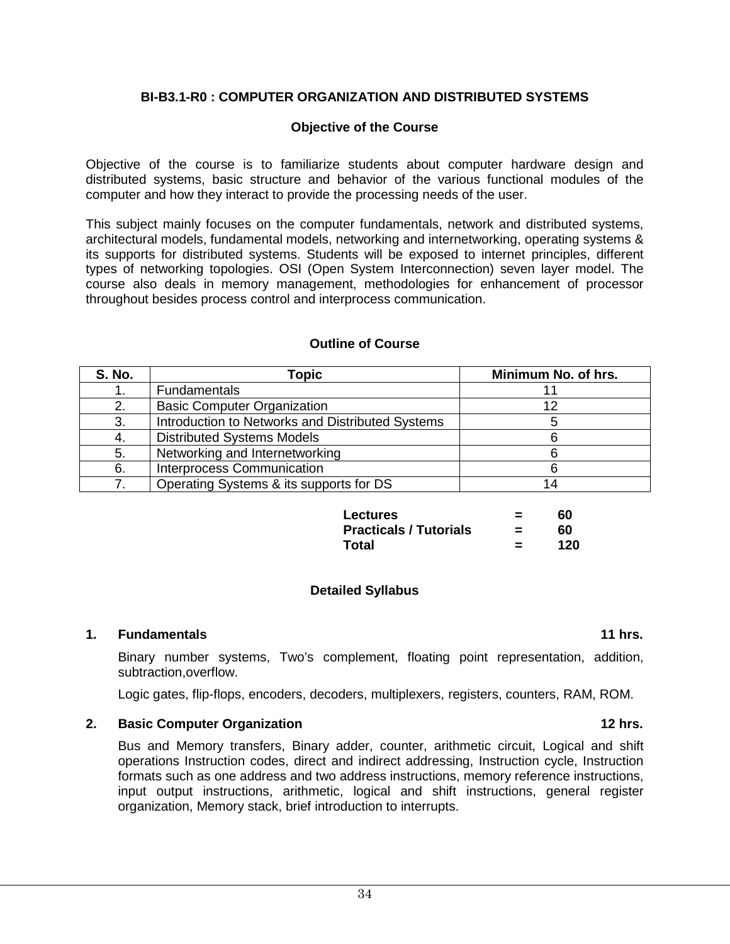### **BI-B3.1-R0 : COMPUTER ORGANIZATION AND DISTRIBUTED SYSTEMS**

#### **Objective of the Course**

Objective of the course is to familiarize students about computer hardware design and distributed systems, basic structure and behavior of the various functional modules of the computer and how they interact to provide the processing needs of the user.

This subject mainly focuses on the computer fundamentals, network and distributed systems, architectural models, fundamental models, networking and internetworking, operating systems & its supports for distributed systems. Students will be exposed to internet principles, different types of networking topologies. OSI (Open System Interconnection) seven layer model. The course also deals in memory management, methodologies for enhancement of processor throughout besides process control and interprocess communication.

| <b>S. No.</b> | <b>Topic</b>                                     | Minimum No. of hrs. |
|---------------|--------------------------------------------------|---------------------|
|               | Fundamentals                                     |                     |
| 2.            | <b>Basic Computer Organization</b>               | 12                  |
| 3.            | Introduction to Networks and Distributed Systems |                     |
| -4.           | <b>Distributed Systems Models</b>                |                     |
| 5.            | Networking and Internetworking                   |                     |
| 6.            | <b>Interprocess Communication</b>                |                     |
|               | Operating Systems & its supports for DS          |                     |

#### **Outline of Course**

| <b>Lectures</b>               | =        | 60  |
|-------------------------------|----------|-----|
| <b>Practicals / Tutorials</b> | $\equiv$ | 60  |
| Total                         | $\equiv$ | 120 |

#### **Detailed Syllabus**

#### **1. Fundamentals 11 hrs.**

Binary number systems, Two's complement, floating point representation, addition, subtraction,overflow.

Logic gates, flip-flops, encoders, decoders, multiplexers, registers, counters, RAM, ROM.

#### **2. Basic Computer Organization 12 hrs.**

Bus and Memory transfers, Binary adder, counter, arithmetic circuit, Logical and shift operations Instruction codes, direct and indirect addressing, Instruction cycle, Instruction formats such as one address and two address instructions, memory reference instructions, input output instructions, arithmetic, logical and shift instructions, general register organization, Memory stack, brief introduction to interrupts.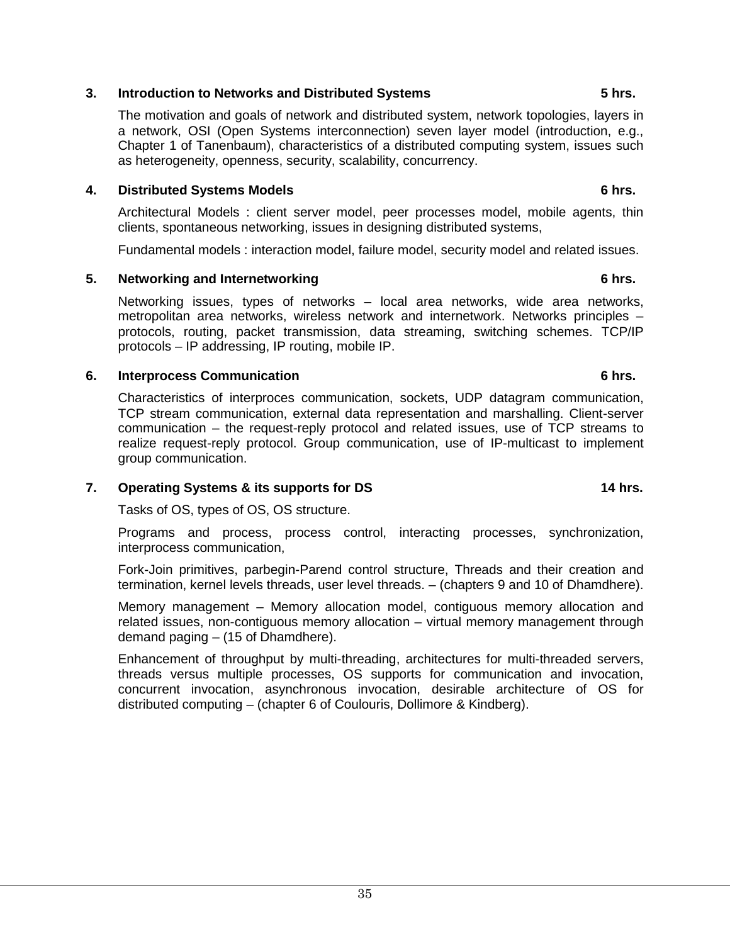### **3. Introduction to Networks and Distributed Systems 5 hrs.**

The motivation and goals of network and distributed system, network topologies, layers in a network, OSI (Open Systems interconnection) seven layer model (introduction, e.g., Chapter 1 of Tanenbaum), characteristics of a distributed computing system, issues such as heterogeneity, openness, security, scalability, concurrency.

### **4. Distributed Systems Models 6 hrs.**

Architectural Models : client server model, peer processes model, mobile agents, thin clients, spontaneous networking, issues in designing distributed systems,

Fundamental models : interaction model, failure model, security model and related issues.

### **5. Networking and Internetworking 6 hrs.**

Networking issues, types of networks – local area networks, wide area networks, metropolitan area networks, wireless network and internetwork. Networks principles – protocols, routing, packet transmission, data streaming, switching schemes. TCP/IP protocols – IP addressing, IP routing, mobile IP.

### **6. Interprocess Communication 6 hrs.**

Characteristics of interproces communication, sockets, UDP datagram communication, TCP stream communication, external data representation and marshalling. Client-server communication – the request-reply protocol and related issues, use of TCP streams to realize request-reply protocol. Group communication, use of IP-multicast to implement group communication.

### **7. Operating Systems & its supports for DS 14 hrs.**

Tasks of OS, types of OS, OS structure.

Programs and process, process control, interacting processes, synchronization, interprocess communication,

Fork-Join primitives, parbegin-Parend control structure, Threads and their creation and termination, kernel levels threads, user level threads. – (chapters 9 and 10 of Dhamdhere).

Memory management – Memory allocation model, contiguous memory allocation and related issues, non-contiguous memory allocation – virtual memory management through demand paging – (15 of Dhamdhere).

Enhancement of throughput by multi-threading, architectures for multi-threaded servers, threads versus multiple processes, OS supports for communication and invocation, concurrent invocation, asynchronous invocation, desirable architecture of OS for distributed computing – (chapter 6 of Coulouris, Dollimore & Kindberg).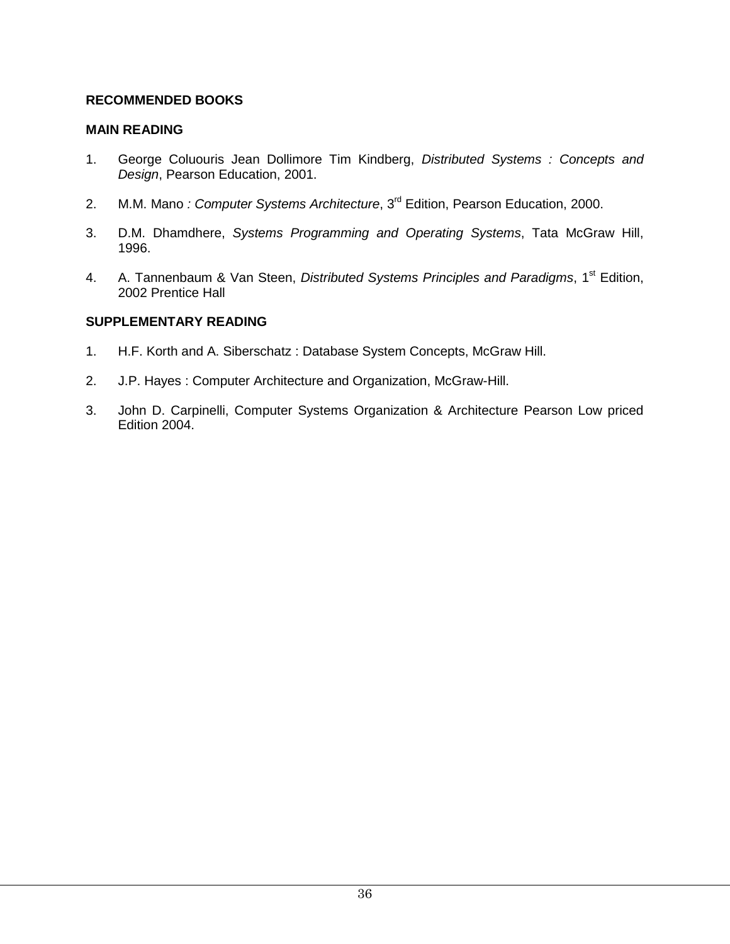### **RECOMMENDED BOOKS**

#### **MAIN READING**

- 1. George Coluouris Jean Dollimore Tim Kindberg, *Distributed Systems : Concepts and Design*, Pearson Education, 2001.
- 2. M.M. Mano *: Computer Systems Architecture*, 3<sup>rd</sup> Edition, Pearson Education, 2000.
- 3. D.M. Dhamdhere, *Systems Programming and Operating Systems*, Tata McGraw Hill, 1996.
- 4. A. Tannenbaum & Van Steen, *Distributed Systems Principles and Paradigms*, 1<sup>st</sup> Edition, 2002 Prentice Hall

### **SUPPLEMENTARY READING**

- 1. H.F. Korth and A. Siberschatz : Database System Concepts, McGraw Hill.
- 2. J.P. Hayes : Computer Architecture and Organization, McGraw-Hill.
- 3. John D. Carpinelli, Computer Systems Organization & Architecture Pearson Low priced Edition 2004.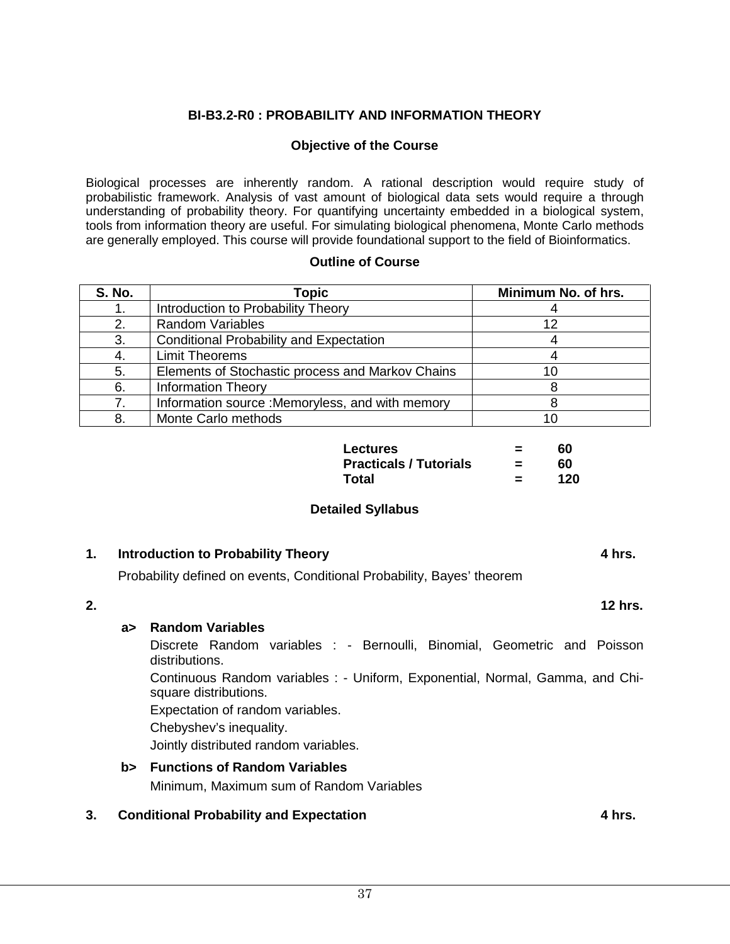### **BI-B3.2-R0 : PROBABILITY AND INFORMATION THEORY**

### **Objective of the Course**

Biological processes are inherently random. A rational description would require study of probabilistic framework. Analysis of vast amount of biological data sets would require a through understanding of probability theory. For quantifying uncertainty embedded in a biological system, tools from information theory are useful. For simulating biological phenomena, Monte Carlo methods are generally employed. This course will provide foundational support to the field of Bioinformatics.

#### **Outline of Course**

| <b>S. No.</b>  | <b>Topic</b>                                     | Minimum No. of hrs. |
|----------------|--------------------------------------------------|---------------------|
|                | Introduction to Probability Theory               |                     |
| 2.             | <b>Random Variables</b>                          | 12                  |
| 3.             | <b>Conditional Probability and Expectation</b>   |                     |
|                | <b>Limit Theorems</b>                            |                     |
| 5.             | Elements of Stochastic process and Markov Chains |                     |
| 6.             | <b>Information Theory</b>                        |                     |
| $\overline{7}$ | Information source : Memoryless, and with memory |                     |
| 8              | Monte Carlo methods                              |                     |

| <b>Lectures</b>               | $\equiv$ | 60  |
|-------------------------------|----------|-----|
| <b>Practicals / Tutorials</b> | $\equiv$ | 60  |
| Total                         | =        | 120 |

#### **Detailed Syllabus**

#### **1. Introduction to Probability Theory 4 hrs.**

Probability defined on events, Conditional Probability, Bayes' theorem

### **2. 12 hrs.**

#### **a> Random Variables**

Discrete Random variables : - Bernoulli, Binomial, Geometric and Poisson distributions.

Continuous Random variables : - Uniform, Exponential, Normal, Gamma, and Chisquare distributions.

Expectation of random variables.

Chebyshev's inequality.

Jointly distributed random variables.

### **b> Functions of Random Variables**

Minimum, Maximum sum of Random Variables

### **3. Conditional Probability and Expectation 4 hrs.**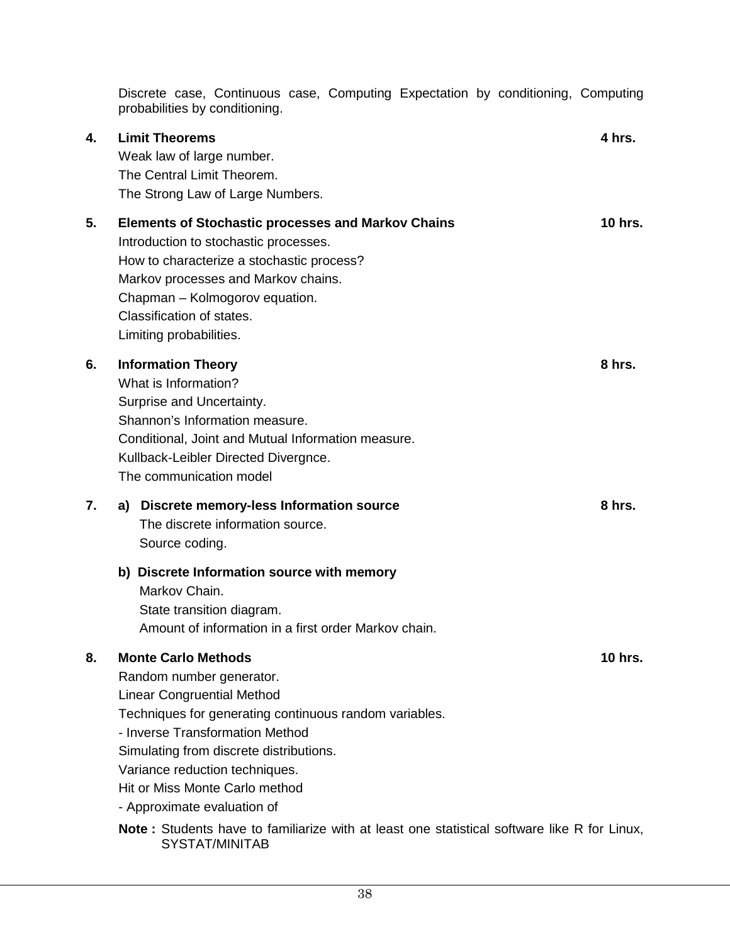|    | Discrete case, Continuous case, Computing Expectation by conditioning, Computing<br>probabilities by conditioning.                                                                                                                                                                                                                                                                                                                           |                |
|----|----------------------------------------------------------------------------------------------------------------------------------------------------------------------------------------------------------------------------------------------------------------------------------------------------------------------------------------------------------------------------------------------------------------------------------------------|----------------|
| 4. | <b>Limit Theorems</b><br>Weak law of large number.<br>The Central Limit Theorem.<br>The Strong Law of Large Numbers.                                                                                                                                                                                                                                                                                                                         | 4 hrs.         |
| 5. | <b>Elements of Stochastic processes and Markov Chains</b><br>Introduction to stochastic processes.<br>How to characterize a stochastic process?<br>Markov processes and Markov chains.<br>Chapman - Kolmogorov equation.<br>Classification of states.<br>Limiting probabilities.                                                                                                                                                             | <b>10 hrs.</b> |
| 6. | <b>Information Theory</b><br>What is Information?<br>Surprise and Uncertainty.<br>Shannon's Information measure.<br>Conditional, Joint and Mutual Information measure.<br>Kullback-Leibler Directed Divergnce.<br>The communication model                                                                                                                                                                                                    | 8 hrs.         |
| 7. | Discrete memory-less Information source<br>a)<br>The discrete information source.<br>Source coding.                                                                                                                                                                                                                                                                                                                                          | 8 hrs.         |
|    | b) Discrete Information source with memory<br>Markov Chain.<br>State transition diagram.<br>Amount of information in a first order Markov chain.                                                                                                                                                                                                                                                                                             |                |
| 8. | <b>Monte Carlo Methods</b><br>Random number generator.<br><b>Linear Congruential Method</b><br>Techniques for generating continuous random variables.<br>- Inverse Transformation Method<br>Simulating from discrete distributions.<br>Variance reduction techniques.<br>Hit or Miss Monte Carlo method<br>- Approximate evaluation of<br><b>Note:</b> Students have to familiarize with at least one statistical software like R for Linux, | <b>10 hrs.</b> |
|    | SYSTAT/MINITAB                                                                                                                                                                                                                                                                                                                                                                                                                               |                |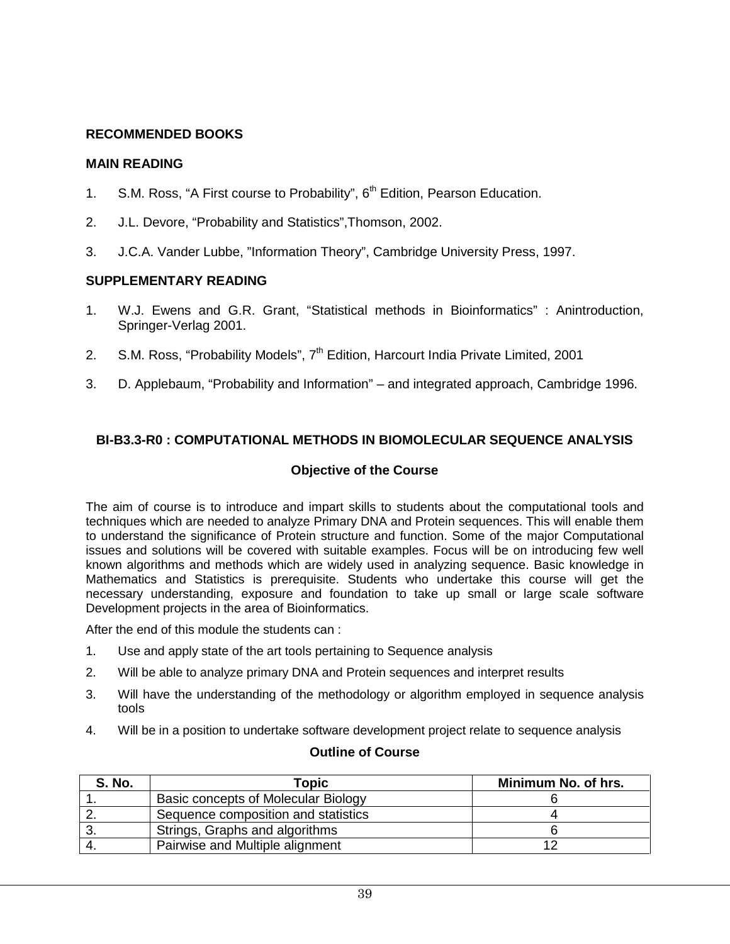### **RECOMMENDED BOOKS**

### **MAIN READING**

- 1. S.M. Ross, "A First course to Probability", 6<sup>th</sup> Edition, Pearson Education.
- 2. J.L. Devore, "Probability and Statistics",Thomson, 2002.
- 3. J.C.A. Vander Lubbe, "Information Theory", Cambridge University Press, 1997.

### **SUPPLEMENTARY READING**

- 1. W.J. Ewens and G.R. Grant, "Statistical methods in Bioinformatics" : Anintroduction, Springer-Verlag 2001.
- 2. S.M. Ross, "Probability Models", 7<sup>th</sup> Edition, Harcourt India Private Limited, 2001
- 3. D. Applebaum, "Probability and Information" and integrated approach, Cambridge 1996.

### **BI-B3.3-R0 : COMPUTATIONAL METHODS IN BIOMOLECULAR SEQUENCE ANALYSIS**

### **Objective of the Course**

The aim of course is to introduce and impart skills to students about the computational tools and techniques which are needed to analyze Primary DNA and Protein sequences. This will enable them to understand the significance of Protein structure and function. Some of the major Computational issues and solutions will be covered with suitable examples. Focus will be on introducing few well known algorithms and methods which are widely used in analyzing sequence. Basic knowledge in Mathematics and Statistics is prerequisite. Students who undertake this course will get the necessary understanding, exposure and foundation to take up small or large scale software Development projects in the area of Bioinformatics.

After the end of this module the students can :

- 1. Use and apply state of the art tools pertaining to Sequence analysis
- 2. Will be able to analyze primary DNA and Protein sequences and interpret results
- 3. Will have the understanding of the methodology or algorithm employed in sequence analysis tools
- 4. Will be in a position to undertake software development project relate to sequence analysis

#### **Outline of Course**

| <b>S. No.</b> | Topic                               | Minimum No. of hrs. |
|---------------|-------------------------------------|---------------------|
|               | Basic concepts of Molecular Biology |                     |
|               | Sequence composition and statistics |                     |
|               | Strings, Graphs and algorithms      |                     |
|               | Pairwise and Multiple alignment     |                     |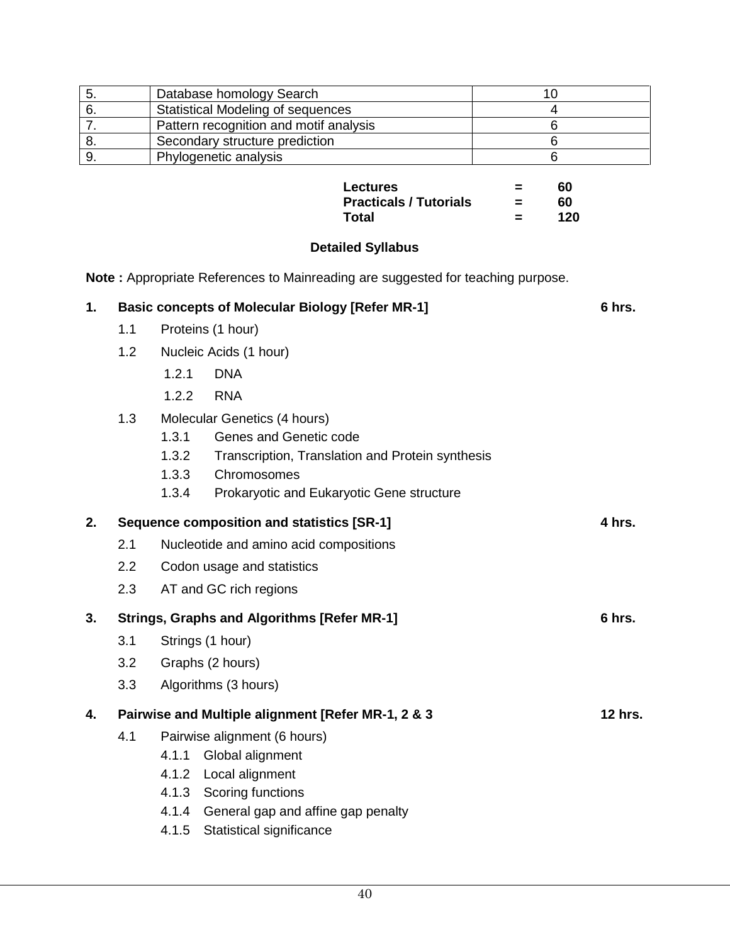| Database homology Search                 |  |
|------------------------------------------|--|
| <b>Statistical Modeling of sequences</b> |  |
| Pattern recognition and motif analysis   |  |
| Secondary structure prediction           |  |
| Phylogenetic analysis                    |  |

| Lectures                      | ⋍        | 60  |
|-------------------------------|----------|-----|
| <b>Practicals / Tutorials</b> | $\equiv$ | 60  |
| Total                         | ⋍        | 120 |

### **Detailed Syllabus**

**Note :** Appropriate References to Mainreading are suggested for teaching purpose.

| 1. |     |                   | <b>Basic concepts of Molecular Biology [Refer MR-1]</b> | 6 hrs.         |
|----|-----|-------------------|---------------------------------------------------------|----------------|
|    | 1.1 | Proteins (1 hour) |                                                         |                |
|    | 1.2 |                   | Nucleic Acids (1 hour)                                  |                |
|    |     | 1.2.1             | <b>DNA</b>                                              |                |
|    |     | 1.2.2             | <b>RNA</b>                                              |                |
|    | 1.3 |                   | Molecular Genetics (4 hours)                            |                |
|    |     | 1.3.1             | Genes and Genetic code                                  |                |
|    |     | 1.3.2             | Transcription, Translation and Protein synthesis        |                |
|    |     | 1.3.3             | Chromosomes                                             |                |
|    |     | 1.3.4             | Prokaryotic and Eukaryotic Gene structure               |                |
| 2. |     |                   | Sequence composition and statistics [SR-1]              | 4 hrs.         |
|    | 2.1 |                   | Nucleotide and amino acid compositions                  |                |
|    | 2.2 |                   | Codon usage and statistics                              |                |
|    | 2.3 |                   | AT and GC rich regions                                  |                |
| 3. |     |                   | <b>Strings, Graphs and Algorithms [Refer MR-1]</b>      | 6 hrs.         |
|    | 3.1 | Strings (1 hour)  |                                                         |                |
|    | 3.2 | Graphs (2 hours)  |                                                         |                |
|    | 3.3 |                   | Algorithms (3 hours)                                    |                |
| 4. |     |                   | Pairwise and Multiple alignment [Refer MR-1, 2 & 3      | <b>12 hrs.</b> |
|    | 4.1 |                   | Pairwise alignment (6 hours)                            |                |
|    |     | 4.1.1             | Global alignment                                        |                |
|    |     | 4.1.2             | Local alignment                                         |                |
|    |     |                   | 4.1.3 Scoring functions                                 |                |
|    |     | 4.1.4             | General gap and affine gap penalty                      |                |
|    |     | 4.1.5             | Statistical significance                                |                |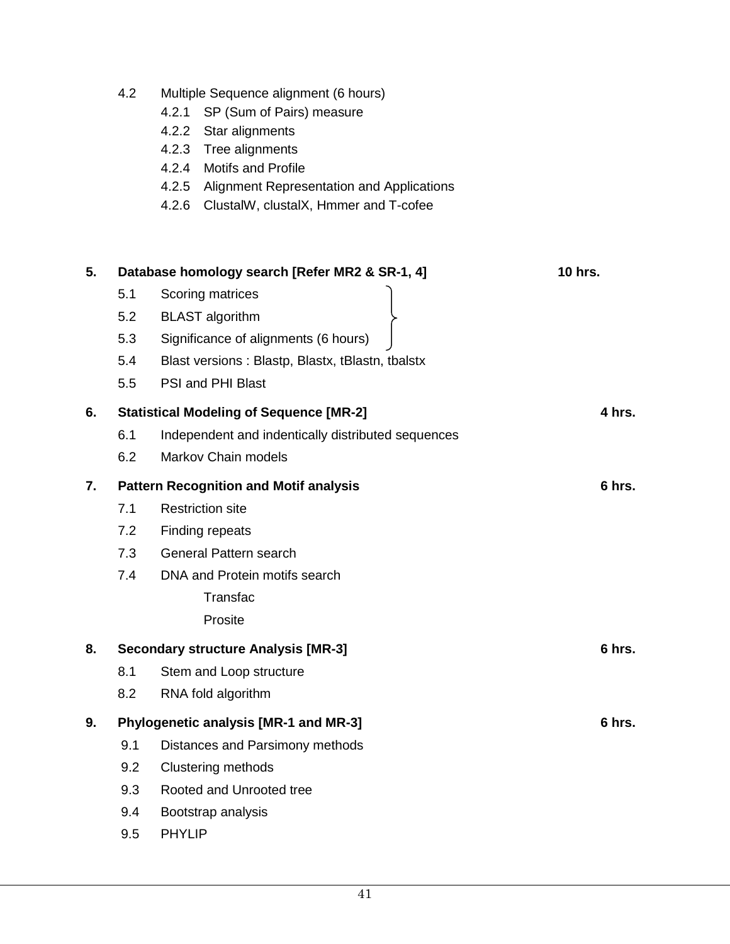|    | 4.2 | Multiple Sequence alignment (6 hours)<br>4.2.1<br>SP (Sum of Pairs) measure<br>4.2.2 Star alignments<br>4.2.3<br>Tree alignments<br><b>Motifs and Profile</b><br>4.2.4<br>4.2.5<br>Alignment Representation and Applications<br>4.2.6<br>ClustalW, clustalX, Hmmer and T-cofee |                |
|----|-----|--------------------------------------------------------------------------------------------------------------------------------------------------------------------------------------------------------------------------------------------------------------------------------|----------------|
| 5. |     | Database homology search [Refer MR2 & SR-1, 4]                                                                                                                                                                                                                                 | <b>10 hrs.</b> |
|    | 5.1 | Scoring matrices                                                                                                                                                                                                                                                               |                |
|    | 5.2 | <b>BLAST</b> algorithm                                                                                                                                                                                                                                                         |                |
|    | 5.3 | Significance of alignments (6 hours)                                                                                                                                                                                                                                           |                |
|    | 5.4 | Blast versions: Blastp, Blastx, tBlastn, tbalstx                                                                                                                                                                                                                               |                |
|    | 5.5 | PSI and PHI Blast                                                                                                                                                                                                                                                              |                |
| 6. |     | <b>Statistical Modeling of Sequence [MR-2]</b>                                                                                                                                                                                                                                 | 4 hrs.         |
|    | 6.1 | Independent and indentically distributed sequences                                                                                                                                                                                                                             |                |
|    | 6.2 | <b>Markov Chain models</b>                                                                                                                                                                                                                                                     |                |
| 7. |     | <b>Pattern Recognition and Motif analysis</b>                                                                                                                                                                                                                                  | 6 hrs.         |
|    | 7.1 | <b>Restriction site</b>                                                                                                                                                                                                                                                        |                |
|    | 7.2 | Finding repeats                                                                                                                                                                                                                                                                |                |
|    | 7.3 | General Pattern search                                                                                                                                                                                                                                                         |                |
|    | 7.4 | DNA and Protein motifs search                                                                                                                                                                                                                                                  |                |
|    |     | Transfac                                                                                                                                                                                                                                                                       |                |
|    |     | Prosite                                                                                                                                                                                                                                                                        |                |
| 8. |     | <b>Secondary structure Analysis [MR-3]</b>                                                                                                                                                                                                                                     | 6 hrs.         |
|    | 8.1 | Stem and Loop structure                                                                                                                                                                                                                                                        |                |
|    | 8.2 | RNA fold algorithm                                                                                                                                                                                                                                                             |                |
| 9. |     | Phylogenetic analysis [MR-1 and MR-3]                                                                                                                                                                                                                                          | 6 hrs.         |
|    | 9.1 | Distances and Parsimony methods                                                                                                                                                                                                                                                |                |
|    | 9.2 | <b>Clustering methods</b>                                                                                                                                                                                                                                                      |                |
|    | 9.3 | Rooted and Unrooted tree                                                                                                                                                                                                                                                       |                |
|    | 9.4 | Bootstrap analysis                                                                                                                                                                                                                                                             |                |
|    | 9.5 | <b>PHYLIP</b>                                                                                                                                                                                                                                                                  |                |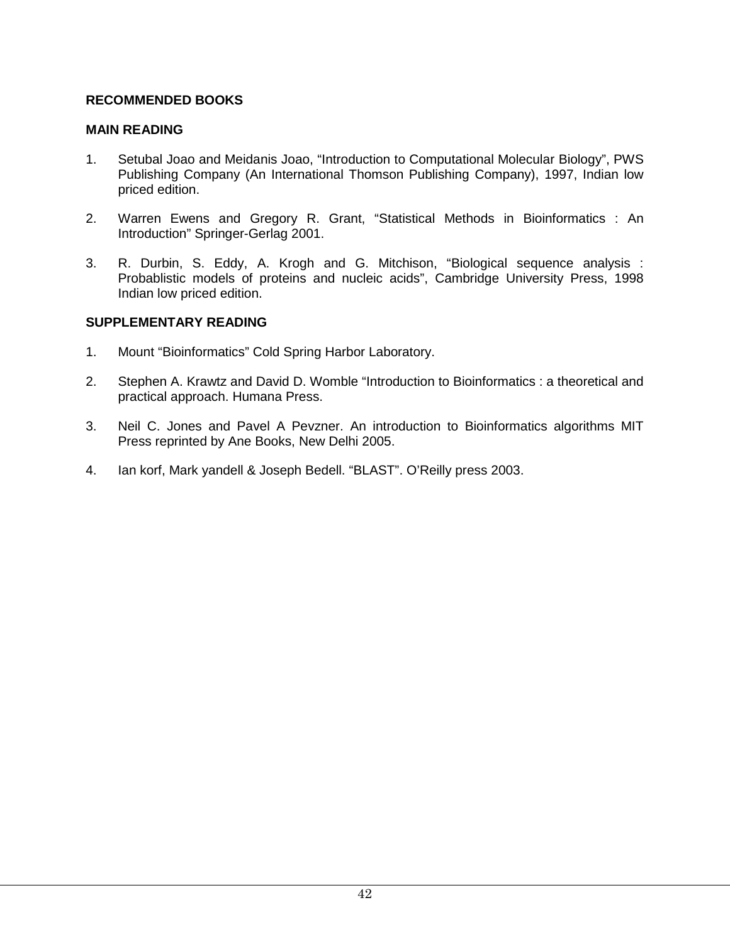### **RECOMMENDED BOOKS**

### **MAIN READING**

- 1. Setubal Joao and Meidanis Joao, "Introduction to Computational Molecular Biology", PWS Publishing Company (An International Thomson Publishing Company), 1997, Indian low priced edition.
- 2. Warren Ewens and Gregory R. Grant, "Statistical Methods in Bioinformatics : An Introduction" Springer-Gerlag 2001.
- 3. R. Durbin, S. Eddy, A. Krogh and G. Mitchison, "Biological sequence analysis : Probablistic models of proteins and nucleic acids", Cambridge University Press, 1998 Indian low priced edition.

### **SUPPLEMENTARY READING**

- 1. Mount "Bioinformatics" Cold Spring Harbor Laboratory.
- 2. Stephen A. Krawtz and David D. Womble "Introduction to Bioinformatics : a theoretical and practical approach. Humana Press.
- 3. Neil C. Jones and Pavel A Pevzner. An introduction to Bioinformatics algorithms MIT Press reprinted by Ane Books, New Delhi 2005.
- 4. Ian korf, Mark yandell & Joseph Bedell. "BLAST". O'Reilly press 2003.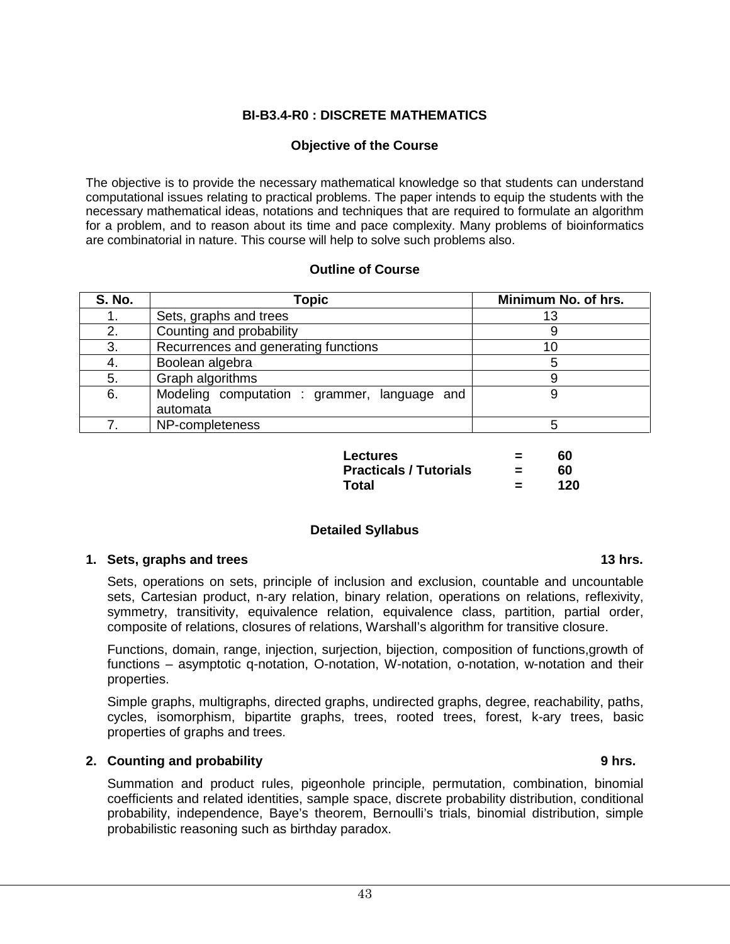### **BI-B3.4-R0 : DISCRETE MATHEMATICS**

#### **Objective of the Course**

The objective is to provide the necessary mathematical knowledge so that students can understand computational issues relating to practical problems. The paper intends to equip the students with the necessary mathematical ideas, notations and techniques that are required to formulate an algorithm for a problem, and to reason about its time and pace complexity. Many problems of bioinformatics are combinatorial in nature. This course will help to solve such problems also.

#### **Outline of Course**

| <b>S. No.</b> | Topic                                        | Minimum No. of hrs. |
|---------------|----------------------------------------------|---------------------|
|               | Sets, graphs and trees                       | 13                  |
| 2.            | Counting and probability                     |                     |
| 3.            | Recurrences and generating functions         | 10                  |
|               | Boolean algebra                              |                     |
| 5.            | Graph algorithms                             |                     |
| 6.            | Modeling computation : grammer, language and | 9                   |
|               | automata                                     |                     |
|               | NP-completeness                              |                     |

| Lectures                      | $\equiv$ | 60  |
|-------------------------------|----------|-----|
| <b>Practicals / Tutorials</b> | =        | 60  |
| Total                         | $\equiv$ | 120 |

#### **Detailed Syllabus**

#### **1. Sets, graphs and trees 13 hrs.**

Sets, operations on sets, principle of inclusion and exclusion, countable and uncountable sets, Cartesian product, n-ary relation, binary relation, operations on relations, reflexivity, symmetry, transitivity, equivalence relation, equivalence class, partition, partial order, composite of relations, closures of relations, Warshall's algorithm for transitive closure.

Functions, domain, range, injection, surjection, bijection, composition of functions,growth of functions – asymptotic q-notation, O-notation, W-notation, o-notation, w-notation and their properties.

Simple graphs, multigraphs, directed graphs, undirected graphs, degree, reachability, paths, cycles, isomorphism, bipartite graphs, trees, rooted trees, forest, k-ary trees, basic properties of graphs and trees.

### **2. Counting and probability 9 hrs.**

Summation and product rules, pigeonhole principle, permutation, combination, binomial coefficients and related identities, sample space, discrete probability distribution, conditional probability, independence, Baye's theorem, Bernoulli's trials, binomial distribution, simple probabilistic reasoning such as birthday paradox.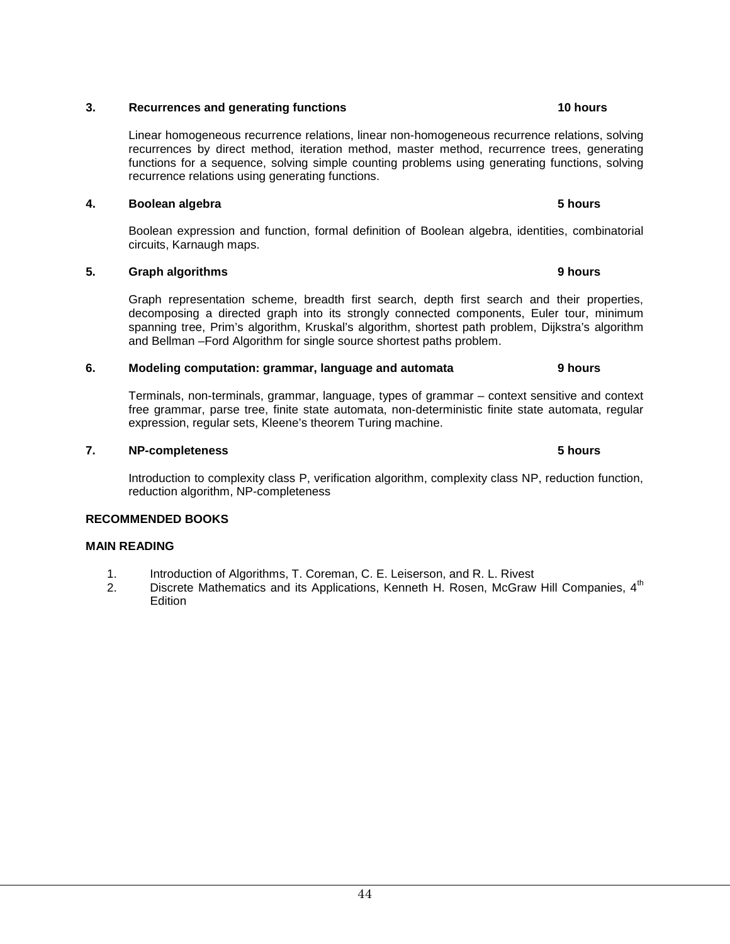#### **3. Recurrences and generating functions 10 hours 10 hours**

Linear homogeneous recurrence relations, linear non-homogeneous recurrence relations, solving recurrences by direct method, iteration method, master method, recurrence trees, generating functions for a sequence, solving simple counting problems using generating functions, solving recurrence relations using generating functions.

#### **4. Boolean algebra** 5 **hours 5 hours**

Boolean expression and function, formal definition of Boolean algebra, identities, combinatorial circuits, Karnaugh maps.

### **5. Graph algorithms 9 hours**

Graph representation scheme, breadth first search, depth first search and their properties, decomposing a directed graph into its strongly connected components, Euler tour, minimum spanning tree, Prim's algorithm, Kruskal's algorithm, shortest path problem, Dijkstra's algorithm and Bellman –Ford Algorithm for single source shortest paths problem.

#### **6. Modeling computation: grammar, language and automata 9 hours**

Terminals, non-terminals, grammar, language, types of grammar – context sensitive and context free grammar, parse tree, finite state automata, non-deterministic finite state automata, regular expression, regular sets, Kleene's theorem Turing machine.

#### **7. NP-completeness 5 hours**

Introduction to complexity class P, verification algorithm, complexity class NP, reduction function, reduction algorithm, NP-completeness

#### **RECOMMENDED BOOKS**

#### **MAIN READING**

- 1. Introduction of Algorithms, T. Coreman, C. E. Leiserson, and R. L. Rivest
- 2. Discrete Mathematics and its Applications, Kenneth H. Rosen, McGraw Hill Companies, 4<sup>th</sup> **Edition**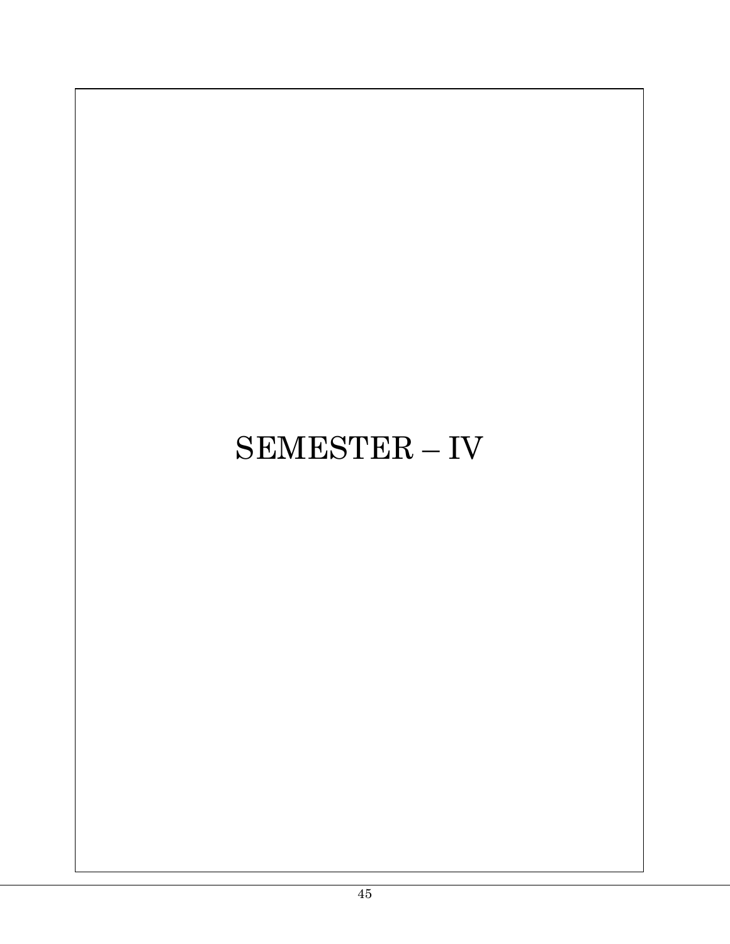# SEMESTER – IV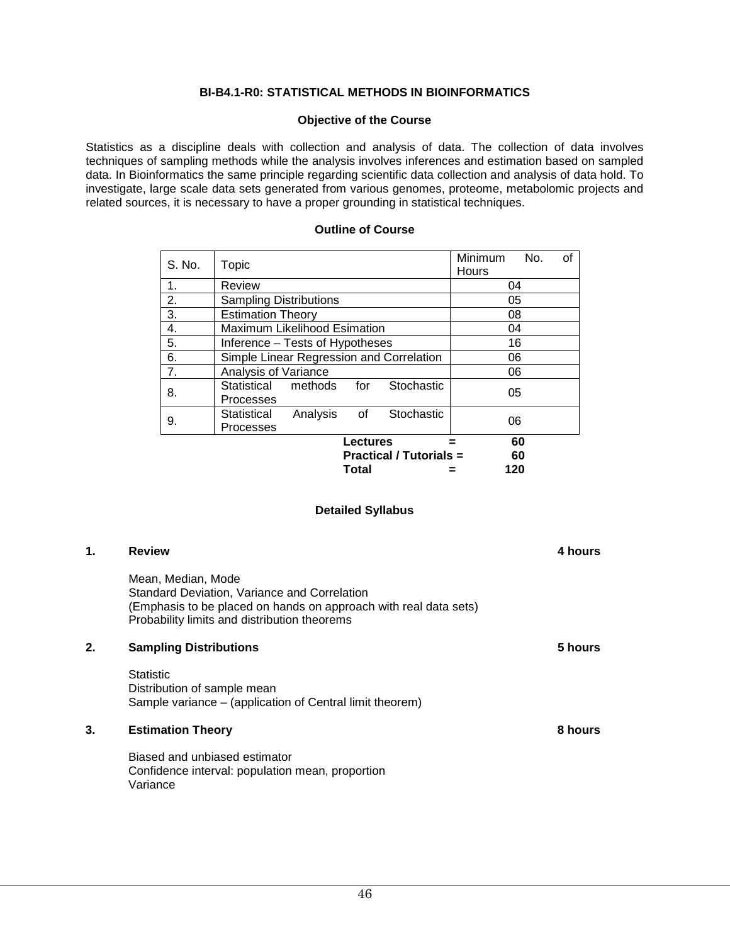#### **BI-B4.1-R0: STATISTICAL METHODS IN BIOINFORMATICS**

#### **Objective of the Course**

Statistics as a discipline deals with collection and analysis of data. The collection of data involves techniques of sampling methods while the analysis involves inferences and estimation based on sampled data. In Bioinformatics the same principle regarding scientific data collection and analysis of data hold. To investigate, large scale data sets generated from various genomes, proteome, metabolomic projects and related sources, it is necessary to have a proper grounding in statistical techniques.

#### **Outline of Course**

| S. No. | Topic                                                           | Minimum<br><b>Hours</b> | οf<br>No. |
|--------|-----------------------------------------------------------------|-------------------------|-----------|
| 1.     | Review                                                          | 04                      |           |
| 2.     | <b>Sampling Distributions</b>                                   | 05                      |           |
| 3.     | <b>Estimation Theory</b>                                        | 08                      |           |
| 4.     | Maximum Likelihood Esimation                                    | 04                      |           |
| 5.     | Inference – Tests of Hypotheses                                 | 16                      |           |
| 6.     | Simple Linear Regression and Correlation                        | 06                      |           |
| 7.     | Analysis of Variance                                            | 06                      |           |
| 8.     | Statistical<br>methods<br>Stochastic<br>for<br><b>Processes</b> | 05                      |           |
| 9.     | Stochastic<br>Statistical<br>Analysis<br>of<br>Processes        | 06                      |           |
|        | <b>Lectures</b>                                                 | 60                      |           |
|        | <b>Practical / Tutorials =</b>                                  | 60                      |           |
|        | Total                                                           | 120                     |           |

#### **Detailed Syllabus**

| 1. | <b>Review</b>                                                                                                                                                                          | 4 hours |
|----|----------------------------------------------------------------------------------------------------------------------------------------------------------------------------------------|---------|
|    | Mean, Median, Mode<br>Standard Deviation, Variance and Correlation<br>(Emphasis to be placed on hands on approach with real data sets)<br>Probability limits and distribution theorems |         |
| 2. | <b>Sampling Distributions</b>                                                                                                                                                          | 5 hours |
|    | <b>Statistic</b><br>Distribution of sample mean<br>Sample variance – (application of Central limit theorem)                                                                            |         |
| 3. | <b>Estimation Theory</b>                                                                                                                                                               | 8 hours |
|    | Biased and unbiased estimator<br>Confidence interval: population mean, proportion<br>Variance                                                                                          |         |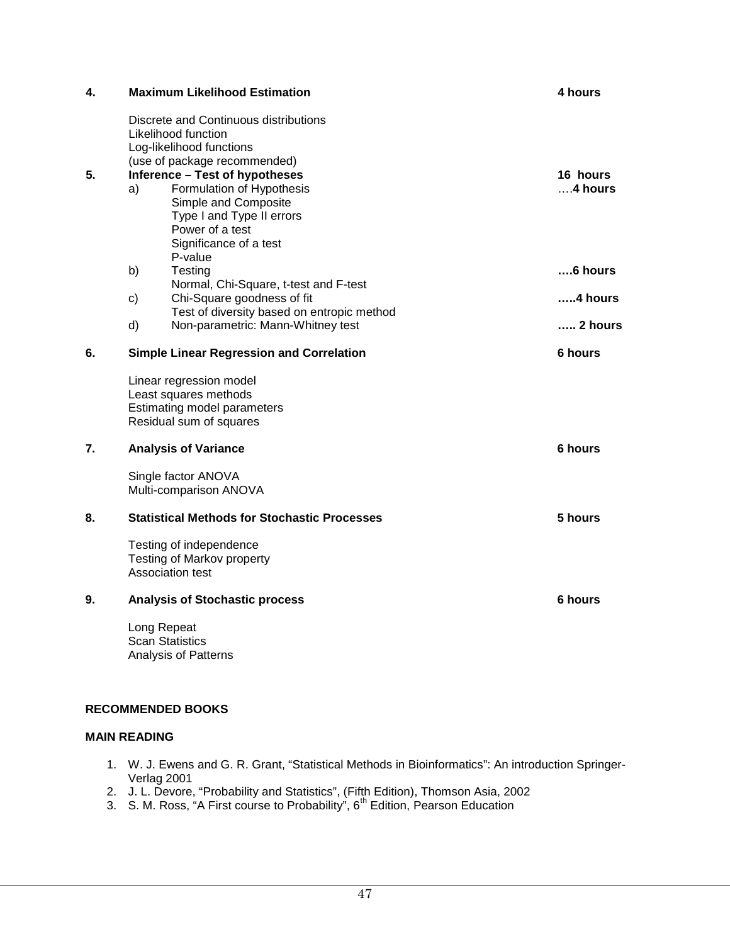| 4. | <b>Maximum Likelihood Estimation</b>                                                                                                                                                  | 4 hours               |
|----|---------------------------------------------------------------------------------------------------------------------------------------------------------------------------------------|-----------------------|
|    | Discrete and Continuous distributions<br>Likelihood function<br>Log-likelihood functions<br>(use of package recommended)                                                              |                       |
| 5. | <b>Inference - Test of hypotheses</b><br>Formulation of Hypothesis<br>a)<br>Simple and Composite<br>Type I and Type II errors<br>Power of a test<br>Significance of a test<br>P-value | 16 hours<br>$4$ hours |
|    | b)<br>Testing                                                                                                                                                                         | ….6 hours             |
|    | Normal, Chi-Square, t-test and F-test<br>Chi-Square goodness of fit<br>c)                                                                                                             | …4 hours              |
|    | Test of diversity based on entropic method                                                                                                                                            |                       |
|    | Non-parametric: Mann-Whitney test<br>d)                                                                                                                                               | … 2 hours             |
| 6. | <b>Simple Linear Regression and Correlation</b>                                                                                                                                       | 6 hours               |
|    | Linear regression model<br>Least squares methods<br>Estimating model parameters<br>Residual sum of squares                                                                            |                       |
| 7. | <b>Analysis of Variance</b>                                                                                                                                                           | 6 hours               |
|    | Single factor ANOVA<br>Multi-comparison ANOVA                                                                                                                                         |                       |
| 8. | <b>Statistical Methods for Stochastic Processes</b>                                                                                                                                   | 5 hours               |
|    | Testing of independence<br>Testing of Markov property<br>Association test                                                                                                             |                       |
| 9. | <b>Analysis of Stochastic process</b>                                                                                                                                                 | 6 hours               |
|    | Long Repeat<br><b>Scan Statistics</b><br><b>Analysis of Patterns</b>                                                                                                                  |                       |

### **RECOMMENDED BOOKS**

#### **MAIN READING**

- 1. W. J. Ewens and G. R. Grant, "Statistical Methods in Bioinformatics": An introduction Springer-Verlag 2001
- 2. J. L. Devore, "Probability and Statistics", (Fifth Edition), Thomson Asia, 2002
- 3. S. M. Ross, "A First course to Probability",  $6<sup>th</sup>$  Edition, Pearson Education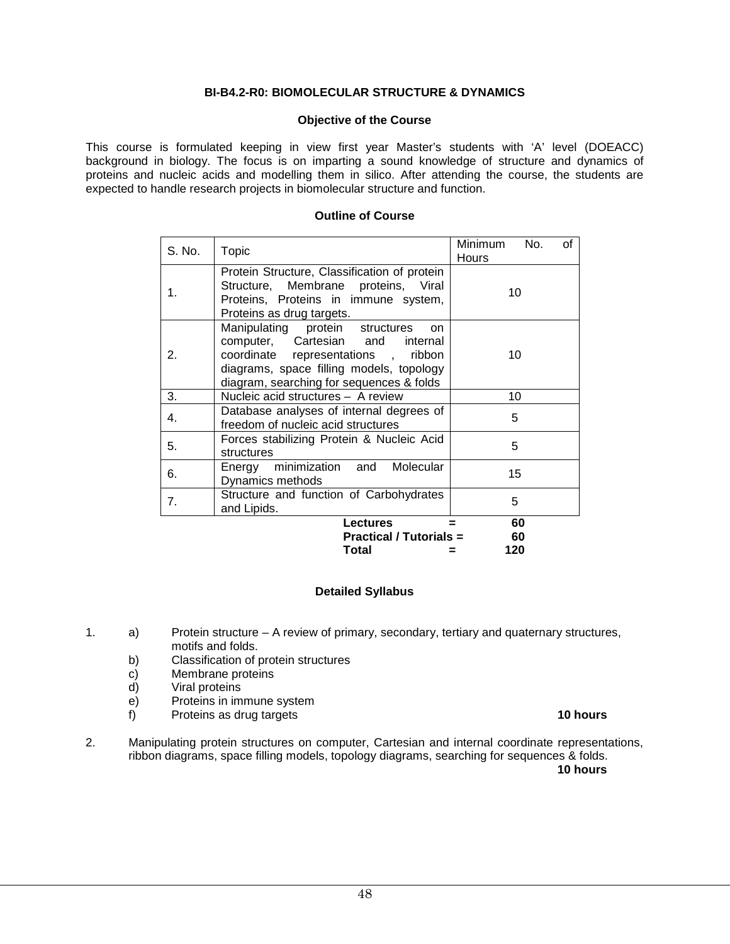#### **BI-B4.2-R0: BIOMOLECULAR STRUCTURE & DYNAMICS**

#### **Objective of the Course**

This course is formulated keeping in view first year Master's students with 'A' level (DOEACC) background in biology. The focus is on imparting a sound knowledge of structure and dynamics of proteins and nucleic acids and modelling them in silico. After attending the course, the students are expected to handle research projects in biomolecular structure and function.

#### **Outline of Course**

| S. No. | Topic                                                                                                                                                                                                       | Minimum<br>No.<br>of<br>Hours |
|--------|-------------------------------------------------------------------------------------------------------------------------------------------------------------------------------------------------------------|-------------------------------|
| 1.     | Protein Structure, Classification of protein<br>Structure, Membrane proteins, Viral<br>Proteins, Proteins in immune system,<br>Proteins as drug targets.                                                    | 10                            |
| 2.     | Manipulating protein structures<br>on.<br>computer, Cartesian and<br>internal<br>coordinate representations, ribbon<br>diagrams, space filling models, topology<br>diagram, searching for sequences & folds | 10                            |
| 3.     | Nucleic acid structures - A review                                                                                                                                                                          | 10                            |
| 4.     | Database analyses of internal degrees of<br>freedom of nucleic acid structures                                                                                                                              | 5                             |
| 5.     | Forces stabilizing Protein & Nucleic Acid<br>structures                                                                                                                                                     | 5                             |
| 6.     | Energy minimization and Molecular<br>Dynamics methods                                                                                                                                                       | 15                            |
| 7.     | Structure and function of Carbohydrates<br>and Lipids.                                                                                                                                                      | 5                             |
|        | <b>Lectures</b>                                                                                                                                                                                             | 60                            |
|        | <b>Practical / Tutorials =</b>                                                                                                                                                                              | 60                            |
|        | Total                                                                                                                                                                                                       | 120                           |

#### **Detailed Syllabus**

- 1. a) Protein structure A review of primary, secondary, tertiary and quaternary structures, motifs and folds.
	- b) Classification of protein structures
	- c) Membrane proteins<br>d) Viral proteins
	- Viral proteins
	- e) Proteins in immune system<br>f) Proteins as drug targets
	- f) Proteins as drug targets **10 hours**
- 2. Manipulating protein structures on computer, Cartesian and internal coordinate representations, ribbon diagrams, space filling models, topology diagrams, searching for sequences & folds.
- **10 hours**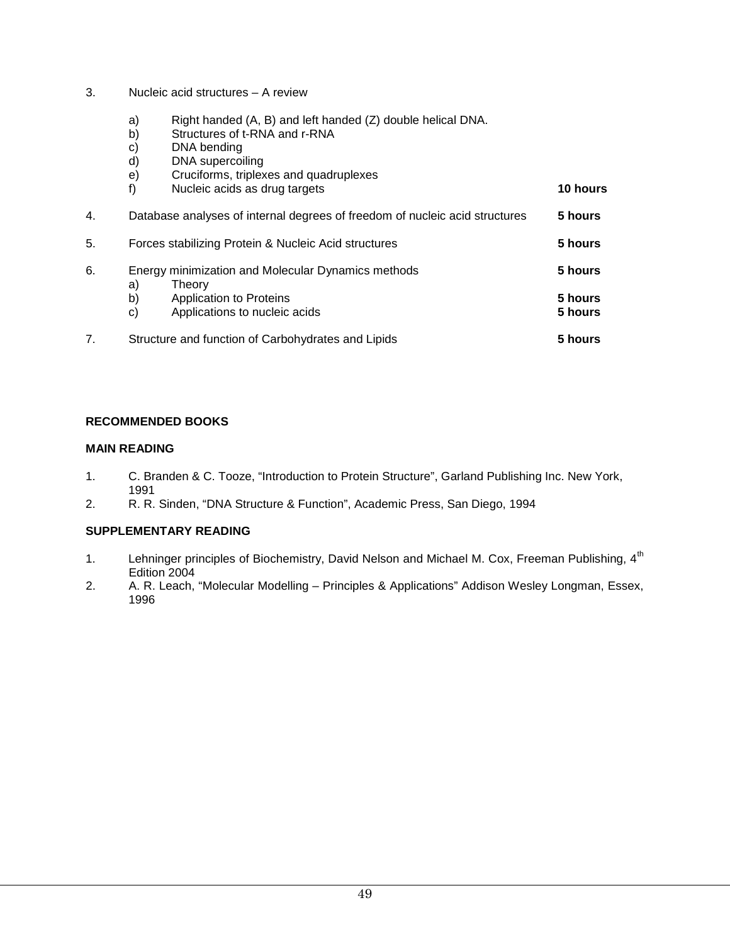- 3. Nucleic acid structures A review
	- a) Right handed (A, B) and left handed (Z) double helical DNA.<br>b) Structures of t-RNA and r-RNA
	- Structures of t-RNA and r-RNA
	- c) DNA bending
	- d) DNA supercoiling
	- e) Cruciforms, triplexes and quadruplexes
	- f) Nucleic acids as drug targets **10 hours**
- 4. Database analyses of internal degrees of freedom of nucleic acid structures **5 hours** 5. Forces stabilizing Protein & Nucleic Acid structures **5 hours** 6. Energy minimization and Molecular Dynamics methods **5 hours** a) Theory<br>b) Applica **b** Application to Proteins **5 hours 5 hours** c) Applications to nucleic acids **5 hours**  7. Structure and function of Carbohydrates and Lipids **5 hours**

#### **RECOMMENDED BOOKS**

#### **MAIN READING**

- 1. C. Branden & C. Tooze, "Introduction to Protein Structure", Garland Publishing Inc. New York, 1991
- 2. R. R. Sinden, "DNA Structure & Function", Academic Press, San Diego, 1994

#### **SUPPLEMENTARY READING**

- 1. Lehninger principles of Biochemistry, David Nelson and Michael M. Cox, Freeman Publishing, 4<sup>th</sup> Edition 2004
- 2. A. R. Leach, "Molecular Modelling Principles & Applications" Addison Wesley Longman, Essex, 1996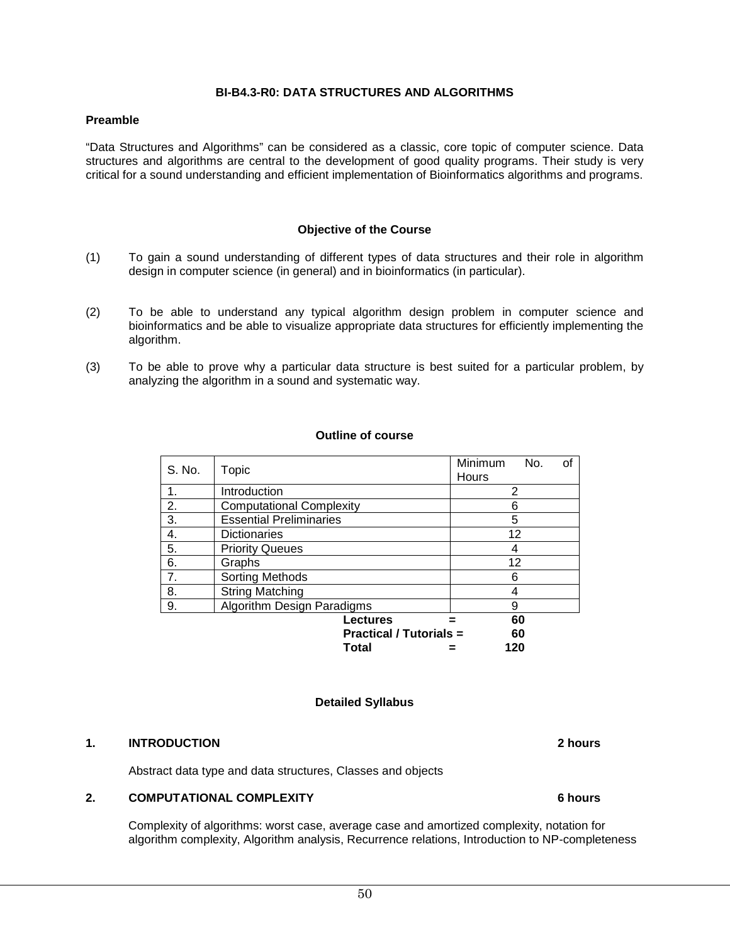#### **BI-B4.3-R0: DATA STRUCTURES AND ALGORITHMS**

#### **Preamble**

"Data Structures and Algorithms" can be considered as a classic, core topic of computer science. Data structures and algorithms are central to the development of good quality programs. Their study is very critical for a sound understanding and efficient implementation of Bioinformatics algorithms and programs.

#### **Objective of the Course**

- (1) To gain a sound understanding of different types of data structures and their role in algorithm design in computer science (in general) and in bioinformatics (in particular).
- (2) To be able to understand any typical algorithm design problem in computer science and bioinformatics and be able to visualize appropriate data structures for efficiently implementing the algorithm.
- (3) To be able to prove why a particular data structure is best suited for a particular problem, by analyzing the algorithm in a sound and systematic way.

#### **Outline of course**

| S. No. | Topic                           | Minimum<br>No.<br>of<br>Hours |  |
|--------|---------------------------------|-------------------------------|--|
| 1.     | Introduction                    | 2                             |  |
| 2.     | <b>Computational Complexity</b> | 6                             |  |
| 3.     | <b>Essential Preliminaries</b>  | 5                             |  |
| 4.     | <b>Dictionaries</b>             | 12                            |  |
| 5.     | <b>Priority Queues</b>          | 4                             |  |
| 6.     | Graphs                          | 12                            |  |
| 7.     | Sorting Methods                 | 6                             |  |
| 8.     | <b>String Matching</b>          |                               |  |
| 9.     | Algorithm Design Paradigms      | 9                             |  |
|        | Lectures                        | 60                            |  |
|        | <b>Practical / Tutorials =</b>  | 60                            |  |
|        | Total                           | 120                           |  |

#### **Detailed Syllabus**

#### **1. INTRODUCTION 2 hours**

Abstract data type and data structures, Classes and objects

#### **2. COMPUTATIONAL COMPLEXITY 6 hours**

Complexity of algorithms: worst case, average case and amortized complexity, notation for algorithm complexity, Algorithm analysis, Recurrence relations, Introduction to NP-completeness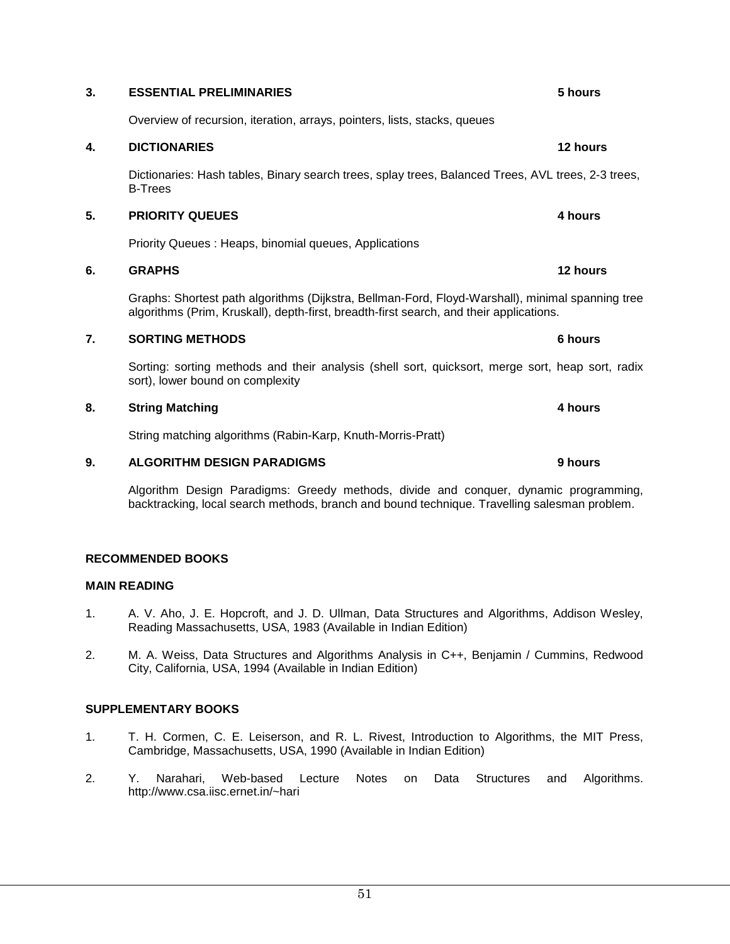#### **3. ESSENTIAL PRELIMINARIES 5 hours**

Overview of recursion, iteration, arrays, pointers, lists, stacks, queues

#### **4. DICTIONARIES 12 hours**

Dictionaries: Hash tables, Binary search trees, splay trees, Balanced Trees, AVL trees, 2-3 trees, B-Trees

#### **5. PRIORITY QUEUES 4 hours**

Priority Queues : Heaps, binomial queues, Applications

#### **6. GRAPHS 12 hours**

Graphs: Shortest path algorithms (Dijkstra, Bellman-Ford, Floyd-Warshall), minimal spanning tree algorithms (Prim, Kruskall), depth-first, breadth-first search, and their applications.

#### **7. SORTING METHODS 6 hours**

Sorting: sorting methods and their analysis (shell sort, quicksort, merge sort, heap sort, radix sort), lower bound on complexity

#### **8. String Matching 4 hours**

String matching algorithms (Rabin-Karp, Knuth-Morris-Pratt)

#### **9. ALGORITHM DESIGN PARADIGMS 9 hours**

Algorithm Design Paradigms: Greedy methods, divide and conquer, dynamic programming, backtracking, local search methods, branch and bound technique. Travelling salesman problem.

#### **RECOMMENDED BOOKS**

#### **MAIN READING**

- 1. A. V. Aho, J. E. Hopcroft, and J. D. Ullman, Data Structures and Algorithms, Addison Wesley, Reading Massachusetts, USA, 1983 (Available in Indian Edition)
- 2. M. A. Weiss, Data Structures and Algorithms Analysis in C++, Benjamin / Cummins, Redwood City, California, USA, 1994 (Available in Indian Edition)

#### **SUPPLEMENTARY BOOKS**

- 1. T. H. Cormen, C. E. Leiserson, and R. L. Rivest, Introduction to Algorithms, the MIT Press, Cambridge, Massachusetts, USA, 1990 (Available in Indian Edition)
- 2. Y. Narahari, Web-based Lecture Notes on Data Structures and Algorithms. http://www.csa.iisc.ernet.in/~hari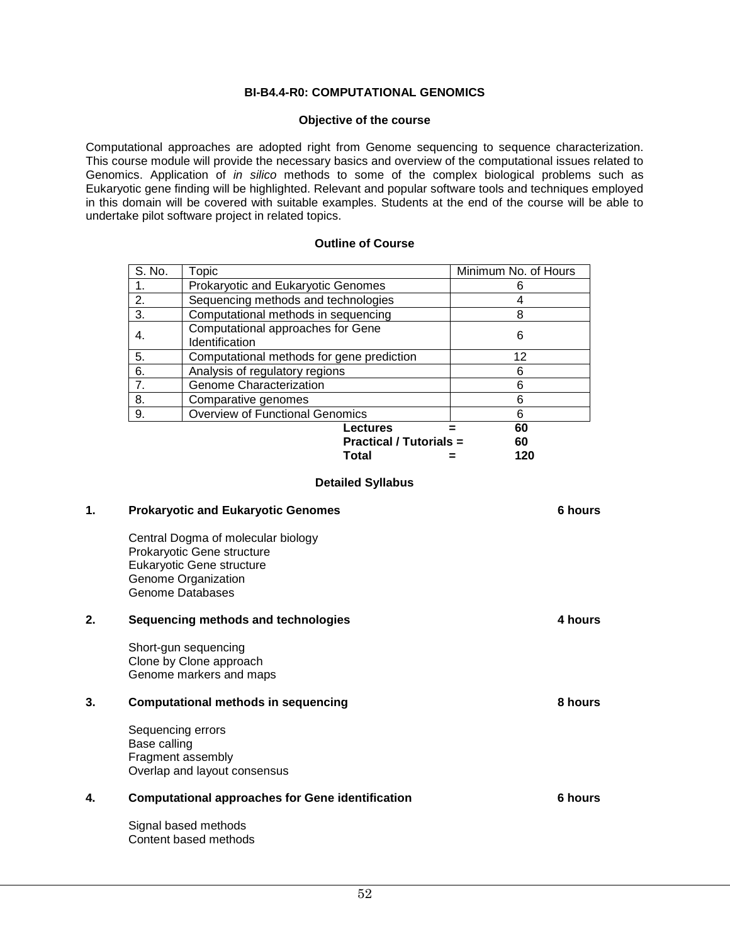#### **BI-B4.4-R0: COMPUTATIONAL GENOMICS**

#### **Objective of the course**

Computational approaches are adopted right from Genome sequencing to sequence characterization. This course module will provide the necessary basics and overview of the computational issues related to Genomics. Application of *in silico* methods to some of the complex biological problems such as Eukaryotic gene finding will be highlighted. Relevant and popular software tools and techniques employed in this domain will be covered with suitable examples. Students at the end of the course will be able to undertake pilot software project in related topics.

#### **Outline of Course**

| S. No. | Topic                                               | Minimum No. of Hours |
|--------|-----------------------------------------------------|----------------------|
|        | Prokaryotic and Eukaryotic Genomes                  |                      |
| 2.     | Sequencing methods and technologies                 |                      |
| 3.     | Computational methods in sequencing                 | 8                    |
| 4.     | Computational approaches for Gene<br>Identification | 6                    |
| 5.     | Computational methods for gene prediction           | 12                   |
| 6.     | Analysis of regulatory regions                      |                      |
| 7.     | Genome Characterization                             | ี่ค                  |
| 8.     | Comparative genomes                                 | 6                    |
| 9.     | <b>Overview of Functional Genomics</b>              | հ                    |
|        | Lectures                                            | 60                   |
|        | <b>Practical / Tutorials =</b>                      | 60                   |
|        | Total                                               | 120                  |

#### **Detailed Syllabus**

| 1. | <b>Prokaryotic and Eukaryotic Genomes</b>                                                                                                       | <b>6 hours</b> |
|----|-------------------------------------------------------------------------------------------------------------------------------------------------|----------------|
|    | Central Dogma of molecular biology<br>Prokaryotic Gene structure<br>Eukaryotic Gene structure<br>Genome Organization<br><b>Genome Databases</b> |                |
| 2. | Sequencing methods and technologies                                                                                                             | 4 hours        |
|    | Short-gun sequencing<br>Clone by Clone approach<br>Genome markers and maps                                                                      |                |
| 3. | <b>Computational methods in sequencing</b>                                                                                                      | 8 hours        |
|    | Sequencing errors<br>Base calling<br>Fragment assembly<br>Overlap and layout consensus                                                          |                |
| 4. | <b>Computational approaches for Gene identification</b>                                                                                         | 6 hours        |
|    | Signal based methods<br>Content based methods                                                                                                   |                |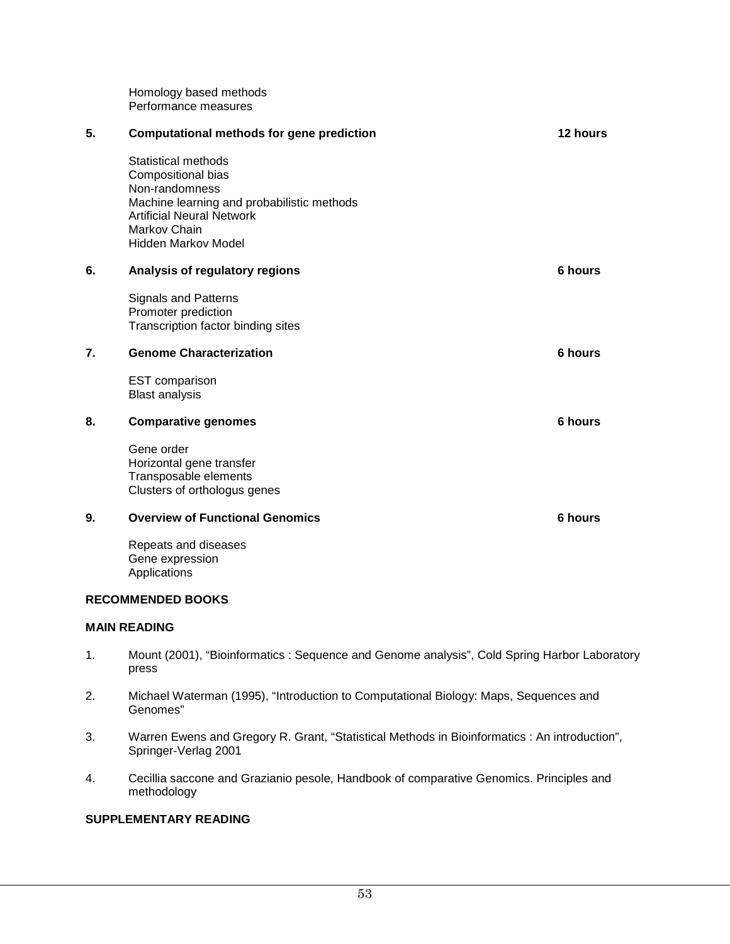Homology based methods Performance measures

| 5. | <b>Computational methods for gene prediction</b>                                                                                                                                            | 12 hours |
|----|---------------------------------------------------------------------------------------------------------------------------------------------------------------------------------------------|----------|
|    | Statistical methods<br>Compositional bias<br>Non-randomness<br>Machine learning and probabilistic methods<br><b>Artificial Neural Network</b><br>Markov Chain<br><b>Hidden Markov Model</b> |          |
| 6. | Analysis of regulatory regions                                                                                                                                                              | 6 hours  |
|    | <b>Signals and Patterns</b><br>Promoter prediction<br>Transcription factor binding sites                                                                                                    |          |
| 7. | <b>Genome Characterization</b>                                                                                                                                                              | 6 hours  |
|    | <b>EST</b> comparison<br><b>Blast analysis</b>                                                                                                                                              |          |
| 8. | <b>Comparative genomes</b>                                                                                                                                                                  | 6 hours  |
|    | Gene order<br>Horizontal gene transfer<br>Transposable elements<br>Clusters of orthologus genes                                                                                             |          |
| 9. | <b>Overview of Functional Genomics</b>                                                                                                                                                      | 6 hours  |
|    | Repeats and diseases<br>Gene expression<br>Applications                                                                                                                                     |          |

#### **RECOMMENDED BOOKS**

#### **MAIN READING**

- 1. Mount (2001), "Bioinformatics : Sequence and Genome analysis", Cold Spring Harbor Laboratory press
- 2. Michael Waterman (1995), "Introduction to Computational Biology: Maps, Sequences and Genomes"
- 3. Warren Ewens and Gregory R. Grant, "Statistical Methods in Bioinformatics : An introduction", Springer-Verlag 2001
- 4. Cecillia saccone and Grazianio pesole, Handbook of comparative Genomics. Principles and methodology

#### **SUPPLEMENTARY READING**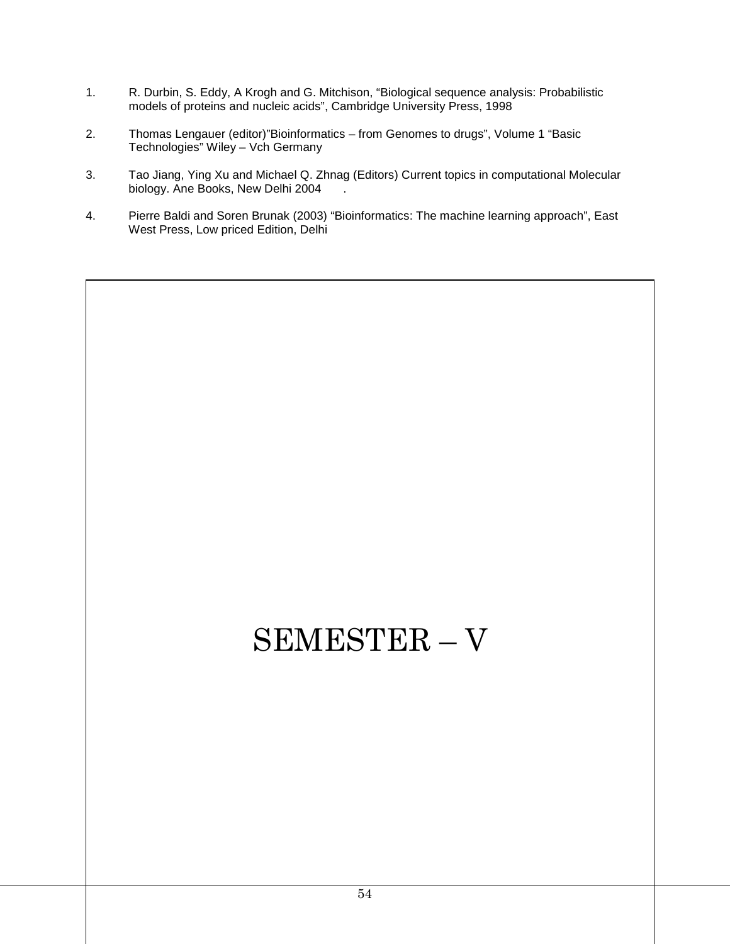- 1. R. Durbin, S. Eddy, A Krogh and G. Mitchison, "Biological sequence analysis: Probabilistic models of proteins and nucleic acids", Cambridge University Press, 1998
- 2. Thomas Lengauer (editor)"Bioinformatics from Genomes to drugs", Volume 1 "Basic Technologies" Wiley – Vch Germany
- 3. Tao Jiang, Ying Xu and Michael Q. Zhnag (Editors) Current topics in computational Molecular biology. Ane Books, New Delhi 2004
- 4. Pierre Baldi and Soren Brunak (2003) "Bioinformatics: The machine learning approach", East West Press, Low priced Edition, Delhi

# SEMESTER – V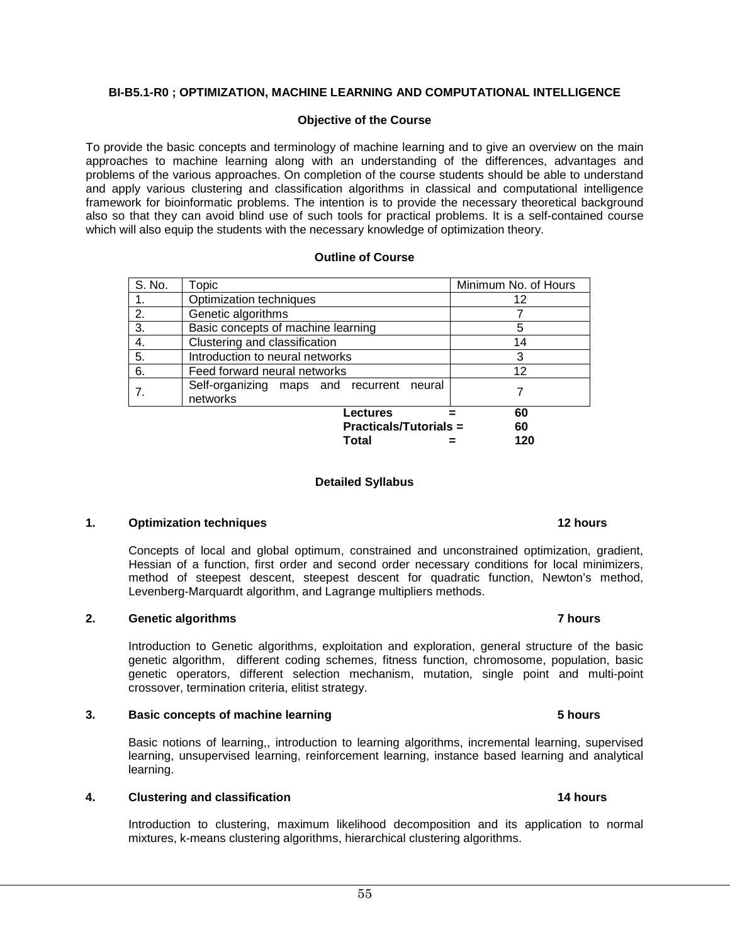#### **BI-B5.1-R0 ; OPTIMIZATION, MACHINE LEARNING AND COMPUTATIONAL INTELLIGENCE**

#### **Objective of the Course**

To provide the basic concepts and terminology of machine learning and to give an overview on the main approaches to machine learning along with an understanding of the differences, advantages and problems of the various approaches. On completion of the course students should be able to understand and apply various clustering and classification algorithms in classical and computational intelligence framework for bioinformatic problems. The intention is to provide the necessary theoretical background also so that they can avoid blind use of such tools for practical problems. It is a self-contained course which will also equip the students with the necessary knowledge of optimization theory.

#### **Outline of Course**

| S. No. | Topic                                                 | Minimum No. of Hours |
|--------|-------------------------------------------------------|----------------------|
| 1.     | Optimization techniques                               | 12                   |
| 2.     | Genetic algorithms                                    |                      |
| 3.     | Basic concepts of machine learning                    | 5                    |
| 4.     | Clustering and classification                         | 14                   |
| 5.     | Introduction to neural networks                       | 3                    |
| 6.     | Feed forward neural networks                          | 12                   |
|        | Self-organizing maps and recurrent neural<br>networks |                      |
|        | <b>Lectures</b>                                       | 60                   |
|        | <b>Practicals/Tutorials =</b>                         | 60                   |
|        | Total                                                 | 120                  |

#### **Detailed Syllabus**

#### **1. Optimization techniques** 12 hours **12 hours 12 hours**

Concepts of local and global optimum, constrained and unconstrained optimization, gradient, Hessian of a function, first order and second order necessary conditions for local minimizers, method of steepest descent, steepest descent for quadratic function, Newton's method, Levenberg-Marquardt algorithm, and Lagrange multipliers methods.

#### **2. Genetic algorithms 7 hours**

Introduction to Genetic algorithms, exploitation and exploration, general structure of the basic genetic algorithm, different coding schemes, fitness function, chromosome, population, basic genetic operators, different selection mechanism, mutation, single point and multi-point crossover, termination criteria, elitist strategy.

#### **3. Basic concepts of machine learning 5 hours**

Basic notions of learning,, introduction to learning algorithms, incremental learning, supervised learning, unsupervised learning, reinforcement learning, instance based learning and analytical learning.

#### **4. Clustering and classification 14 hours**

Introduction to clustering, maximum likelihood decomposition and its application to normal mixtures, k-means clustering algorithms, hierarchical clustering algorithms.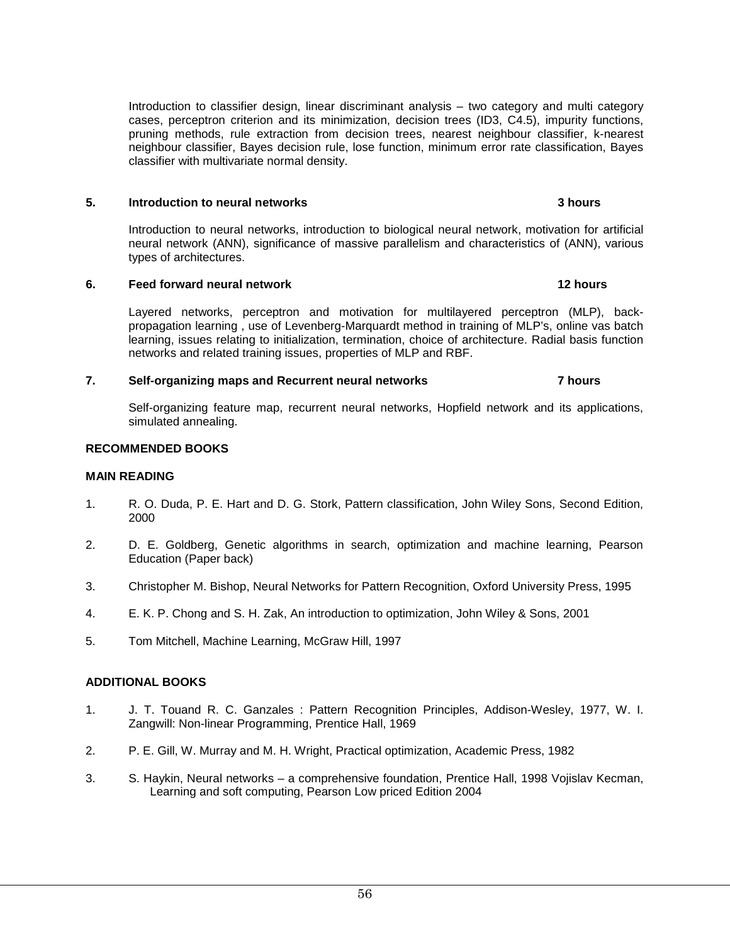56

Introduction to classifier design, linear discriminant analysis – two category and multi category cases, perceptron criterion and its minimization, decision trees (ID3, C4.5), impurity functions, pruning methods, rule extraction from decision trees, nearest neighbour classifier, k-nearest neighbour classifier, Bayes decision rule, lose function, minimum error rate classification, Bayes classifier with multivariate normal density.

### **5. Introduction to neural networks 3 hours**

Introduction to neural networks, introduction to biological neural network, motivation for artificial neural network (ANN), significance of massive parallelism and characteristics of (ANN), various types of architectures.

### **6. Feed forward neural network 12 hours**

Layered networks, perceptron and motivation for multilayered perceptron (MLP), backpropagation learning , use of Levenberg-Marquardt method in training of MLP's, online vas batch learning, issues relating to initialization, termination, choice of architecture. Radial basis function networks and related training issues, properties of MLP and RBF.

### **7. Self-organizing maps and Recurrent neural networks 7 hours**

Self-organizing feature map, recurrent neural networks, Hopfield network and its applications, simulated annealing.

### **RECOMMENDED BOOKS**

### **MAIN READING**

- 1. R. O. Duda, P. E. Hart and D. G. Stork, Pattern classification, John Wiley Sons, Second Edition, 2000
- 2. D. E. Goldberg, Genetic algorithms in search, optimization and machine learning, Pearson Education (Paper back)
- 3. Christopher M. Bishop, Neural Networks for Pattern Recognition, Oxford University Press, 1995
- 4. E. K. P. Chong and S. H. Zak, An introduction to optimization, John Wiley & Sons, 2001
- 5. Tom Mitchell, Machine Learning, McGraw Hill, 1997

### **ADDITIONAL BOOKS**

- 1. J. T. Touand R. C. Ganzales : Pattern Recognition Principles, Addison-Wesley, 1977, W. I. Zangwill: Non-linear Programming, Prentice Hall, 1969
- 2. P. E. Gill, W. Murray and M. H. Wright, Practical optimization, Academic Press, 1982
- 3. S. Haykin, Neural networks a comprehensive foundation, Prentice Hall, 1998 Vojislav Kecman, Learning and soft computing, Pearson Low priced Edition 2004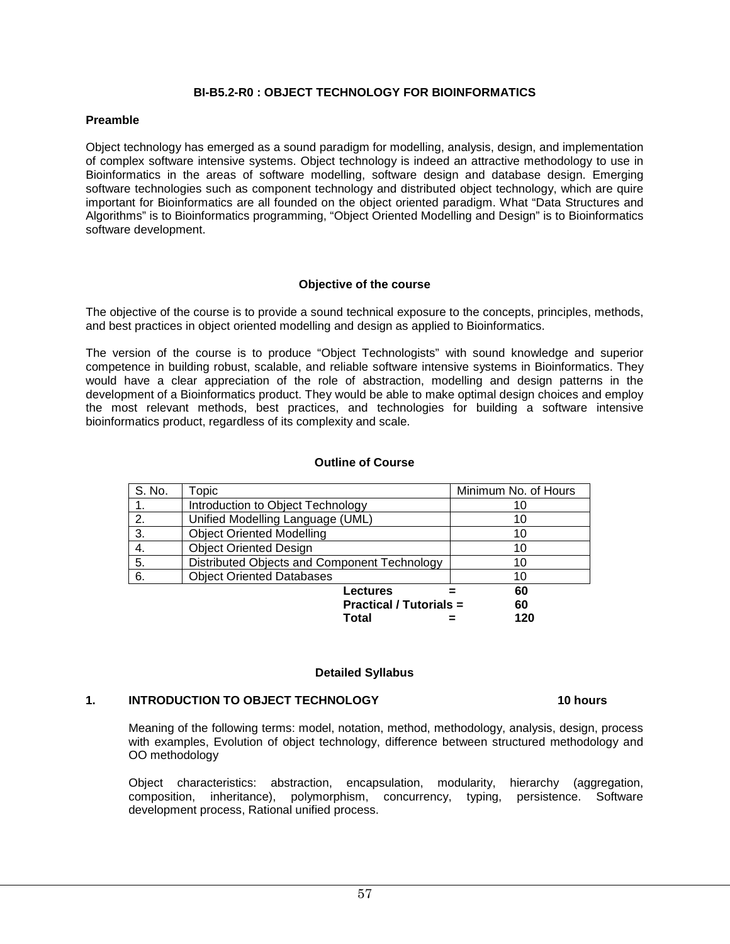#### **BI-B5.2-R0 : OBJECT TECHNOLOGY FOR BIOINFORMATICS**

#### **Preamble**

Object technology has emerged as a sound paradigm for modelling, analysis, design, and implementation of complex software intensive systems. Object technology is indeed an attractive methodology to use in Bioinformatics in the areas of software modelling, software design and database design. Emerging software technologies such as component technology and distributed object technology, which are quire important for Bioinformatics are all founded on the object oriented paradigm. What "Data Structures and Algorithms" is to Bioinformatics programming, "Object Oriented Modelling and Design" is to Bioinformatics software development.

#### **Objective of the course**

The objective of the course is to provide a sound technical exposure to the concepts, principles, methods, and best practices in object oriented modelling and design as applied to Bioinformatics.

The version of the course is to produce "Object Technologists" with sound knowledge and superior competence in building robust, scalable, and reliable software intensive systems in Bioinformatics. They would have a clear appreciation of the role of abstraction, modelling and design patterns in the development of a Bioinformatics product. They would be able to make optimal design choices and employ the most relevant methods, best practices, and technologies for building a software intensive bioinformatics product, regardless of its complexity and scale.

#### **Outline of Course**

| S. No. | Topic                                        | Minimum No. of Hours |
|--------|----------------------------------------------|----------------------|
|        | Introduction to Object Technology            | 10                   |
| 2.     | Unified Modelling Language (UML)             | 10                   |
| 3.     | <b>Object Oriented Modelling</b>             | 10                   |
| 4.     | <b>Object Oriented Design</b>                | 10                   |
| 5.     | Distributed Objects and Component Technology | 10                   |
| 6.     | <b>Object Oriented Databases</b>             | 10                   |
|        | Lectures                                     | 60                   |
|        | <b>Practical / Tutorials =</b>               | 60                   |
|        | Total                                        | 120                  |

#### **Detailed Syllabus**

#### 1. **INTRODUCTION TO OBJECT TECHNOLOGY** 10 hours **10 hours**

Meaning of the following terms: model, notation, method, methodology, analysis, design, process with examples, Evolution of object technology, difference between structured methodology and OO methodology

Object characteristics: abstraction, encapsulation, modularity, hierarchy (aggregation, composition, inheritance), polymorphism, concurrency, typing, persistence. Software development process, Rational unified process.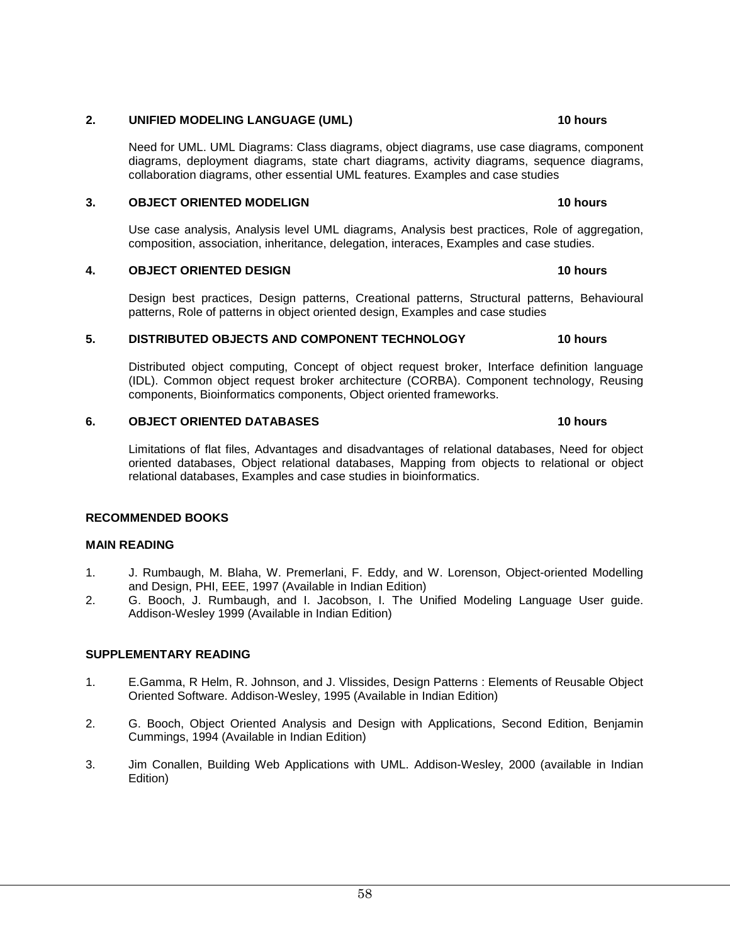#### **2. UNIFIED MODELING LANGUAGE (UML) 10 hours**

Need for UML. UML Diagrams: Class diagrams, object diagrams, use case diagrams, component diagrams, deployment diagrams, state chart diagrams, activity diagrams, sequence diagrams, collaboration diagrams, other essential UML features. Examples and case studies

#### **3. OBJECT ORIENTED MODELIGN 10 hours**

Use case analysis, Analysis level UML diagrams, Analysis best practices, Role of aggregation, composition, association, inheritance, delegation, interaces, Examples and case studies.

#### **4. OBJECT ORIENTED DESIGN 10 hours**

Design best practices, Design patterns, Creational patterns, Structural patterns, Behavioural patterns, Role of patterns in object oriented design, Examples and case studies

#### **5. DISTRIBUTED OBJECTS AND COMPONENT TECHNOLOGY 10 hours**

Distributed object computing, Concept of object request broker, Interface definition language (IDL). Common object request broker architecture (CORBA). Component technology, Reusing components, Bioinformatics components, Object oriented frameworks.

#### **6. OBJECT ORIENTED DATABASES** 10 hours **10 hours**

Limitations of flat files, Advantages and disadvantages of relational databases, Need for object oriented databases, Object relational databases, Mapping from objects to relational or object relational databases, Examples and case studies in bioinformatics.

#### **RECOMMENDED BOOKS**

#### **MAIN READING**

- 1. J. Rumbaugh, M. Blaha, W. Premerlani, F. Eddy, and W. Lorenson, Object-oriented Modelling and Design, PHI, EEE, 1997 (Available in Indian Edition)
- 2. G. Booch, J. Rumbaugh, and I. Jacobson, I. The Unified Modeling Language User guide. Addison-Wesley 1999 (Available in Indian Edition)

#### **SUPPLEMENTARY READING**

- 1. E.Gamma, R Helm, R. Johnson, and J. Vlissides, Design Patterns : Elements of Reusable Object Oriented Software. Addison-Wesley, 1995 (Available in Indian Edition)
- 2. G. Booch, Object Oriented Analysis and Design with Applications, Second Edition, Benjamin Cummings, 1994 (Available in Indian Edition)
- 3. Jim Conallen, Building Web Applications with UML. Addison-Wesley, 2000 (available in Indian Edition)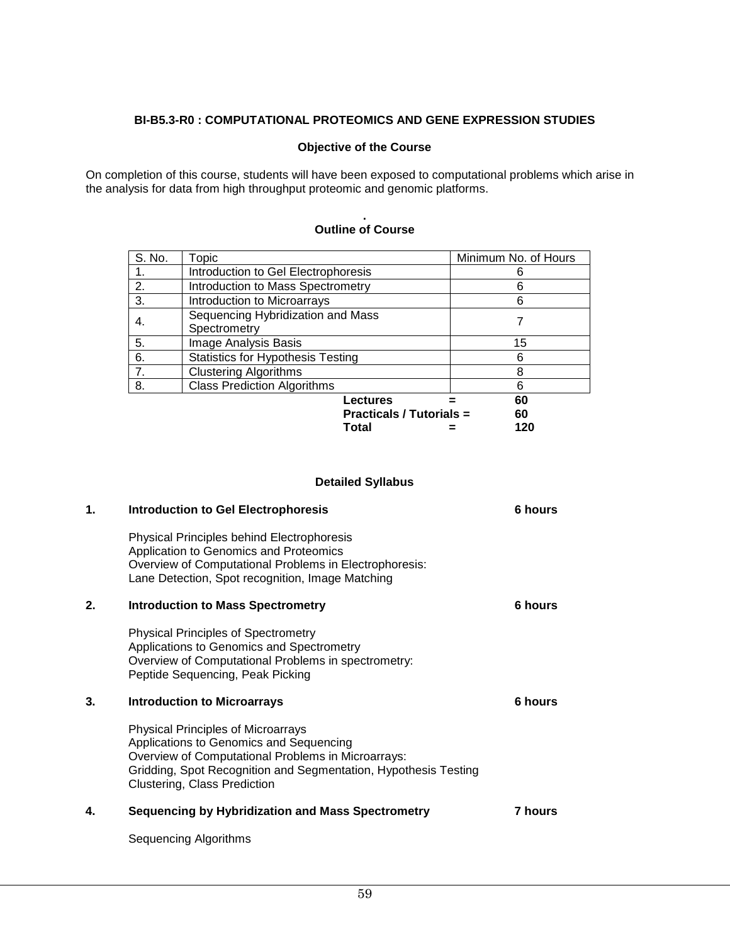### **BI-B5.3-R0 : COMPUTATIONAL PROTEOMICS AND GENE EXPRESSION STUDIES**

#### **Objective of the Course**

On completion of this course, students will have been exposed to computational problems which arise in the analysis for data from high throughput proteomic and genomic platforms.

| S. No. | Topic                                    | Minimum No. of Hours |
|--------|------------------------------------------|----------------------|
| 1.     | Introduction to Gel Electrophoresis      |                      |
| 2.     | Introduction to Mass Spectrometry        | 6                    |
| 3.     | Introduction to Microarrays              | 6                    |
| 4.     | Sequencing Hybridization and Mass        |                      |
|        | Spectrometry                             |                      |
| 5.     | <b>Image Analysis Basis</b>              | 15                   |
| 6.     | <b>Statistics for Hypothesis Testing</b> | 6                    |
| 7.     | <b>Clustering Algorithms</b>             | 8                    |
| 8.     | <b>Class Prediction Algorithms</b>       | 6                    |
|        | Lectures                                 | 60                   |
|        | <b>Practicals / Tutorials =</b>          | 60                   |
|        | Total                                    | 120                  |

#### **. Outline of Course**

#### **Detailed Syllabus**

| 1. | <b>Introduction to Gel Electrophoresis</b>                                                                                                                                                                                                    | 6 hours |
|----|-----------------------------------------------------------------------------------------------------------------------------------------------------------------------------------------------------------------------------------------------|---------|
|    | <b>Physical Principles behind Electrophoresis</b><br>Application to Genomics and Proteomics<br>Overview of Computational Problems in Electrophoresis:<br>Lane Detection, Spot recognition, Image Matching                                     |         |
| 2. | <b>Introduction to Mass Spectrometry</b>                                                                                                                                                                                                      | 6 hours |
|    | <b>Physical Principles of Spectrometry</b><br>Applications to Genomics and Spectrometry<br>Overview of Computational Problems in spectrometry:<br>Peptide Sequencing, Peak Picking                                                            |         |
| 3. | <b>Introduction to Microarrays</b>                                                                                                                                                                                                            | 6 hours |
|    | <b>Physical Principles of Microarrays</b><br>Applications to Genomics and Sequencing<br>Overview of Computational Problems in Microarrays:<br>Gridding, Spot Recognition and Segmentation, Hypothesis Testing<br>Clustering, Class Prediction |         |
| 4. | <b>Sequencing by Hybridization and Mass Spectrometry</b>                                                                                                                                                                                      | 7 hours |
|    | Sequencing Algorithms                                                                                                                                                                                                                         |         |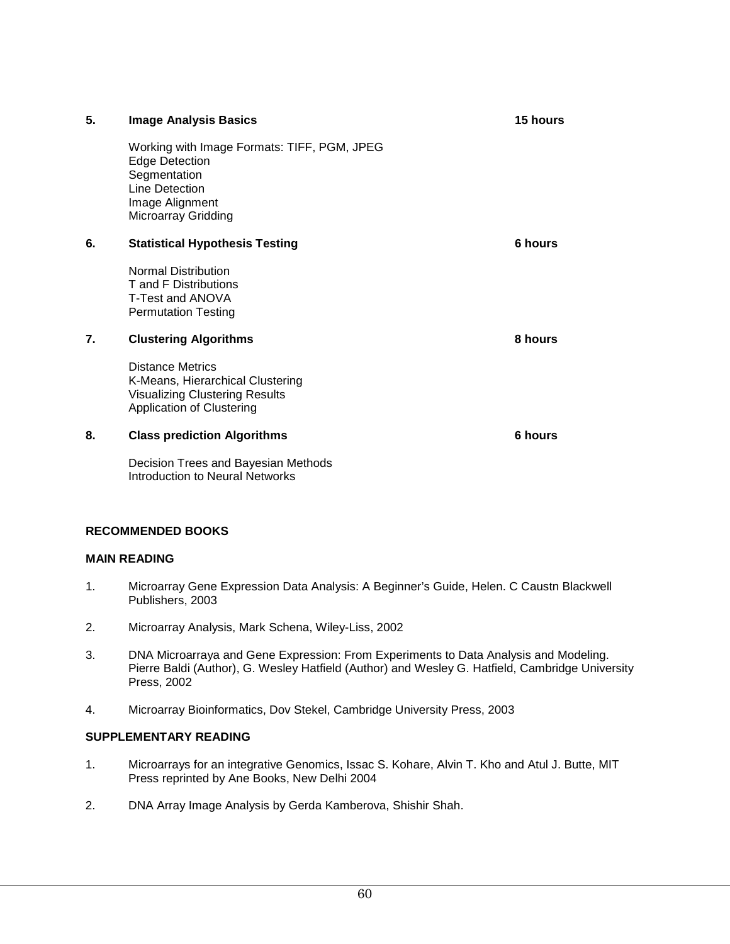| 5. | <b>Image Analysis Basics</b>                                                                                                                            | <b>15 hours</b> |
|----|---------------------------------------------------------------------------------------------------------------------------------------------------------|-----------------|
|    | Working with Image Formats: TIFF, PGM, JPEG<br><b>Edge Detection</b><br>Segmentation<br>Line Detection<br>Image Alignment<br><b>Microarray Gridding</b> |                 |
| 6. | <b>Statistical Hypothesis Testing</b>                                                                                                                   | 6 hours         |
|    | <b>Normal Distribution</b><br>T and F Distributions<br>T-Test and ANOVA<br><b>Permutation Testing</b>                                                   |                 |
| 7. | <b>Clustering Algorithms</b>                                                                                                                            | 8 hours         |
|    | <b>Distance Metrics</b><br>K-Means, Hierarchical Clustering<br><b>Visualizing Clustering Results</b><br>Application of Clustering                       |                 |
| 8. | <b>Class prediction Algorithms</b>                                                                                                                      | 6 hours         |
|    | Decision Trees and Bayesian Methods<br><b>Introduction to Neural Networks</b>                                                                           |                 |

#### **RECOMMENDED BOOKS**

#### **MAIN READING**

- 1. Microarray Gene Expression Data Analysis: A Beginner's Guide, Helen. C Caustn Blackwell Publishers, 2003
- 2. Microarray Analysis, Mark Schena, Wiley-Liss, 2002
- 3. DNA Microarraya and Gene Expression: From Experiments to Data Analysis and Modeling. Pierre Baldi (Author), G. Wesley Hatfield (Author) and Wesley G. Hatfield, Cambridge University Press, 2002
- 4. Microarray Bioinformatics, Dov Stekel, Cambridge University Press, 2003

#### **SUPPLEMENTARY READING**

- 1. Microarrays for an integrative Genomics, Issac S. Kohare, Alvin T. Kho and Atul J. Butte, MIT Press reprinted by Ane Books, New Delhi 2004
- 2. DNA Array Image Analysis by Gerda Kamberova, Shishir Shah.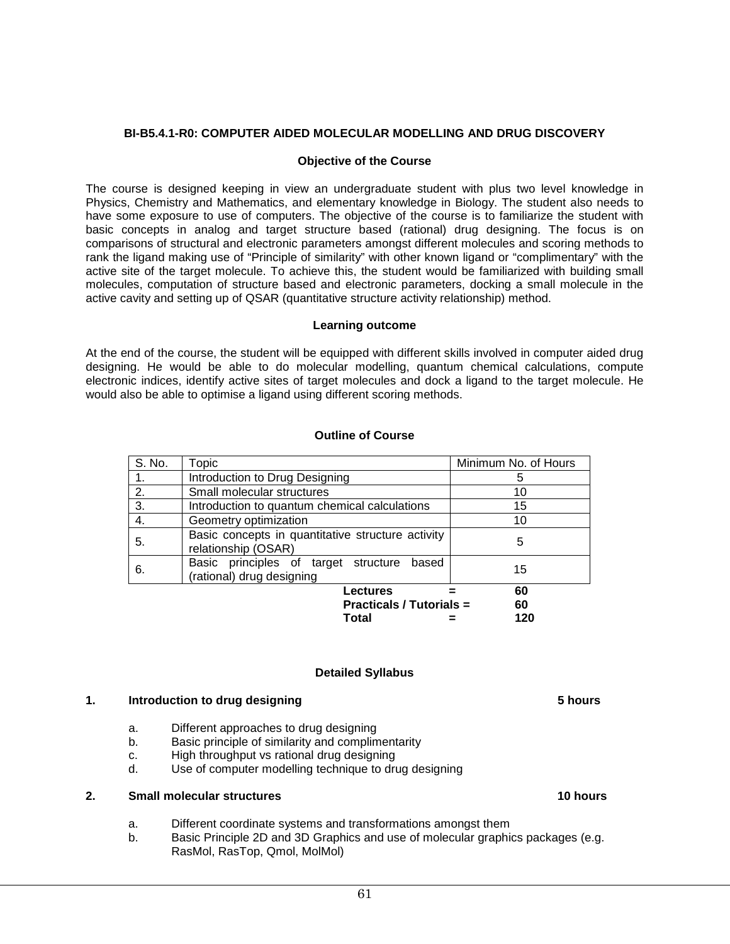#### **BI-B5.4.1-R0: COMPUTER AIDED MOLECULAR MODELLING AND DRUG DISCOVERY**

#### **Objective of the Course**

The course is designed keeping in view an undergraduate student with plus two level knowledge in Physics, Chemistry and Mathematics, and elementary knowledge in Biology. The student also needs to have some exposure to use of computers. The objective of the course is to familiarize the student with basic concepts in analog and target structure based (rational) drug designing. The focus is on comparisons of structural and electronic parameters amongst different molecules and scoring methods to rank the ligand making use of "Principle of similarity" with other known ligand or "complimentary" with the active site of the target molecule. To achieve this, the student would be familiarized with building small molecules, computation of structure based and electronic parameters, docking a small molecule in the active cavity and setting up of QSAR (quantitative structure activity relationship) method.

#### **Learning outcome**

At the end of the course, the student will be equipped with different skills involved in computer aided drug designing. He would be able to do molecular modelling, quantum chemical calculations, compute electronic indices, identify active sites of target molecules and dock a ligand to the target molecule. He would also be able to optimise a ligand using different scoring methods.

#### **Outline of Course**

| S. No. | Topic                                                                      | Minimum No. of Hours |
|--------|----------------------------------------------------------------------------|----------------------|
|        | Introduction to Drug Designing                                             | 5                    |
| 2.     | Small molecular structures                                                 | 10                   |
| 3.     | Introduction to quantum chemical calculations                              | 15                   |
| 4.     | Geometry optimization                                                      | 10                   |
| 5.     | Basic concepts in quantitative structure activity<br>relationship (OSAR)   | 5                    |
| 6.     | Basic principles of target structure<br>based<br>(rational) drug designing | 15                   |
|        | Lectures<br><b>Practicals / Tutorials =</b><br>Total                       | 60<br>60<br>120      |

#### **Detailed Syllabus**

#### **1. Introduction to drug designing 5 hours**

- a. Different approaches to drug designing
- b. Basic principle of similarity and complimentarity
- c. High throughput vs rational drug designing
- d. Use of computer modelling technique to drug designing

#### **2. Small molecular structures 10 hours 10 hours**

- a. Different coordinate systems and transformations amongst them
- b. Basic Principle 2D and 3D Graphics and use of molecular graphics packages (e.g. RasMol, RasTop, Qmol, MolMol)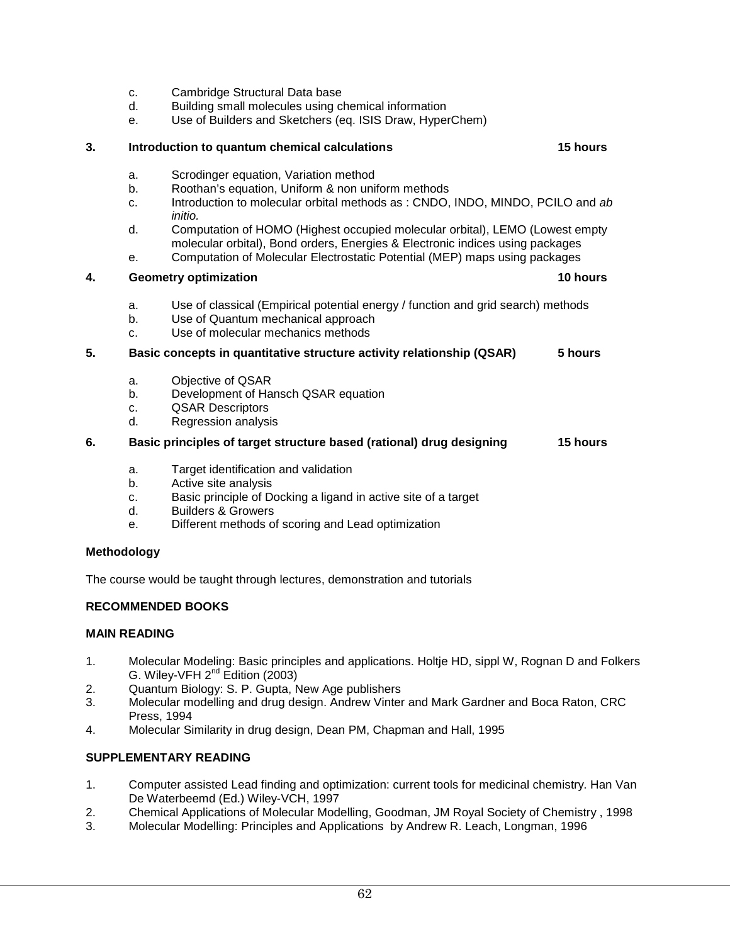- c. Cambridge Structural Data base
- d. Building small molecules using chemical information
- e. Use of Builders and Sketchers (eq. ISIS Draw, HyperChem)

#### **3. Introduction to quantum chemical calculations 15 hours**

- a. Scrodinger equation, Variation method
- b. Roothan's equation, Uniform & non uniform methods
- c. Introduction to molecular orbital methods as : CNDO, INDO, MINDO, PCILO and *ab initio.*
- d. Computation of HOMO (Highest occupied molecular orbital), LEMO (Lowest empty molecular orbital), Bond orders, Energies & Electronic indices using packages
- e. Computation of Molecular Electrostatic Potential (MEP) maps using packages

#### **4.** Geometry optimization **10 hours 10 hours 10 hours**

- a. Use of classical (Empirical potential energy / function and grid search) methods
- b. Use of Quantum mechanical approach
- c. Use of molecular mechanics methods

#### **5. Basic concepts in quantitative structure activity relationship (QSAR) 5 hours**

- a. Objective of QSAR
- b. Development of Hansch QSAR equation
- c. QSAR Descriptors
- d. Regression analysis

#### **6. Basic principles of target structure based (rational) drug designing 15 hours**

- a. Target identification and validation
- b. Active site analysis
- c. Basic principle of Docking a ligand in active site of a target
- d. Builders & Growers
- e. Different methods of scoring and Lead optimization

#### **Methodology**

The course would be taught through lectures, demonstration and tutorials

#### **RECOMMENDED BOOKS**

#### **MAIN READING**

- 1. Molecular Modeling: Basic principles and applications. Holtje HD, sippl W, Rognan D and Folkers G. Wiley-VFH  $2^{nd}$  Edition (2003)
- 2. Quantum Biology: S. P. Gupta, New Age publishers
- 3. Molecular modelling and drug design. Andrew Vinter and Mark Gardner and Boca Raton, CRC Press, 1994
- 4. Molecular Similarity in drug design, Dean PM, Chapman and Hall, 1995

#### **SUPPLEMENTARY READING**

- 1. Computer assisted Lead finding and optimization: current tools for medicinal chemistry. Han Van De Waterbeemd (Ed.) Wiley-VCH, 1997
- 2. Chemical Applications of Molecular Modelling, Goodman, JM Royal Society of Chemistry , 1998
- 3. Molecular Modelling: Principles and Applications by Andrew R. Leach, Longman, 1996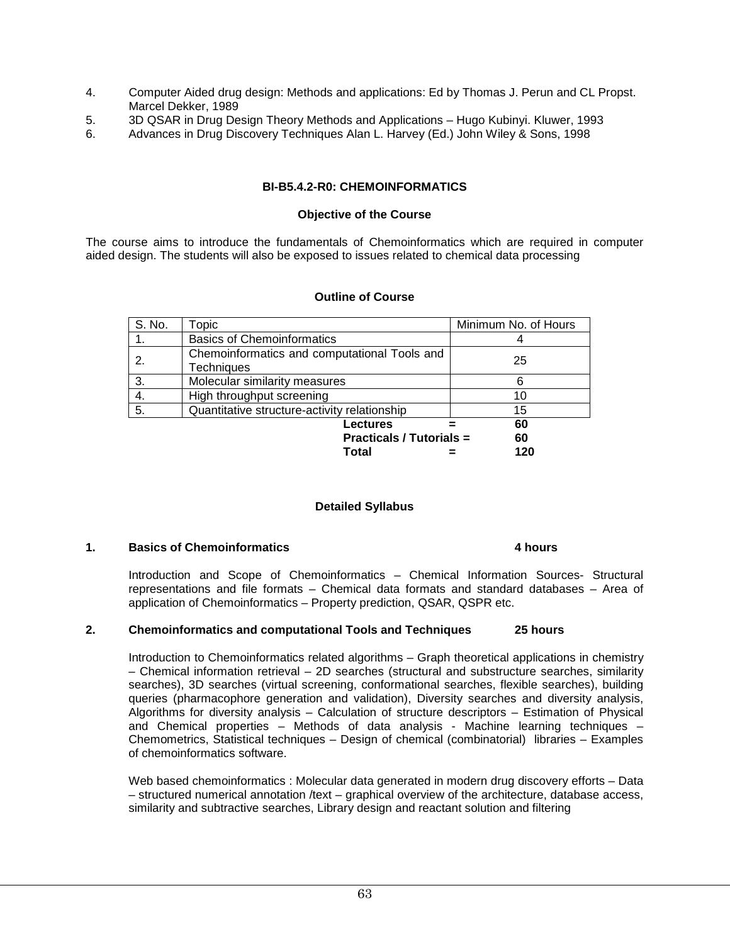- 4. Computer Aided drug design: Methods and applications: Ed by Thomas J. Perun and CL Propst. Marcel Dekker, 1989
- 5. 3D QSAR in Drug Design Theory Methods and Applications Hugo Kubinyi. Kluwer, 1993<br>6. Advances in Drug Discovery Techniques Alan L. Harvey (Ed.) John Wiley & Sons. 1998
- 6. Advances in Drug Discovery Techniques Alan L. Harvey (Ed.) John Wiley & Sons, 1998

#### **BI-B5.4.2-R0: CHEMOINFORMATICS**

#### **Objective of the Course**

The course aims to introduce the fundamentals of Chemoinformatics which are required in computer aided design. The students will also be exposed to issues related to chemical data processing

#### **Outline of Course**

| S. No.                          | Topic                                                             | Minimum No. of Hours |
|---------------------------------|-------------------------------------------------------------------|----------------------|
|                                 | <b>Basics of Chemoinformatics</b>                                 |                      |
| 2.                              | Chemoinformatics and computational Tools and<br><b>Techniques</b> | 25                   |
| 3.                              | Molecular similarity measures                                     |                      |
| 4.                              | High throughput screening                                         | 10                   |
| -5.                             | Quantitative structure-activity relationship                      | 15                   |
|                                 | Lectures                                                          | 60                   |
| <b>Practicals / Tutorials =</b> |                                                                   | 60                   |
|                                 | Total                                                             | 120                  |

#### **Detailed Syllabus**

#### **1. Basics of Chemoinformatics 4 hours**

Introduction and Scope of Chemoinformatics – Chemical Information Sources- Structural representations and file formats – Chemical data formats and standard databases – Area of application of Chemoinformatics – Property prediction, QSAR, QSPR etc.

#### **2. Chemoinformatics and computational Tools and Techniques 25 hours**

Introduction to Chemoinformatics related algorithms – Graph theoretical applications in chemistry – Chemical information retrieval – 2D searches (structural and substructure searches, similarity searches), 3D searches (virtual screening, conformational searches, flexible searches), building queries (pharmacophore generation and validation), Diversity searches and diversity analysis, Algorithms for diversity analysis – Calculation of structure descriptors – Estimation of Physical and Chemical properties – Methods of data analysis - Machine learning techniques – Chemometrics, Statistical techniques – Design of chemical (combinatorial) libraries – Examples of chemoinformatics software.

Web based chemoinformatics : Molecular data generated in modern drug discovery efforts – Data – structured numerical annotation /text – graphical overview of the architecture, database access, similarity and subtractive searches, Library design and reactant solution and filtering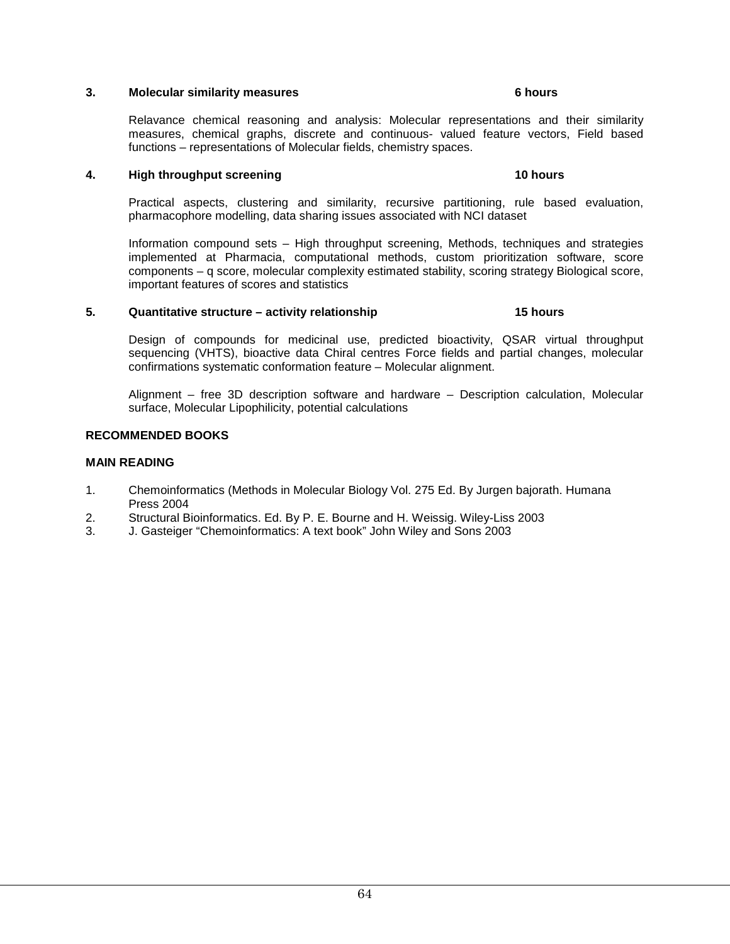#### **3. Molecular similarity measures** 6 hours **6 hours**

#### Relavance chemical reasoning and analysis: Molecular representations and their similarity measures, chemical graphs, discrete and continuous- valued feature vectors, Field based functions – representations of Molecular fields, chemistry spaces.

#### **4. High throughput screening 10 hours 30 hours 30 hours**

Practical aspects, clustering and similarity, recursive partitioning, rule based evaluation, pharmacophore modelling, data sharing issues associated with NCI dataset

Information compound sets – High throughput screening, Methods, techniques and strategies implemented at Pharmacia, computational methods, custom prioritization software, score components – q score, molecular complexity estimated stability, scoring strategy Biological score, important features of scores and statistics

#### **5. Quantitative structure – activity relationship 15 hours**

Design of compounds for medicinal use, predicted bioactivity, QSAR virtual throughput sequencing (VHTS), bioactive data Chiral centres Force fields and partial changes, molecular confirmations systematic conformation feature – Molecular alignment.

Alignment – free 3D description software and hardware – Description calculation, Molecular surface, Molecular Lipophilicity, potential calculations

#### **RECOMMENDED BOOKS**

#### **MAIN READING**

- 1. Chemoinformatics (Methods in Molecular Biology Vol. 275 Ed. By Jurgen bajorath. Humana Press 2004
- 2. Structural Bioinformatics. Ed. By P. E. Bourne and H. Weissig. Wiley-Liss 2003
- 3. J. Gasteiger "Chemoinformatics: A text book" John Wiley and Sons 2003